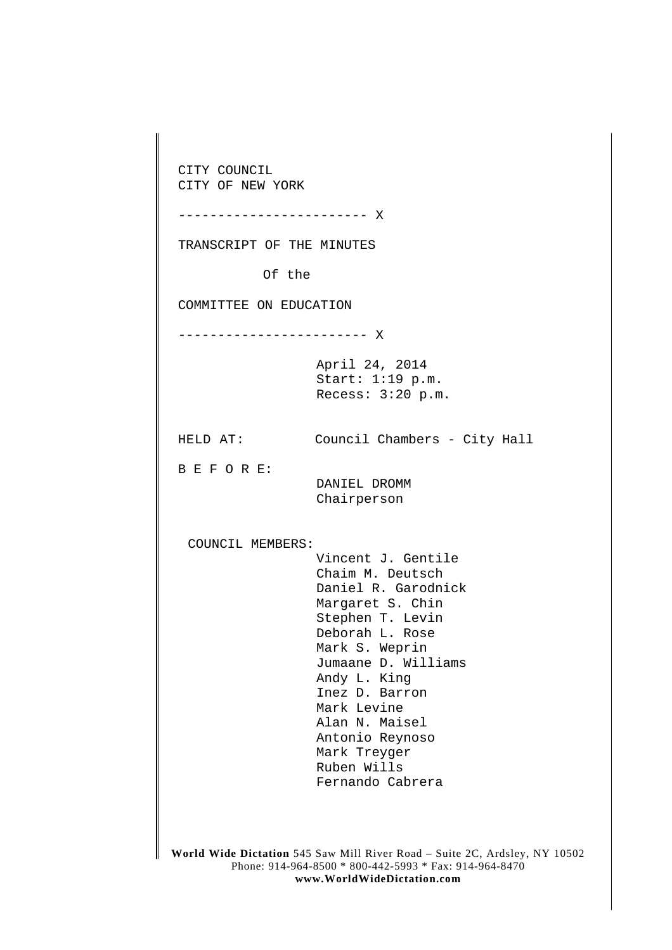**World Wide Dictation** 545 Saw Mill River Road – Suite 2C, Ardsley, NY 10502 Phone: 914-964-8500 \* 800-442-5993 \* Fax: 914-964-8470 CITY COUNCIL CITY OF NEW YORK ------------------------ X TRANSCRIPT OF THE MINUTES Of the COMMITTEE ON EDUCATION ------------------------ X April 24, 2014 Start: 1:19 p.m. Recess: 3:20 p.m. HELD AT: Council Chambers - City Hall B E F O R E: DANIEL DROMM Chairperson COUNCIL MEMBERS: Vincent J. Gentile Chaim M. Deutsch Daniel R. Garodnick Margaret S. Chin Stephen T. Levin Deborah L. Rose Mark S. Weprin Jumaane D. Williams Andy L. King Inez D. Barron Mark Levine Alan N. Maisel Antonio Reynoso Mark Treyger Ruben Wills Fernando Cabrera

**www.WorldWideDictation.com**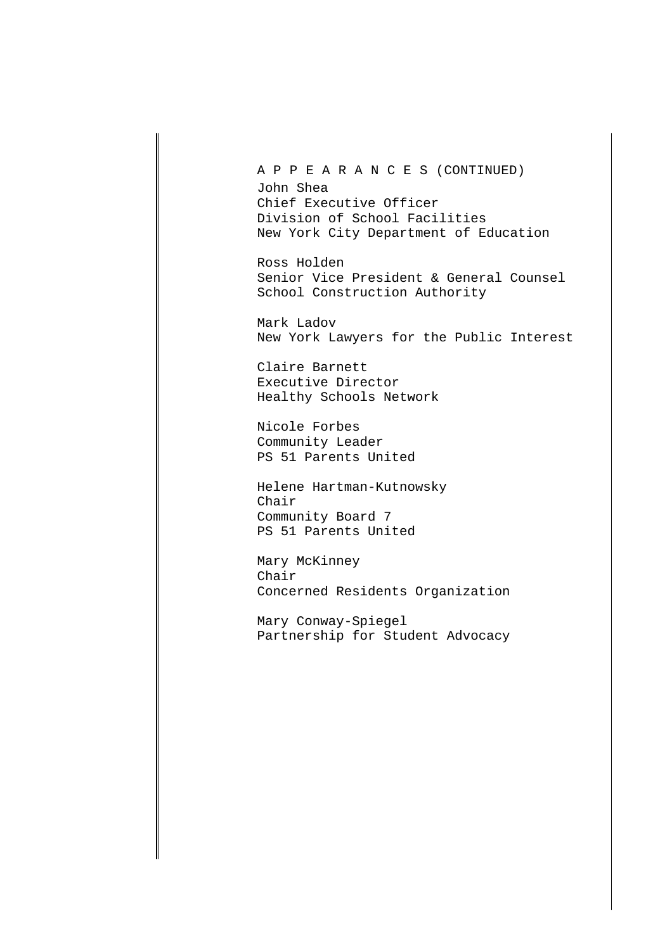A P P E A R A N C E S (CONTINUED)

John Shea Chief Executive Officer Division of School Facilities New York City Department of Education

Ross Holden Senior Vice President & General Counsel School Construction Authority

Mark Ladov New York Lawyers for the Public Interest

Claire Barnett Executive Director Healthy Schools Network

Nicole Forbes Community Leader PS 51 Parents United

Helene Hartman-Kutnowsky Chair Community Board 7 PS 51 Parents United

Mary McKinney Chair Concerned Residents Organization

Mary Conway-Spiegel Partnership for Student Advocacy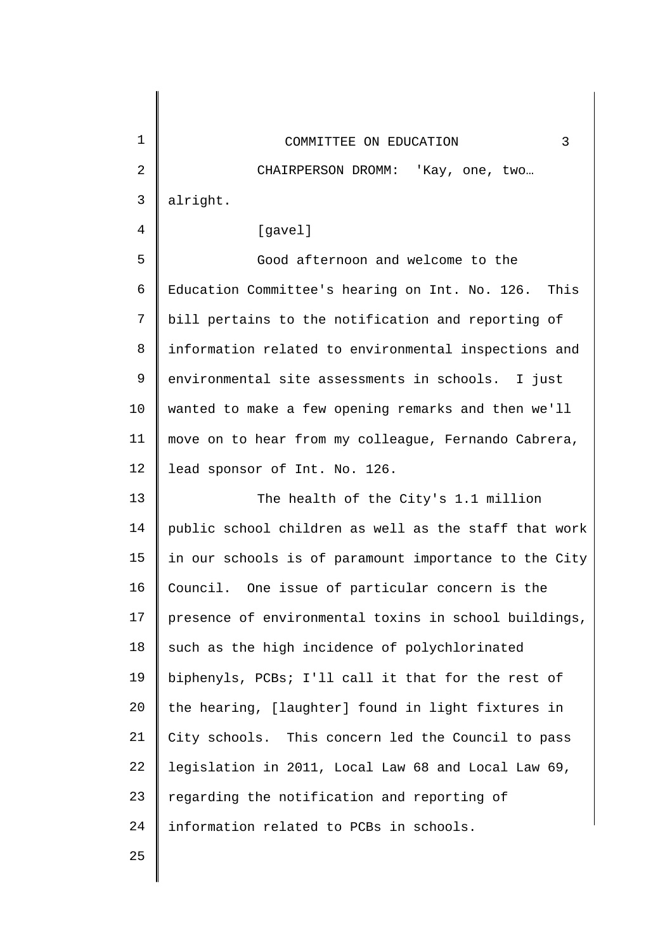| 1<br>3<br>COMMITTEE ON EDUCATION<br>$\overline{2}$<br>CHAIRPERSON DROMM: 'Kay, one, two<br>$\mathsf{3}$<br>alright.<br>4<br>[gavel]<br>5<br>Good afternoon and welcome to the<br>6<br>Education Committee's hearing on Int. No. 126.<br>This<br>7<br>bill pertains to the notification and reporting of<br>8<br>information related to environmental inspections and<br>9<br>environmental site assessments in schools. I just<br>10<br>wanted to make a few opening remarks and then we'll<br>11<br>move on to hear from my colleague, Fernando Cabrera,<br>12<br>lead sponsor of Int. No. 126.<br>13<br>The health of the City's 1.1 million<br>14<br>public school children as well as the staff that work |  |
|---------------------------------------------------------------------------------------------------------------------------------------------------------------------------------------------------------------------------------------------------------------------------------------------------------------------------------------------------------------------------------------------------------------------------------------------------------------------------------------------------------------------------------------------------------------------------------------------------------------------------------------------------------------------------------------------------------------|--|
|                                                                                                                                                                                                                                                                                                                                                                                                                                                                                                                                                                                                                                                                                                               |  |
|                                                                                                                                                                                                                                                                                                                                                                                                                                                                                                                                                                                                                                                                                                               |  |
|                                                                                                                                                                                                                                                                                                                                                                                                                                                                                                                                                                                                                                                                                                               |  |
|                                                                                                                                                                                                                                                                                                                                                                                                                                                                                                                                                                                                                                                                                                               |  |
|                                                                                                                                                                                                                                                                                                                                                                                                                                                                                                                                                                                                                                                                                                               |  |
|                                                                                                                                                                                                                                                                                                                                                                                                                                                                                                                                                                                                                                                                                                               |  |
|                                                                                                                                                                                                                                                                                                                                                                                                                                                                                                                                                                                                                                                                                                               |  |
|                                                                                                                                                                                                                                                                                                                                                                                                                                                                                                                                                                                                                                                                                                               |  |
|                                                                                                                                                                                                                                                                                                                                                                                                                                                                                                                                                                                                                                                                                                               |  |
|                                                                                                                                                                                                                                                                                                                                                                                                                                                                                                                                                                                                                                                                                                               |  |
|                                                                                                                                                                                                                                                                                                                                                                                                                                                                                                                                                                                                                                                                                                               |  |
|                                                                                                                                                                                                                                                                                                                                                                                                                                                                                                                                                                                                                                                                                                               |  |
|                                                                                                                                                                                                                                                                                                                                                                                                                                                                                                                                                                                                                                                                                                               |  |
|                                                                                                                                                                                                                                                                                                                                                                                                                                                                                                                                                                                                                                                                                                               |  |
| 15<br>in our schools is of paramount importance to the City                                                                                                                                                                                                                                                                                                                                                                                                                                                                                                                                                                                                                                                   |  |
| 16<br>Council. One issue of particular concern is the                                                                                                                                                                                                                                                                                                                                                                                                                                                                                                                                                                                                                                                         |  |
| 17<br>presence of environmental toxins in school buildings,                                                                                                                                                                                                                                                                                                                                                                                                                                                                                                                                                                                                                                                   |  |
| 18<br>such as the high incidence of polychlorinated                                                                                                                                                                                                                                                                                                                                                                                                                                                                                                                                                                                                                                                           |  |
| 19<br>biphenyls, PCBs; I'll call it that for the rest of                                                                                                                                                                                                                                                                                                                                                                                                                                                                                                                                                                                                                                                      |  |
| 20<br>the hearing, [laughter] found in light fixtures in                                                                                                                                                                                                                                                                                                                                                                                                                                                                                                                                                                                                                                                      |  |
| 21<br>City schools. This concern led the Council to pass                                                                                                                                                                                                                                                                                                                                                                                                                                                                                                                                                                                                                                                      |  |
| 22<br>legislation in 2011, Local Law 68 and Local Law 69,                                                                                                                                                                                                                                                                                                                                                                                                                                                                                                                                                                                                                                                     |  |
| 23<br>regarding the notification and reporting of                                                                                                                                                                                                                                                                                                                                                                                                                                                                                                                                                                                                                                                             |  |
| 24<br>information related to PCBs in schools.                                                                                                                                                                                                                                                                                                                                                                                                                                                                                                                                                                                                                                                                 |  |
| 25                                                                                                                                                                                                                                                                                                                                                                                                                                                                                                                                                                                                                                                                                                            |  |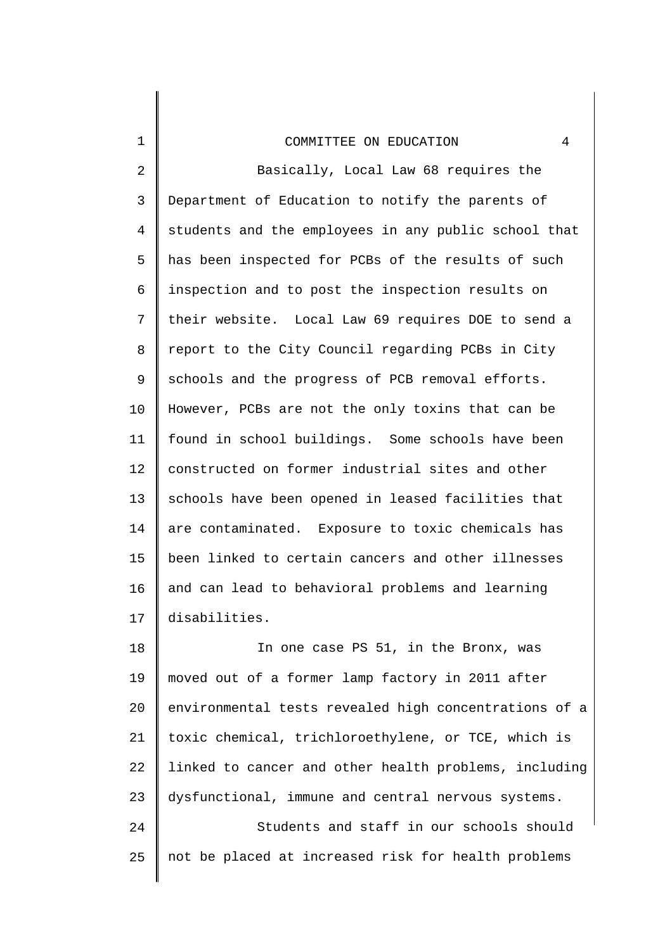1

2 3 4 5 6 7 8 9 10 11 12 13 14 15 16 17 Basically, Local Law 68 requires the Department of Education to notify the parents of students and the employees in any public school that has been inspected for PCBs of the results of such inspection and to post the inspection results on their website. Local Law 69 requires DOE to send a report to the City Council regarding PCBs in City schools and the progress of PCB removal efforts. However, PCBs are not the only toxins that can be found in school buildings. Some schools have been constructed on former industrial sites and other schools have been opened in leased facilities that are contaminated. Exposure to toxic chemicals has been linked to certain cancers and other illnesses and can lead to behavioral problems and learning disabilities.

18 19 20 21 22 23 24 25 In one case PS 51, in the Bronx, was moved out of a former lamp factory in 2011 after environmental tests revealed high concentrations of a toxic chemical, trichloroethylene, or TCE, which is linked to cancer and other health problems, including dysfunctional, immune and central nervous systems. Students and staff in our schools should not be placed at increased risk for health problems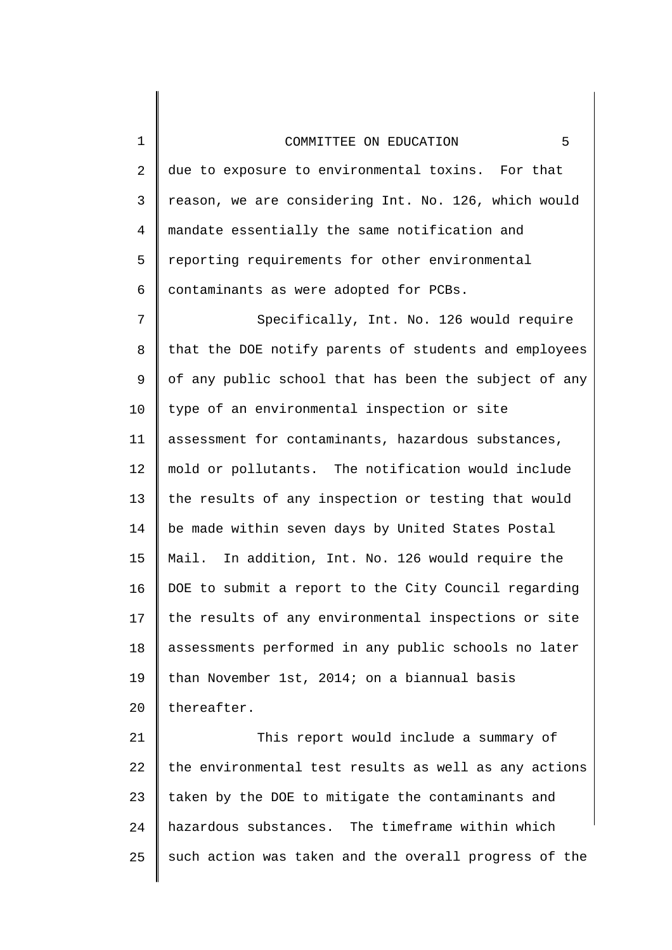| $\mathbf 1$    | 5<br>COMMITTEE ON EDUCATION                           |
|----------------|-------------------------------------------------------|
| $\overline{2}$ | due to exposure to environmental toxins. For that     |
| 3              | reason, we are considering Int. No. 126, which would  |
| $\overline{4}$ | mandate essentially the same notification and         |
| 5              | reporting requirements for other environmental        |
| 6              | contaminants as were adopted for PCBs.                |
| 7              | Specifically, Int. No. 126 would require              |
| 8              | that the DOE notify parents of students and employees |
| 9              | of any public school that has been the subject of any |
| 10             | type of an environmental inspection or site           |
| 11             | assessment for contaminants, hazardous substances,    |
| 12             | mold or pollutants. The notification would include    |
| 13             | the results of any inspection or testing that would   |
| 14             | be made within seven days by United States Postal     |
| 15             | Mail. In addition, Int. No. 126 would require the     |
| 16             | DOE to submit a report to the City Council regarding  |
| 17             | the results of any environmental inspections or site  |
| 18             | assessments performed in any public schools no later  |
| 19             | than November 1st, 2014; on a biannual basis          |
| 20             | thereafter.                                           |
| 21             | This report would include a summary of                |
| 22             | the environmental test results as well as any actions |
| 23             | taken by the DOE to mitigate the contaminants and     |
| 24             | hazardous substances. The timeframe within which      |

25 such action was taken and the overall progress of the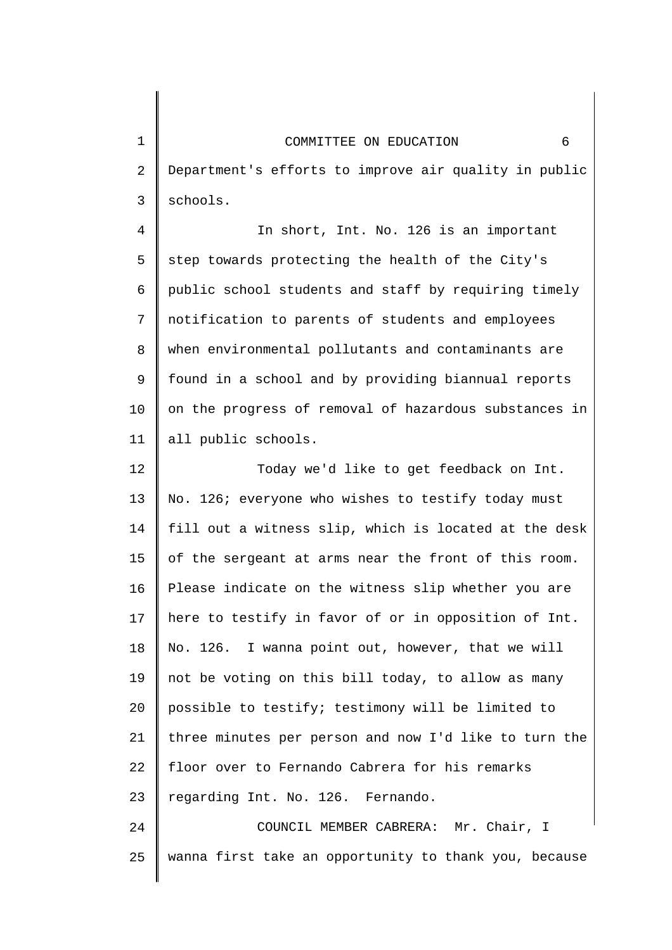1

2 3 Department's efforts to improve air quality in public schools.

4 5 6 7 8 9 10 11 In short, Int. No. 126 is an important step towards protecting the health of the City's public school students and staff by requiring timely notification to parents of students and employees when environmental pollutants and contaminants are found in a school and by providing biannual reports on the progress of removal of hazardous substances in all public schools.

12 13 14 15 16 17 18 19 20 21 22 23 24 Today we'd like to get feedback on Int. No. 126; everyone who wishes to testify today must fill out a witness slip, which is located at the desk of the sergeant at arms near the front of this room. Please indicate on the witness slip whether you are here to testify in favor of or in opposition of Int. No. 126. I wanna point out, however, that we will not be voting on this bill today, to allow as many possible to testify; testimony will be limited to three minutes per person and now I'd like to turn the floor over to Fernando Cabrera for his remarks regarding Int. No. 126. Fernando.

25 COUNCIL MEMBER CABRERA: Mr. Chair, I wanna first take an opportunity to thank you, because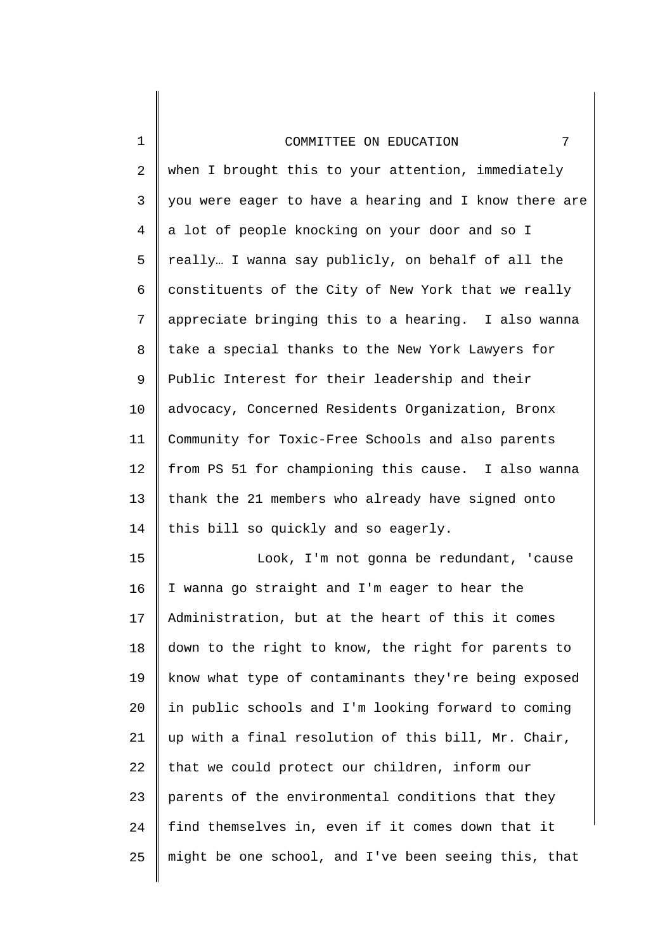1

2 3 4 5 6 7 8 9 10 11 12 13 14 when I brought this to your attention, immediately you were eager to have a hearing and I know there are a lot of people knocking on your door and so I really… I wanna say publicly, on behalf of all the constituents of the City of New York that we really appreciate bringing this to a hearing. I also wanna take a special thanks to the New York Lawyers for Public Interest for their leadership and their advocacy, Concerned Residents Organization, Bronx Community for Toxic-Free Schools and also parents from PS 51 for championing this cause. I also wanna thank the 21 members who already have signed onto this bill so quickly and so eagerly.

15 16 17 18 19 20 21 22 23 24 25 Look, I'm not gonna be redundant, 'cause I wanna go straight and I'm eager to hear the Administration, but at the heart of this it comes down to the right to know, the right for parents to know what type of contaminants they're being exposed in public schools and I'm looking forward to coming up with a final resolution of this bill, Mr. Chair, that we could protect our children, inform our parents of the environmental conditions that they find themselves in, even if it comes down that it might be one school, and I've been seeing this, that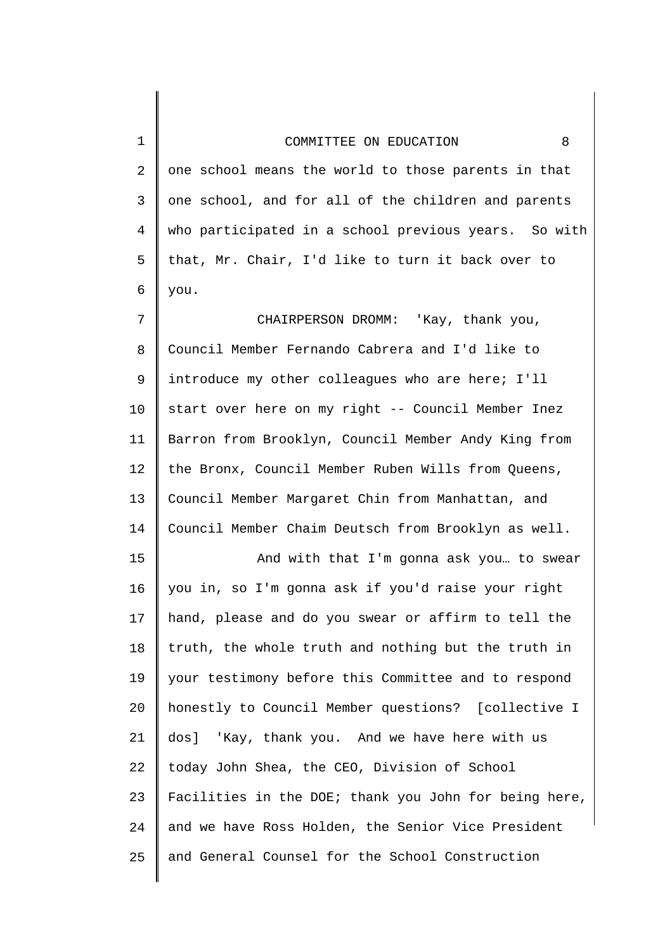| $\mathbf 1$    | COMMITTEE ON EDUCATION<br>8                           |
|----------------|-------------------------------------------------------|
| $\overline{2}$ | one school means the world to those parents in that   |
| 3              | one school, and for all of the children and parents   |
| 4              | who participated in a school previous years. So with  |
| 5              | that, Mr. Chair, I'd like to turn it back over to     |
| 6              | you.                                                  |
| 7              | CHAIRPERSON DROMM: 'Kay, thank you,                   |
| 8              | Council Member Fernando Cabrera and I'd like to       |
| 9              | introduce my other colleagues who are here; I'll      |
| 10             | start over here on my right -- Council Member Inez    |
| 11             | Barron from Brooklyn, Council Member Andy King from   |
| 12             | the Bronx, Council Member Ruben Wills from Queens,    |
| 13             | Council Member Margaret Chin from Manhattan, and      |
| 14             | Council Member Chaim Deutsch from Brooklyn as well.   |
| 15             | And with that I'm gonna ask you to swear              |
| 16             | you in, so I'm gonna ask if you'd raise your right    |
| 17             | hand, please and do you swear or affirm to tell the   |
| 18             | truth, the whole truth and nothing but the truth in   |
| 19             | your testimony before this Committee and to respond   |
| 20             | honestly to Council Member questions? [collective I   |
| 21             | 'Kay, thank you. And we have here with us<br>dos]     |
| 22             | today John Shea, the CEO, Division of School          |
| 23             | Facilities in the DOE; thank you John for being here, |
| 24             | and we have Ross Holden, the Senior Vice President    |
| 25             | and General Counsel for the School Construction       |
|                |                                                       |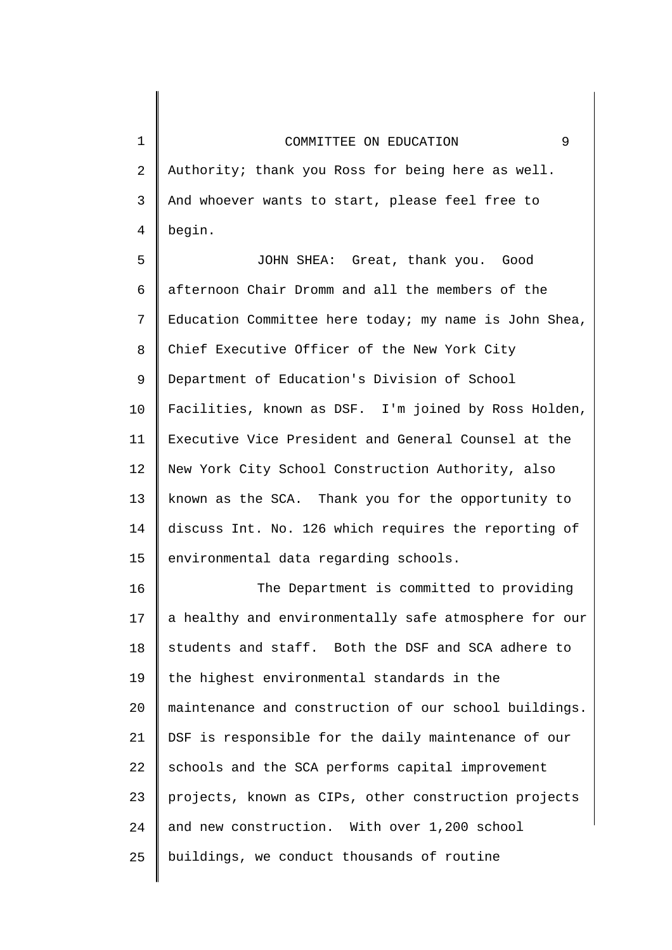2 3 4 Authority; thank you Ross for being here as well. And whoever wants to start, please feel free to begin.

1

5 6 7 8 9 10 11 12 13 14 15 JOHN SHEA: Great, thank you. Good afternoon Chair Dromm and all the members of the Education Committee here today; my name is John Shea, Chief Executive Officer of the New York City Department of Education's Division of School Facilities, known as DSF. I'm joined by Ross Holden, Executive Vice President and General Counsel at the New York City School Construction Authority, also known as the SCA. Thank you for the opportunity to discuss Int. No. 126 which requires the reporting of environmental data regarding schools.

16 17 18 19 20 21 22 23 24 25 The Department is committed to providing a healthy and environmentally safe atmosphere for our students and staff. Both the DSF and SCA adhere to the highest environmental standards in the maintenance and construction of our school buildings. DSF is responsible for the daily maintenance of our schools and the SCA performs capital improvement projects, known as CIPs, other construction projects and new construction. With over 1,200 school buildings, we conduct thousands of routine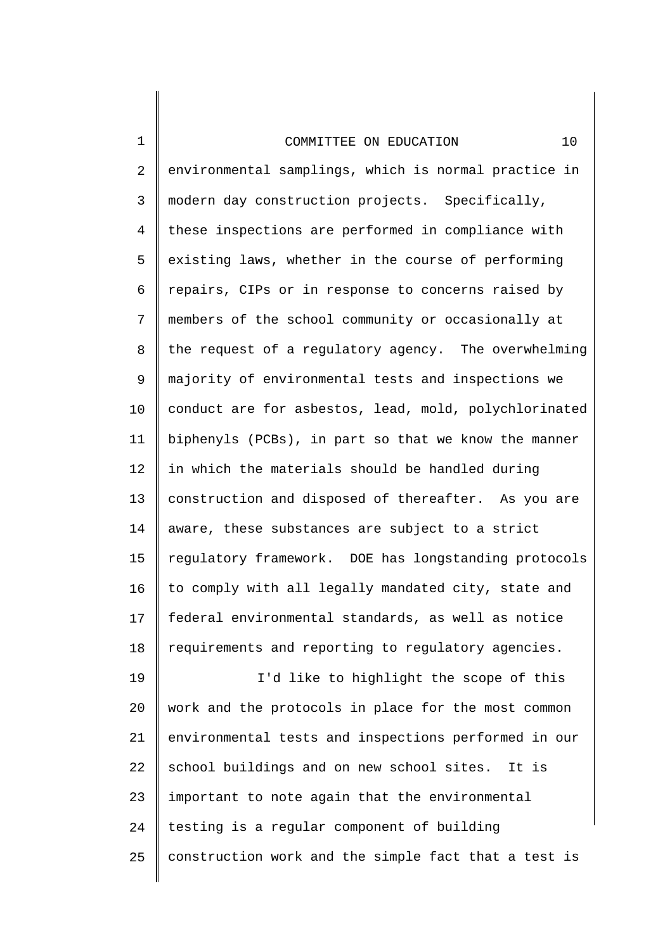| $\mathbf 1$    | 10<br>COMMITTEE ON EDUCATION                          |
|----------------|-------------------------------------------------------|
| $\overline{2}$ | environmental samplings, which is normal practice in  |
| 3              | modern day construction projects. Specifically,       |
| 4              | these inspections are performed in compliance with    |
| 5              | existing laws, whether in the course of performing    |
| 6              | repairs, CIPs or in response to concerns raised by    |
| 7              | members of the school community or occasionally at    |
| 8              | the request of a regulatory agency. The overwhelming  |
| 9              | majority of environmental tests and inspections we    |
| 10             | conduct are for asbestos, lead, mold, polychlorinated |
| 11             | biphenyls (PCBs), in part so that we know the manner  |
| 12             | in which the materials should be handled during       |
| 13             | construction and disposed of thereafter. As you are   |
| 14             | aware, these substances are subject to a strict       |
| 15             | regulatory framework. DOE has longstanding protocols  |
| 16             | to comply with all legally mandated city, state and   |
| 17             | federal environmental standards, as well as notice    |
| 18             | requirements and reporting to regulatory agencies.    |
| 19             | I'd like to highlight the scope of this               |
| 20             | work and the protocols in place for the most common   |
| 21             | environmental tests and inspections performed in our  |

22 23 24 school buildings and on new school sites. It is important to note again that the environmental testing is a regular component of building

25

construction work and the simple fact that a test is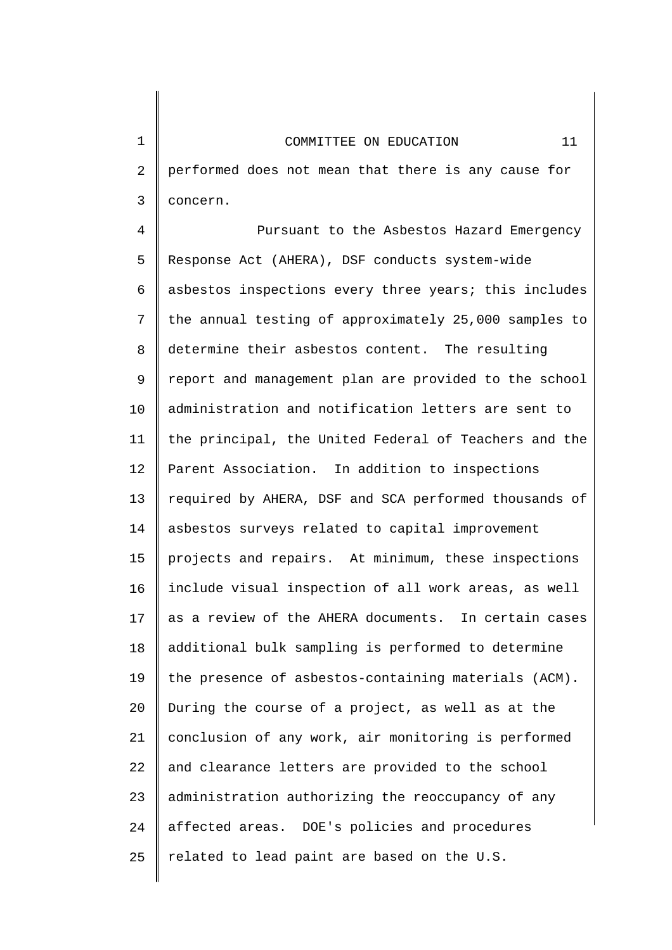2 3 performed does not mean that there is any cause for concern.

4 5 6 7 8 9 10 11 12 13 14 15 16 17 18 19 20 21 22 23 24 25 Pursuant to the Asbestos Hazard Emergency Response Act (AHERA), DSF conducts system-wide asbestos inspections every three years; this includes the annual testing of approximately 25,000 samples to determine their asbestos content. The resulting report and management plan are provided to the school administration and notification letters are sent to the principal, the United Federal of Teachers and the Parent Association. In addition to inspections required by AHERA, DSF and SCA performed thousands of asbestos surveys related to capital improvement projects and repairs. At minimum, these inspections include visual inspection of all work areas, as well as a review of the AHERA documents. In certain cases additional bulk sampling is performed to determine the presence of asbestos-containing materials (ACM). During the course of a project, as well as at the conclusion of any work, air monitoring is performed and clearance letters are provided to the school administration authorizing the reoccupancy of any affected areas. DOE's policies and procedures related to lead paint are based on the U.S.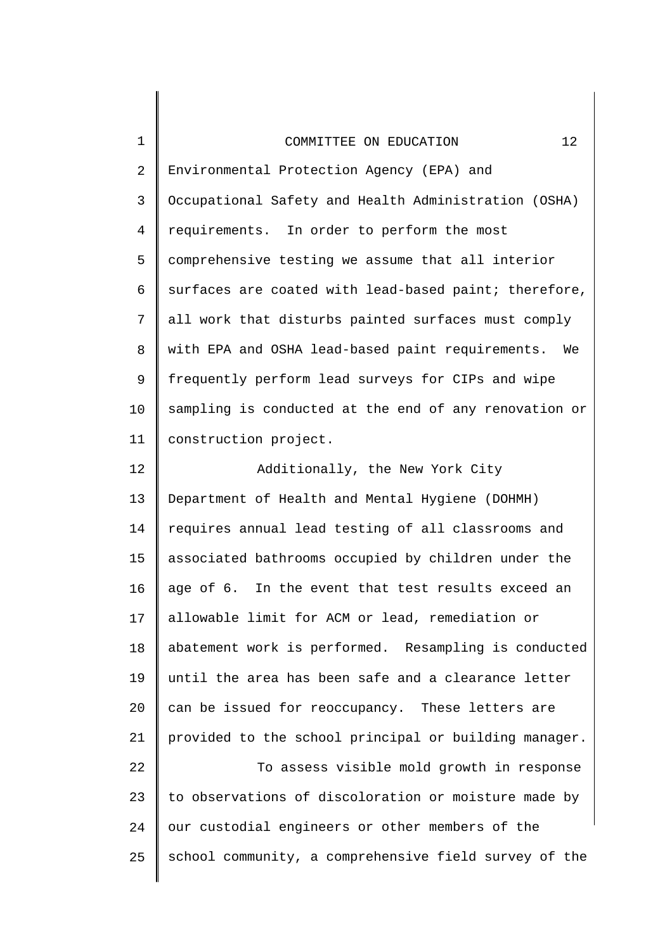| COMMITTEE ON EDUCATION |  |  |  |
|------------------------|--|--|--|
|------------------------|--|--|--|

1

2 3 4 5 6 7 8 9 10 11 Environmental Protection Agency (EPA) and Occupational Safety and Health Administration (OSHA) requirements. In order to perform the most comprehensive testing we assume that all interior surfaces are coated with lead-based paint; therefore, all work that disturbs painted surfaces must comply with EPA and OSHA lead-based paint requirements. We frequently perform lead surveys for CIPs and wipe sampling is conducted at the end of any renovation or construction project.

12 13 14 15 16 17 18 19 20 21 22 23 24 25 Additionally, the New York City Department of Health and Mental Hygiene (DOHMH) requires annual lead testing of all classrooms and associated bathrooms occupied by children under the age of 6. In the event that test results exceed an allowable limit for ACM or lead, remediation or abatement work is performed. Resampling is conducted until the area has been safe and a clearance letter can be issued for reoccupancy. These letters are provided to the school principal or building manager. To assess visible mold growth in response to observations of discoloration or moisture made by our custodial engineers or other members of the school community, a comprehensive field survey of the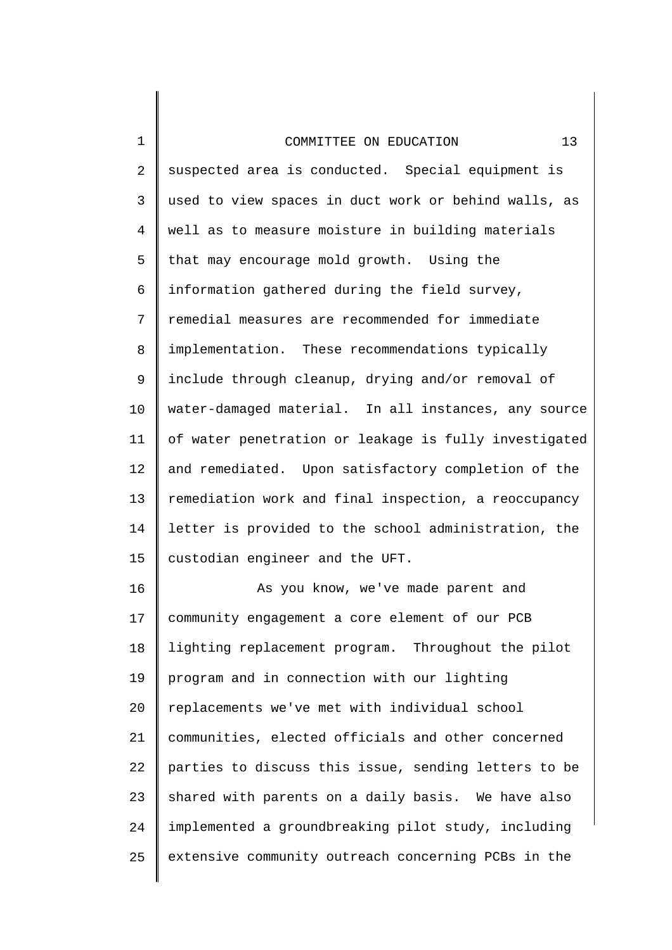| $1\,$          | 13<br>COMMITTEE ON EDUCATION                          |
|----------------|-------------------------------------------------------|
| $\overline{2}$ | suspected area is conducted. Special equipment is     |
| 3              | used to view spaces in duct work or behind walls, as  |
| 4              | well as to measure moisture in building materials     |
| 5              | that may encourage mold growth. Using the             |
| 6              | information gathered during the field survey,         |
| 7              | remedial measures are recommended for immediate       |
| 8              | implementation. These recommendations typically       |
| 9              | include through cleanup, drying and/or removal of     |
| 10             | water-damaged material. In all instances, any source  |
| 11             | of water penetration or leakage is fully investigated |
| 12             | and remediated. Upon satisfactory completion of the   |
| 13             | remediation work and final inspection, a reoccupancy  |
| 14             | letter is provided to the school administration, the  |
| 15             | custodian engineer and the UFT.                       |
| 16             | As you know, we've made parent and                    |
| 17             | community engagement a core element of our PCB        |

17 18 19 20 21 22 23 24 25 lighting replacement program. Throughout the pilot program and in connection with our lighting replacements we've met with individual school communities, elected officials and other concerned parties to discuss this issue, sending letters to be shared with parents on a daily basis. We have also implemented a groundbreaking pilot study, including extensive community outreach concerning PCBs in the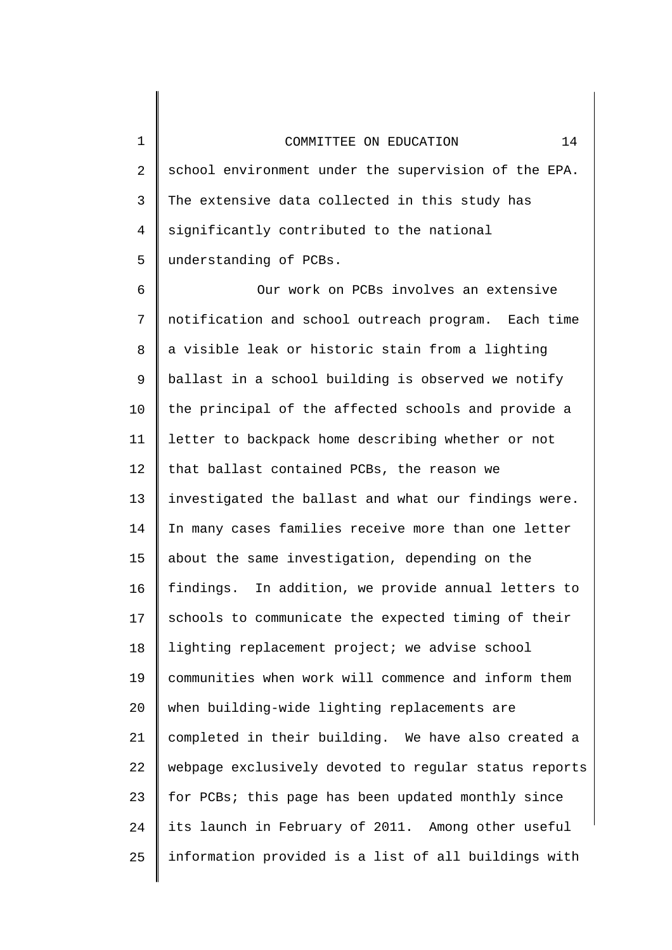1 2 3 4 5 school environment under the supervision of the EPA. The extensive data collected in this study has significantly contributed to the national understanding of PCBs.

6 7 8 9 10 11 12 13 14 15 16 17 18 19 20 21 22 23 24 25 Our work on PCBs involves an extensive notification and school outreach program. Each time a visible leak or historic stain from a lighting ballast in a school building is observed we notify the principal of the affected schools and provide a letter to backpack home describing whether or not that ballast contained PCBs, the reason we investigated the ballast and what our findings were. In many cases families receive more than one letter about the same investigation, depending on the findings. In addition, we provide annual letters to schools to communicate the expected timing of their lighting replacement project; we advise school communities when work will commence and inform them when building-wide lighting replacements are completed in their building. We have also created a webpage exclusively devoted to regular status reports for PCBs; this page has been updated monthly since its launch in February of 2011. Among other useful information provided is a list of all buildings with

# COMMITTEE ON EDUCATION 14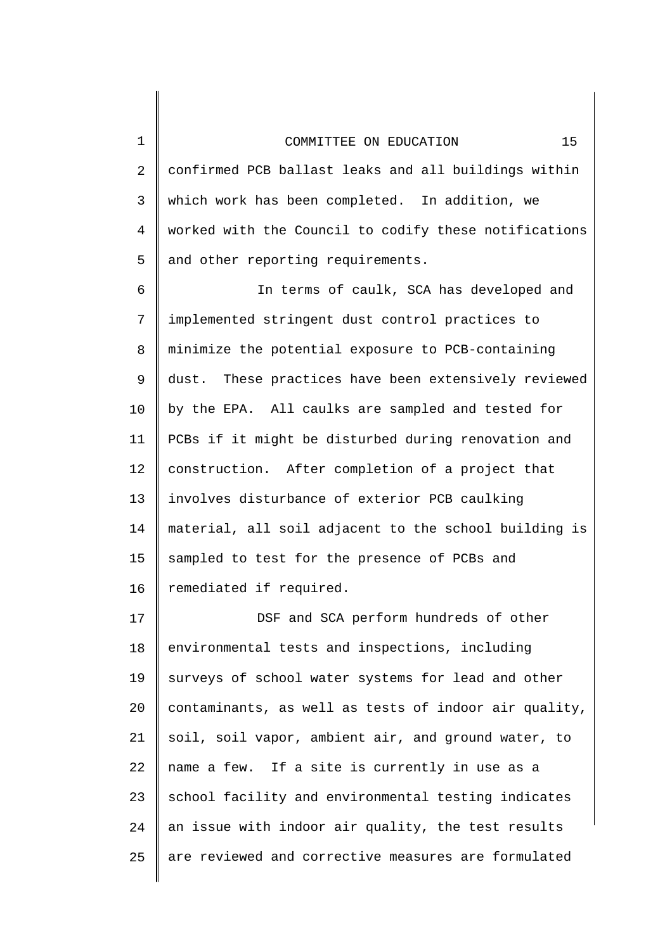1

2 3 4 5 confirmed PCB ballast leaks and all buildings within which work has been completed. In addition, we worked with the Council to codify these notifications and other reporting requirements.

6 7 8 9 10 11 12 13 14 15 16 In terms of caulk, SCA has developed and implemented stringent dust control practices to minimize the potential exposure to PCB-containing dust. These practices have been extensively reviewed by the EPA. All caulks are sampled and tested for PCBs if it might be disturbed during renovation and construction. After completion of a project that involves disturbance of exterior PCB caulking material, all soil adjacent to the school building is sampled to test for the presence of PCBs and remediated if required.

17 18 19 20 21 22 23 24 25 DSF and SCA perform hundreds of other environmental tests and inspections, including surveys of school water systems for lead and other contaminants, as well as tests of indoor air quality, soil, soil vapor, ambient air, and ground water, to name a few. If a site is currently in use as a school facility and environmental testing indicates an issue with indoor air quality, the test results are reviewed and corrective measures are formulated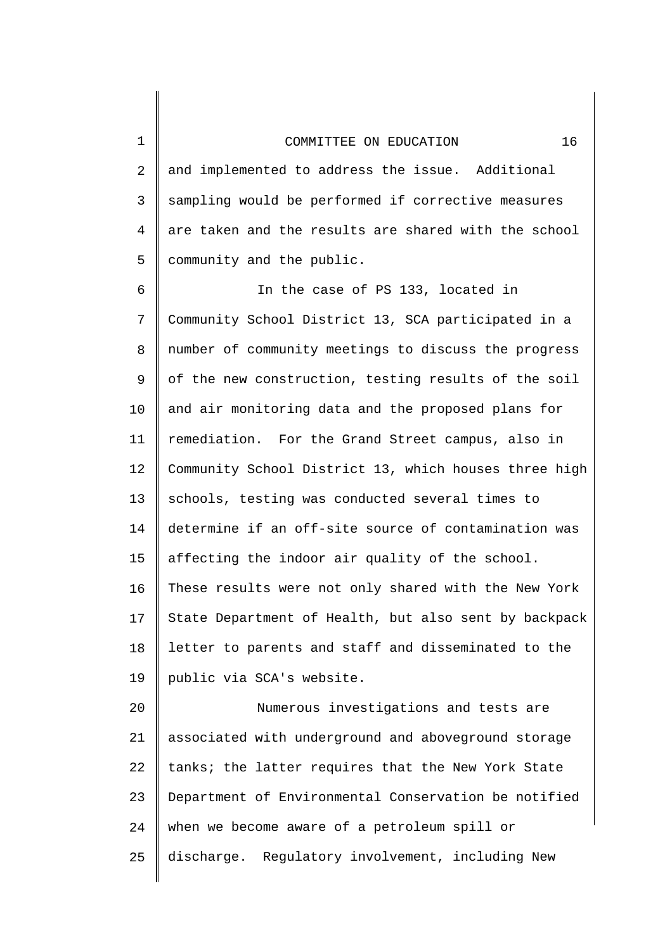1

2 3 4 5 and implemented to address the issue. Additional sampling would be performed if corrective measures are taken and the results are shared with the school community and the public.

6 7 8 9 10 11 12 13 14 15 16 17 18 19 In the case of PS 133, located in Community School District 13, SCA participated in a number of community meetings to discuss the progress of the new construction, testing results of the soil and air monitoring data and the proposed plans for remediation. For the Grand Street campus, also in Community School District 13, which houses three high schools, testing was conducted several times to determine if an off-site source of contamination was affecting the indoor air quality of the school. These results were not only shared with the New York State Department of Health, but also sent by backpack letter to parents and staff and disseminated to the public via SCA's website.

20 21 22 23 24 25 Numerous investigations and tests are associated with underground and aboveground storage tanks; the latter requires that the New York State Department of Environmental Conservation be notified when we become aware of a petroleum spill or discharge. Regulatory involvement, including New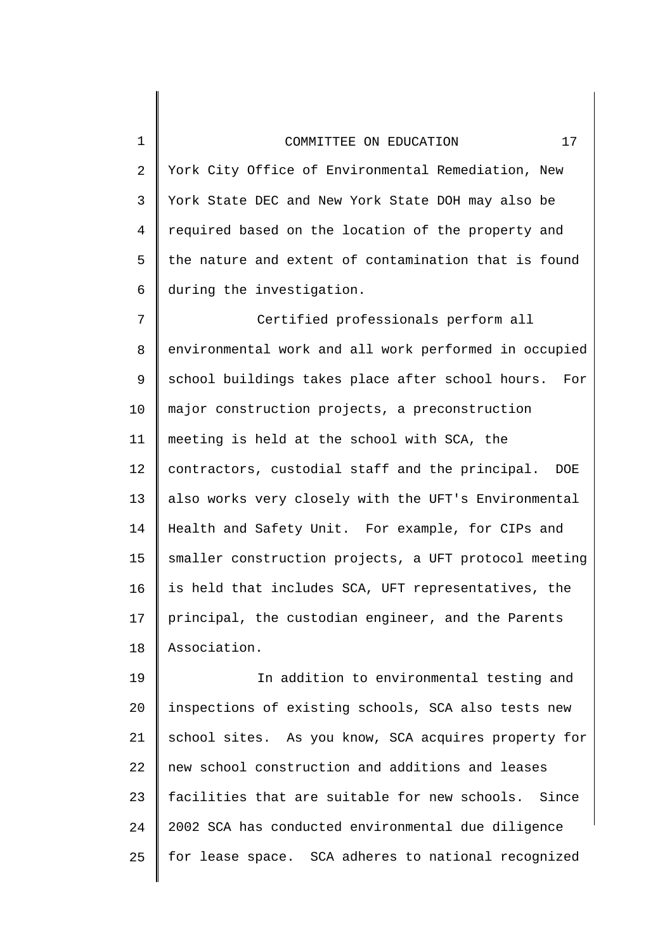1

2 3 4 5 6 York City Office of Environmental Remediation, New York State DEC and New York State DOH may also be required based on the location of the property and the nature and extent of contamination that is found during the investigation.

7 8 9 10 11 12 13 14 15 16 17 18 Certified professionals perform all environmental work and all work performed in occupied school buildings takes place after school hours. For major construction projects, a preconstruction meeting is held at the school with SCA, the contractors, custodial staff and the principal. DOE also works very closely with the UFT's Environmental Health and Safety Unit. For example, for CIPs and smaller construction projects, a UFT protocol meeting is held that includes SCA, UFT representatives, the principal, the custodian engineer, and the Parents Association.

19 20 21 22 23 24 25 In addition to environmental testing and inspections of existing schools, SCA also tests new school sites. As you know, SCA acquires property for new school construction and additions and leases facilities that are suitable for new schools. Since 2002 SCA has conducted environmental due diligence for lease space. SCA adheres to national recognized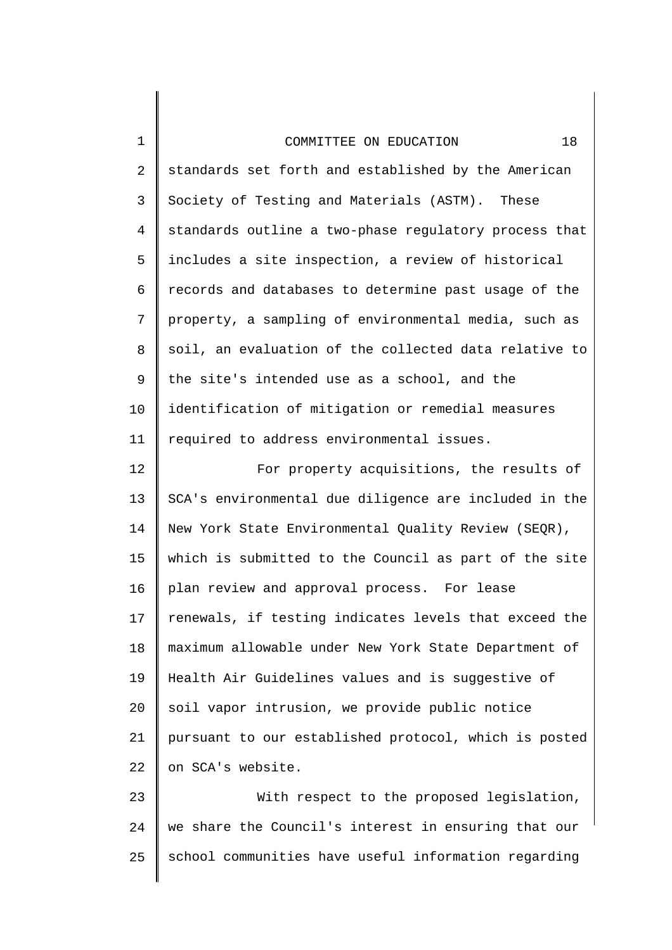1

2 3 4 5 6 7 8 9 10 11 standards set forth and established by the American Society of Testing and Materials (ASTM). These standards outline a two-phase regulatory process that includes a site inspection, a review of historical records and databases to determine past usage of the property, a sampling of environmental media, such as soil, an evaluation of the collected data relative to the site's intended use as a school, and the identification of mitigation or remedial measures required to address environmental issues.

12 13 14 15 16 17 18 19 20 21 22 For property acquisitions, the results of SCA's environmental due diligence are included in the New York State Environmental Quality Review (SEQR), which is submitted to the Council as part of the site plan review and approval process. For lease renewals, if testing indicates levels that exceed the maximum allowable under New York State Department of Health Air Guidelines values and is suggestive of soil vapor intrusion, we provide public notice pursuant to our established protocol, which is posted on SCA's website.

23 24 25 With respect to the proposed legislation, we share the Council's interest in ensuring that our school communities have useful information regarding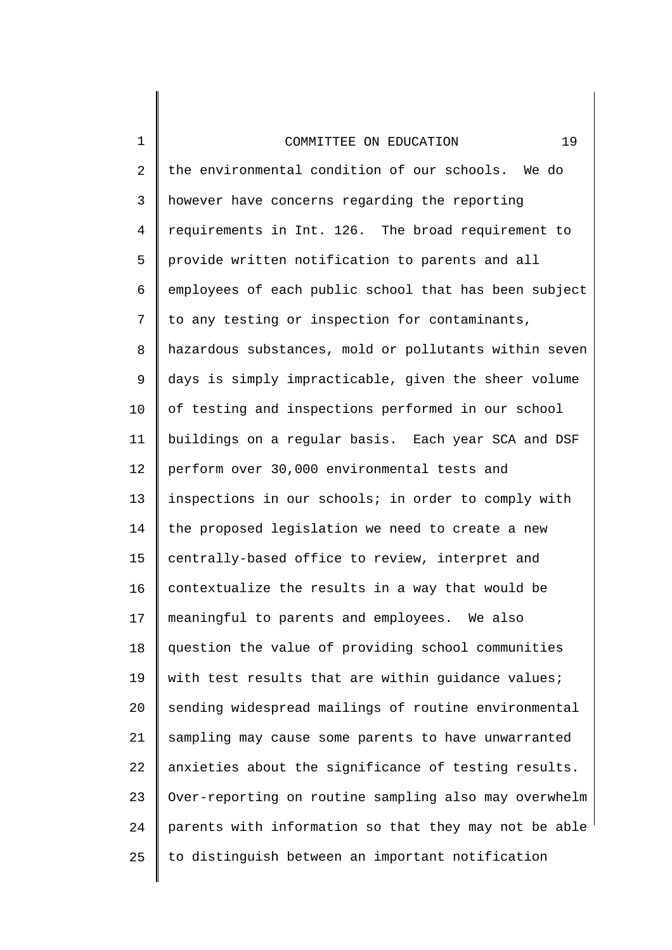1

2 3 4 5 6 7 8 9 10 11 12 13 14 15 16 17 18 19 20 21 22 23 24 25 the environmental condition of our schools. We do however have concerns regarding the reporting requirements in Int. 126. The broad requirement to provide written notification to parents and all employees of each public school that has been subject to any testing or inspection for contaminants, hazardous substances, mold or pollutants within seven days is simply impracticable, given the sheer volume of testing and inspections performed in our school buildings on a regular basis. Each year SCA and DSF perform over 30,000 environmental tests and inspections in our schools; in order to comply with the proposed legislation we need to create a new centrally-based office to review, interpret and contextualize the results in a way that would be meaningful to parents and employees. We also question the value of providing school communities with test results that are within guidance values; sending widespread mailings of routine environmental sampling may cause some parents to have unwarranted anxieties about the significance of testing results. Over-reporting on routine sampling also may overwhelm parents with information so that they may not be able to distinguish between an important notification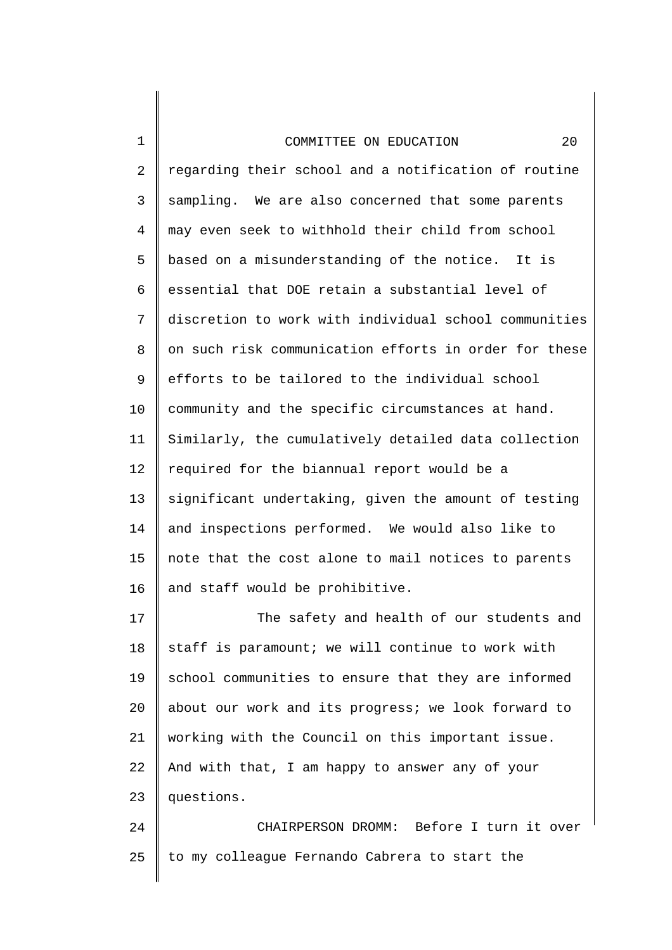| 1              | 20<br>COMMITTEE ON EDUCATION                          |
|----------------|-------------------------------------------------------|
| $\overline{2}$ | regarding their school and a notification of routine  |
| $\mathsf{3}$   | sampling. We are also concerned that some parents     |
| 4              | may even seek to withhold their child from school     |
| 5              | based on a misunderstanding of the notice. It is      |
| 6              | essential that DOE retain a substantial level of      |
| 7              | discretion to work with individual school communities |
| 8              | on such risk communication efforts in order for these |
| 9              | efforts to be tailored to the individual school       |
| 10             | community and the specific circumstances at hand.     |
| 11             | Similarly, the cumulatively detailed data collection  |
| 12             | required for the biannual report would be a           |
| 13             | significant undertaking, given the amount of testing  |
| 14             | and inspections performed. We would also like to      |
| 15             | note that the cost alone to mail notices to parents   |
| 16             | and staff would be prohibitive.                       |
| 17             | The safety and health of our students and             |
| 18             | staff is paramount; we will continue to work with     |

18 19 20 21 22 23 school communities to ensure that they are informed about our work and its progress; we look forward to working with the Council on this important issue. And with that, I am happy to answer any of your questions.

24 25 CHAIRPERSON DROMM: Before I turn it over to my colleague Fernando Cabrera to start the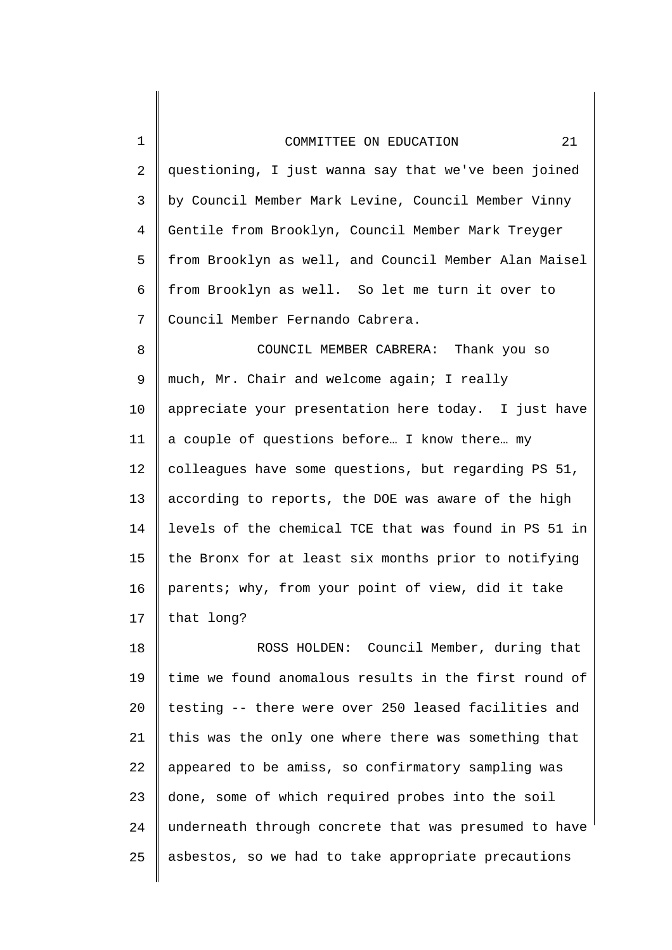| 1  | 21<br>COMMITTEE ON EDUCATION                          |
|----|-------------------------------------------------------|
| 2  | questioning, I just wanna say that we've been joined  |
| 3  | by Council Member Mark Levine, Council Member Vinny   |
| 4  | Gentile from Brooklyn, Council Member Mark Treyger    |
| 5  | from Brooklyn as well, and Council Member Alan Maisel |
| 6  | from Brooklyn as well. So let me turn it over to      |
| 7  | Council Member Fernando Cabrera.                      |
| 8  | COUNCIL MEMBER CABRERA: Thank you so                  |
| 9  | much, Mr. Chair and welcome again; I really           |
| 10 | appreciate your presentation here today. I just have  |
| 11 | a couple of questions before I know there my          |
| 12 | colleagues have some questions, but regarding PS 51,  |
| 13 | according to reports, the DOE was aware of the high   |
| 14 | levels of the chemical TCE that was found in PS 51 in |
| 15 | the Bronx for at least six months prior to notifying  |
| 16 | parents; why, from your point of view, did it take    |
| 17 | that long?                                            |
| 18 | ROSS HOLDEN: Council Member, during that              |
| 19 | time we found anomalous results in the first round of |
| 20 | testing -- there were over 250 leased facilities and  |
| 21 | this was the only one where there was something that  |
| 22 | appeared to be amiss, so confirmatory sampling was    |
| 23 | done, some of which required probes into the soil     |

25 asbestos, so we had to take appropriate precautions

underneath through concrete that was presumed to have

24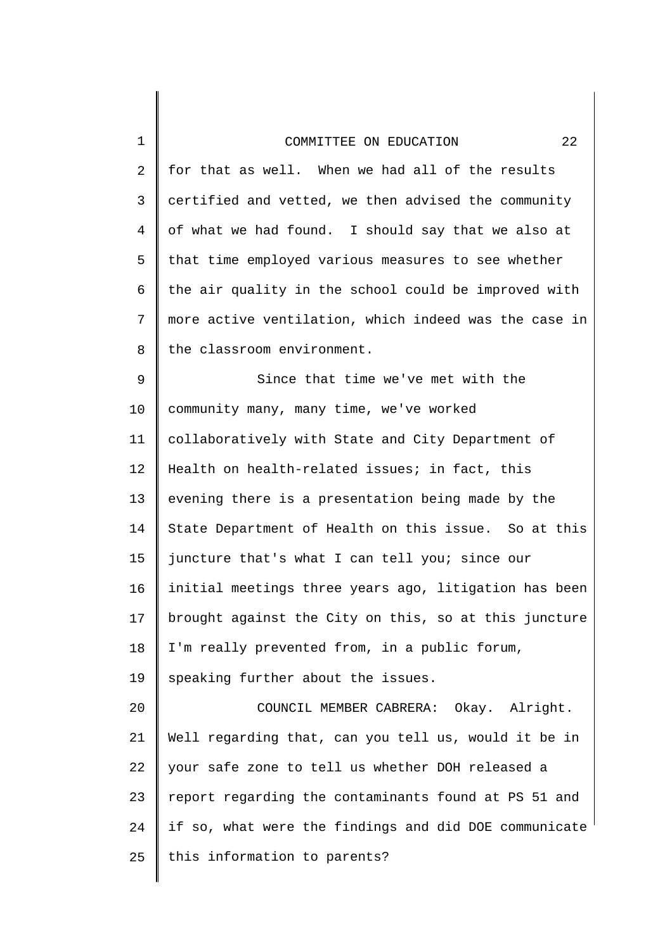1

2 3 4 5 6 7 8 9 10 11 12 13 14 15 16 17 18 19 20 21 22 for that as well. When we had all of the results certified and vetted, we then advised the community of what we had found. I should say that we also at that time employed various measures to see whether the air quality in the school could be improved with more active ventilation, which indeed was the case in the classroom environment. Since that time we've met with the community many, many time, we've worked collaboratively with State and City Department of Health on health-related issues; in fact, this evening there is a presentation being made by the State Department of Health on this issue. So at this juncture that's what I can tell you; since our initial meetings three years ago, litigation has been brought against the City on this, so at this juncture I'm really prevented from, in a public forum, speaking further about the issues. COUNCIL MEMBER CABRERA: Okay. Alright. Well regarding that, can you tell us, would it be in your safe zone to tell us whether DOH released a

23 24 25 report regarding the contaminants found at PS 51 and if so, what were the findings and did DOE communicate this information to parents?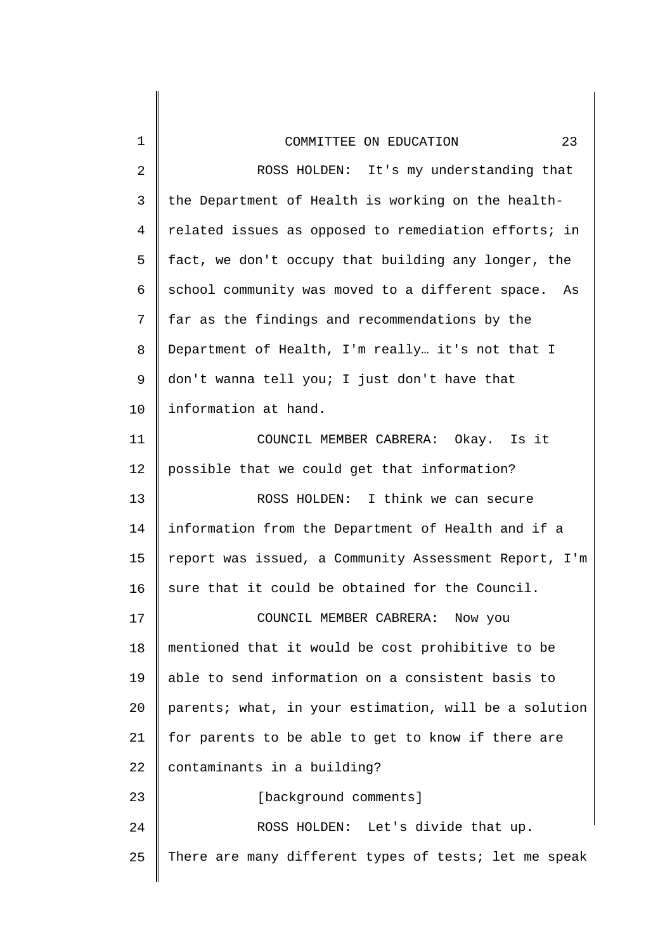| $\mathbf{1}$   | 23<br>COMMITTEE ON EDUCATION                          |
|----------------|-------------------------------------------------------|
| $\overline{2}$ | ROSS HOLDEN: It's my understanding that               |
| $\mathsf{3}$   | the Department of Health is working on the health-    |
| 4              | related issues as opposed to remediation efforts; in  |
| 5              | fact, we don't occupy that building any longer, the   |
| 6              | school community was moved to a different space. As   |
| 7              | far as the findings and recommendations by the        |
| 8              | Department of Health, I'm really it's not that I      |
| 9              | don't wanna tell you; I just don't have that          |
| 10             | information at hand.                                  |
| 11             | COUNCIL MEMBER CABRERA: Okay. Is it                   |
| 12             | possible that we could get that information?          |
| 13             | ROSS HOLDEN: I think we can secure                    |
| 14             | information from the Department of Health and if a    |
| 15             | report was issued, a Community Assessment Report, I'm |
| 16             | sure that it could be obtained for the Council.       |
| 17             | COUNCIL MEMBER CABRERA: Now you                       |
| 18             | mentioned that it would be cost prohibitive to be     |
| 19             | able to send information on a consistent basis to     |
| 20             | parents; what, in your estimation, will be a solution |
| 21             | for parents to be able to get to know if there are    |
| 22             | contaminants in a building?                           |
| 23             | [background comments]                                 |
| 24             | ROSS HOLDEN: Let's divide that up.                    |
| 25             | There are many different types of tests; let me speak |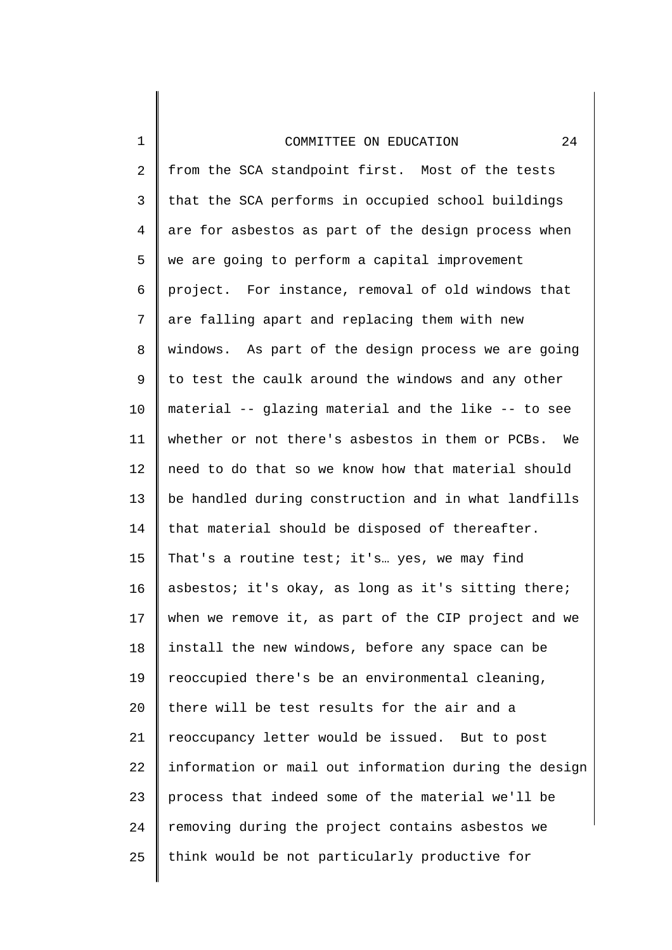1

2 3 4 5 6 7 8 9 10 11 12 13 14 15 16 17 18 19 20 21 22 23 24 25 from the SCA standpoint first. Most of the tests that the SCA performs in occupied school buildings are for asbestos as part of the design process when we are going to perform a capital improvement project. For instance, removal of old windows that are falling apart and replacing them with new windows. As part of the design process we are going to test the caulk around the windows and any other material -- glazing material and the like -- to see whether or not there's asbestos in them or PCBs. We need to do that so we know how that material should be handled during construction and in what landfills that material should be disposed of thereafter. That's a routine test; it's... yes, we may find asbestos; it's okay, as long as it's sitting there; when we remove it, as part of the CIP project and we install the new windows, before any space can be reoccupied there's be an environmental cleaning, there will be test results for the air and a reoccupancy letter would be issued. But to post information or mail out information during the design process that indeed some of the material we'll be removing during the project contains asbestos we think would be not particularly productive for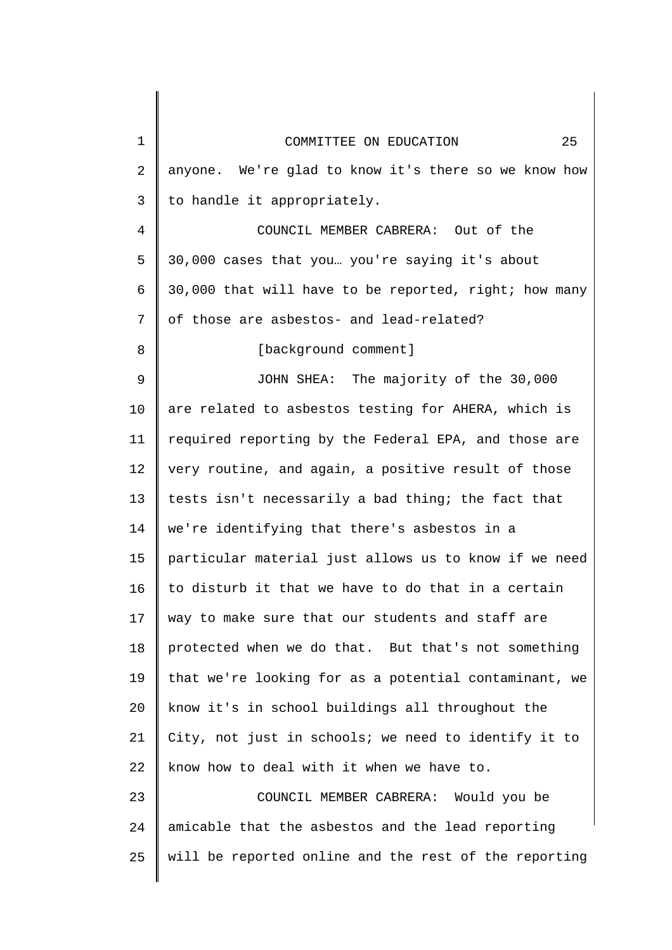| $\mathbf{1}$   | 25<br>COMMITTEE ON EDUCATION                          |
|----------------|-------------------------------------------------------|
| $\overline{a}$ | anyone. We're glad to know it's there so we know how  |
| 3              | to handle it appropriately.                           |
| 4              | COUNCIL MEMBER CABRERA: Out of the                    |
| 5              | 30,000 cases that you you're saying it's about        |
| 6              | 30,000 that will have to be reported, right; how many |
| 7              | of those are asbestos- and lead-related?              |
| 8              | [background comment]                                  |
| 9              | JOHN SHEA: The majority of the 30,000                 |
| 10             | are related to asbestos testing for AHERA, which is   |
| 11             | required reporting by the Federal EPA, and those are  |
| 12             | very routine, and again, a positive result of those   |
| 13             | tests isn't necessarily a bad thing; the fact that    |
| 14             | we're identifying that there's asbestos in a          |
| 15             | particular material just allows us to know if we need |
| 16             | to disturb it that we have to do that in a certain    |
| 17             | way to make sure that our students and staff are      |
| 18             | protected when we do that. But that's not something   |
| 19             | that we're looking for as a potential contaminant, we |
| 20             | know it's in school buildings all throughout the      |
| 21             | City, not just in schools; we need to identify it to  |
| 22             | know how to deal with it when we have to.             |
| 23             | COUNCIL MEMBER CABRERA: Would you be                  |
| 24             | amicable that the asbestos and the lead reporting     |
| 25             | will be reported online and the rest of the reporting |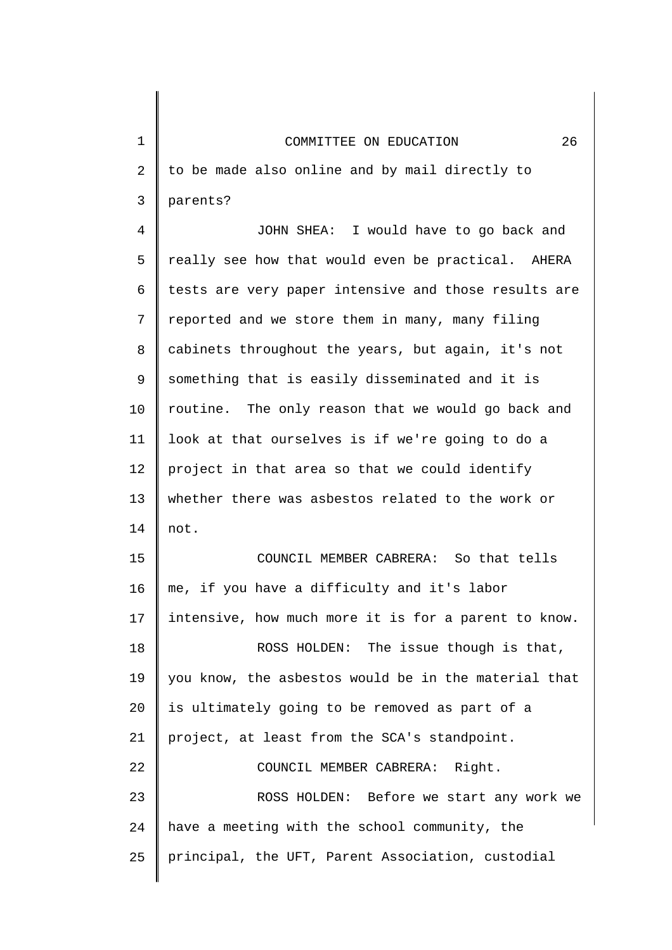| $\mathbf 1$ | COMMITTEE ON EDUCATION<br>26                         |
|-------------|------------------------------------------------------|
| 2           | to be made also online and by mail directly to       |
| 3           | parents?                                             |
| 4           | JOHN SHEA: I would have to go back and               |
| 5           | really see how that would even be practical. AHERA   |
| 6           | tests are very paper intensive and those results are |
| 7           | reported and we store them in many, many filing      |
| 8           | cabinets throughout the years, but again, it's not   |
| 9           | something that is easily disseminated and it is      |
| 10          | routine. The only reason that we would go back and   |
| 11          | look at that ourselves is if we're going to do a     |
| 12          | project in that area so that we could identify       |
| 13          | whether there was asbestos related to the work or    |
| 14          | not.                                                 |
| 15          | COUNCIL MEMBER CABRERA: So that tells                |
| 16          | me, if you have a difficulty and it's labor          |
| 17          | intensive, how much more it is for a parent to know. |
| 18          | ROSS HOLDEN: The issue though is that,               |
| 19          | you know, the asbestos would be in the material that |
| 20          | is ultimately going to be removed as part of a       |
| 21          | project, at least from the SCA's standpoint.         |
| 22          | COUNCIL MEMBER CABRERA: Right.                       |
| 23          | ROSS HOLDEN: Before we start any work we             |
| 24          | have a meeting with the school community, the        |
| 25          | principal, the UFT, Parent Association, custodial    |
|             |                                                      |

 $\begin{array}{c} \hline \end{array}$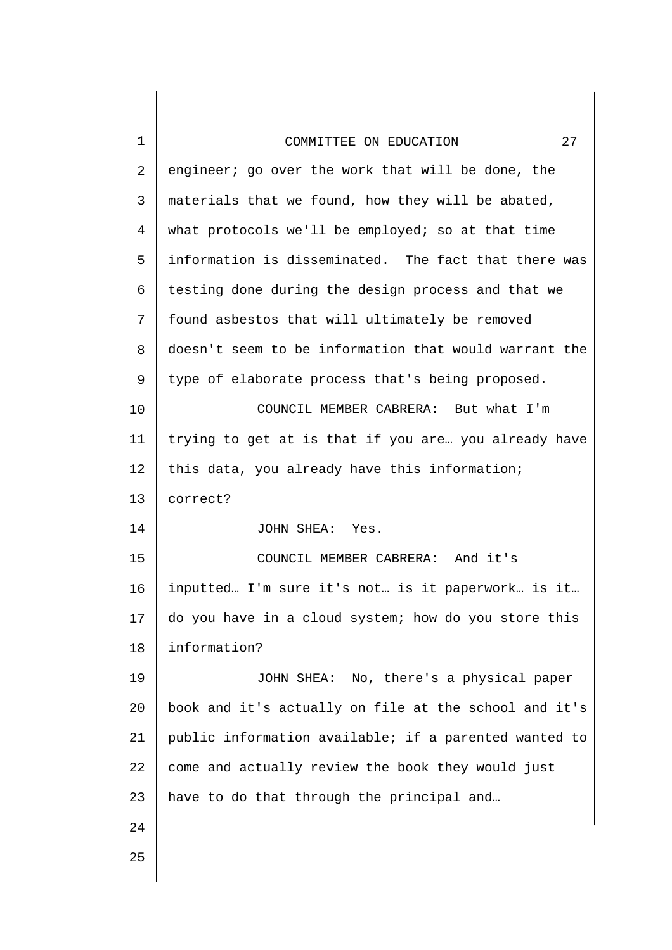| 1              | 27<br>COMMITTEE ON EDUCATION                          |
|----------------|-------------------------------------------------------|
| $\overline{a}$ | engineer; go over the work that will be done, the     |
| 3              | materials that we found, how they will be abated,     |
| $\overline{4}$ | what protocols we'll be employed; so at that time     |
| 5              | information is disseminated. The fact that there was  |
| 6              | testing done during the design process and that we    |
| 7              | found asbestos that will ultimately be removed        |
| 8              | doesn't seem to be information that would warrant the |
| 9              | type of elaborate process that's being proposed.      |
| 10             | COUNCIL MEMBER CABRERA: But what I'm                  |
| 11             | trying to get at is that if you are you already have  |
| 12             | this data, you already have this information;         |
| 13             | correct?                                              |
| 14             | JOHN SHEA: Yes.                                       |
| 15             | COUNCIL MEMBER CABRERA: And it's                      |
| 16             | inputted I'm sure it's not is it paperwork is it      |
| 17             | do you have in a cloud system; how do you store this  |
| 18             | information?                                          |
| 19             | JOHN SHEA: No, there's a physical paper               |
| 20             | book and it's actually on file at the school and it's |
| 21             | public information available; if a parented wanted to |
| 22             | come and actually review the book they would just     |
| 23             | have to do that through the principal and             |
| 24             |                                                       |
| 25             |                                                       |
|                |                                                       |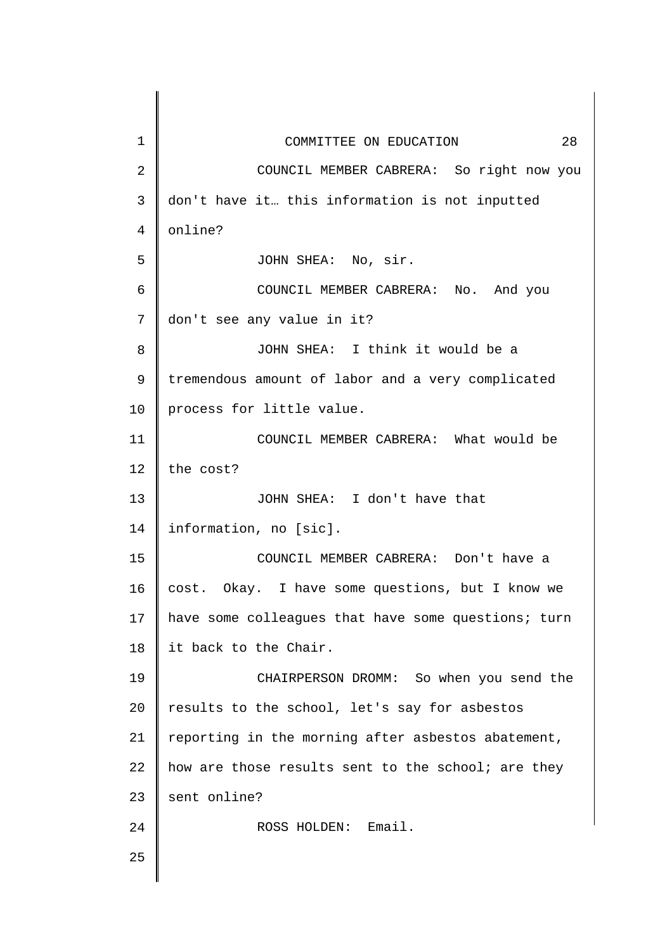| $\mathbf 1$ | 28<br>COMMITTEE ON EDUCATION                        |
|-------------|-----------------------------------------------------|
| 2           | COUNCIL MEMBER CABRERA: So right now you            |
| 3           | don't have it this information is not inputted      |
| 4           | online?                                             |
| 5           | JOHN SHEA: No, sir.                                 |
| 6           | COUNCIL MEMBER CABRERA: No. And you                 |
| 7           | don't see any value in it?                          |
| 8           | JOHN SHEA: I think it would be a                    |
| 9           | tremendous amount of labor and a very complicated   |
| 10          | process for little value.                           |
| 11          | COUNCIL MEMBER CABRERA: What would be               |
| 12          | the cost?                                           |
| 13          | JOHN SHEA: I don't have that                        |
| 14          | information, no [sic].                              |
| 15          | COUNCIL MEMBER CABRERA: Don't have a                |
| 16          | Okay. I have some questions, but I know we<br>cost. |
| 17          | have some colleagues that have some questions; turn |
| 18          | it back to the Chair.                               |
| 19          | CHAIRPERSON DROMM: So when you send the             |
| 20          | results to the school, let's say for asbestos       |
| 21          | reporting in the morning after asbestos abatement,  |
| 22          | how are those results sent to the school; are they  |
| 23          | sent online?                                        |
| 24          | Email.<br>ROSS HOLDEN:                              |
| 25          |                                                     |
|             |                                                     |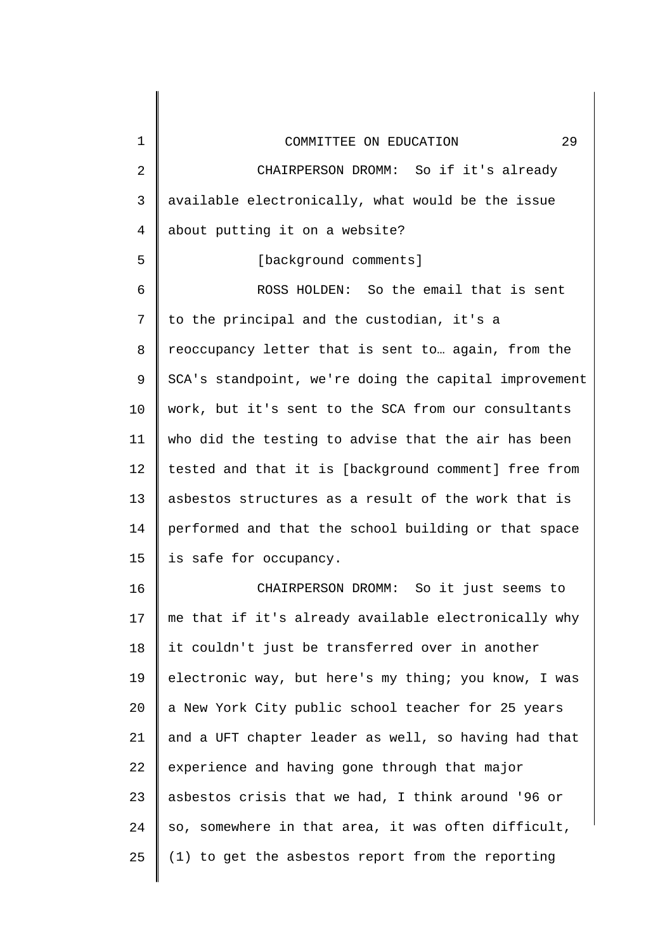| $\mathbf{1}$ | 29<br>COMMITTEE ON EDUCATION                          |
|--------------|-------------------------------------------------------|
| 2            | CHAIRPERSON DROMM: So if it's already                 |
| 3            | available electronically, what would be the issue     |
| 4            | about putting it on a website?                        |
| 5            | [background comments]                                 |
| 6            | ROSS HOLDEN: So the email that is sent                |
| 7            | to the principal and the custodian, it's a            |
| 8            | reoccupancy letter that is sent to again, from the    |
| 9            | SCA's standpoint, we're doing the capital improvement |
| 10           | work, but it's sent to the SCA from our consultants   |
| 11           | who did the testing to advise that the air has been   |
| 12           | tested and that it is [background comment] free from  |
| 13           | asbestos structures as a result of the work that is   |
| 14           | performed and that the school building or that space  |
| 15           | is safe for occupancy.                                |
| 16           | CHAIRPERSON DROMM:<br>So it just seems to             |
| 17           | me that if it's already available electronically why  |
| 18           | it couldn't just be transferred over in another       |
| 19           | electronic way, but here's my thing; you know, I was  |
| 20           | a New York City public school teacher for 25 years    |
| 21           | and a UFT chapter leader as well, so having had that  |
| 22           | experience and having gone through that major         |
| 23           | asbestos crisis that we had, I think around '96 or    |
| 24           | so, somewhere in that area, it was often difficult,   |
| 25           | (1) to get the asbestos report from the reporting     |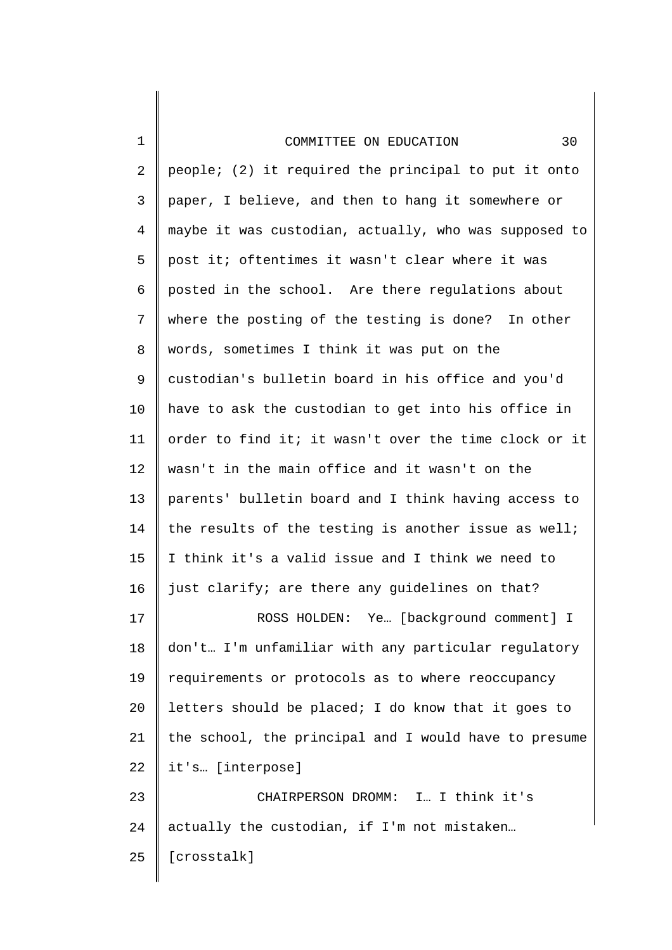| $\mathbf 1$ | 30<br>COMMITTEE ON EDUCATION                          |
|-------------|-------------------------------------------------------|
| 2           | people; (2) it required the principal to put it onto  |
| 3           | paper, I believe, and then to hang it somewhere or    |
| 4           | maybe it was custodian, actually, who was supposed to |
| 5           | post it; oftentimes it wasn't clear where it was      |
| 6           | posted in the school. Are there regulations about     |
| 7           | where the posting of the testing is done? In other    |
| 8           | words, sometimes I think it was put on the            |
| 9           | custodian's bulletin board in his office and you'd    |
| 10          | have to ask the custodian to get into his office in   |
| 11          | order to find it; it wasn't over the time clock or it |
| 12          | wasn't in the main office and it wasn't on the        |
| 13          | parents' bulletin board and I think having access to  |
| 14          | the results of the testing is another issue as well;  |
| 15          | I think it's a valid issue and I think we need to     |
| 16          | just clarify; are there any guidelines on that?       |
| 17          | Ye [background comment] I<br>ROSS HOLDEN:             |
| 18          | don't I'm unfamiliar with any particular regulatory   |
| 19          | requirements or protocols as to where reoccupancy     |
| 20          | letters should be placed; I do know that it goes to   |
| 21          | the school, the principal and I would have to presume |
| 22          | it's [interpose]                                      |
| 23          | CHAIRPERSON DROMM: I I think it's                     |
| 24          | actually the custodian, if I'm not mistaken           |
| 25          | [crosstalk]                                           |
|             |                                                       |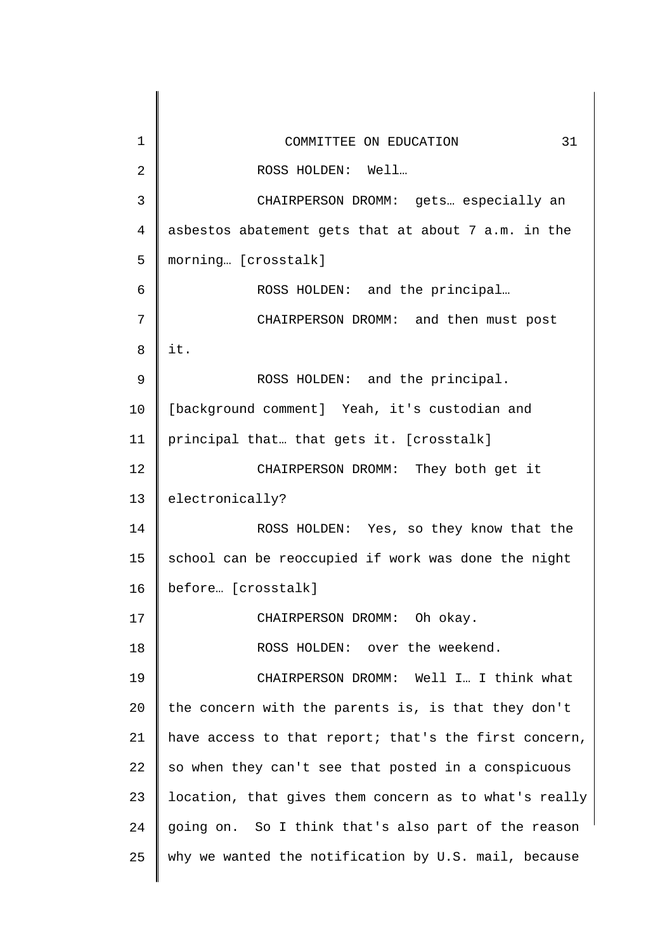| 1  | 31<br>COMMITTEE ON EDUCATION                          |
|----|-------------------------------------------------------|
| 2  | ROSS HOLDEN: Well                                     |
| 3  | CHAIRPERSON DROMM: gets especially an                 |
| 4  | asbestos abatement gets that at about 7 a.m. in the   |
| 5  | morning [crosstalk]                                   |
| 6  | ROSS HOLDEN: and the principal                        |
| 7  | CHAIRPERSON DROMM: and then must post                 |
| 8  | it.                                                   |
| 9  | ROSS HOLDEN: and the principal.                       |
| 10 | [background comment] Yeah, it's custodian and         |
| 11 | principal that that gets it. [crosstalk]              |
| 12 | CHAIRPERSON DROMM: They both get it                   |
| 13 | electronically?                                       |
| 14 | ROSS HOLDEN: Yes, so they know that the               |
| 15 | school can be reoccupied if work was done the night   |
| 16 | before [crosstalk]                                    |
| 17 | CHAIRPERSON DROMM: Oh okay.                           |
| 18 | ROSS HOLDEN: over the weekend.                        |
| 19 | CHAIRPERSON DROMM: Well I I think what                |
| 20 | the concern with the parents is, is that they don't   |
| 21 | have access to that report; that's the first concern, |
| 22 | so when they can't see that posted in a conspicuous   |
| 23 | location, that gives them concern as to what's really |
| 24 | going on. So I think that's also part of the reason   |
| 25 | why we wanted the notification by U.S. mail, because  |
|    |                                                       |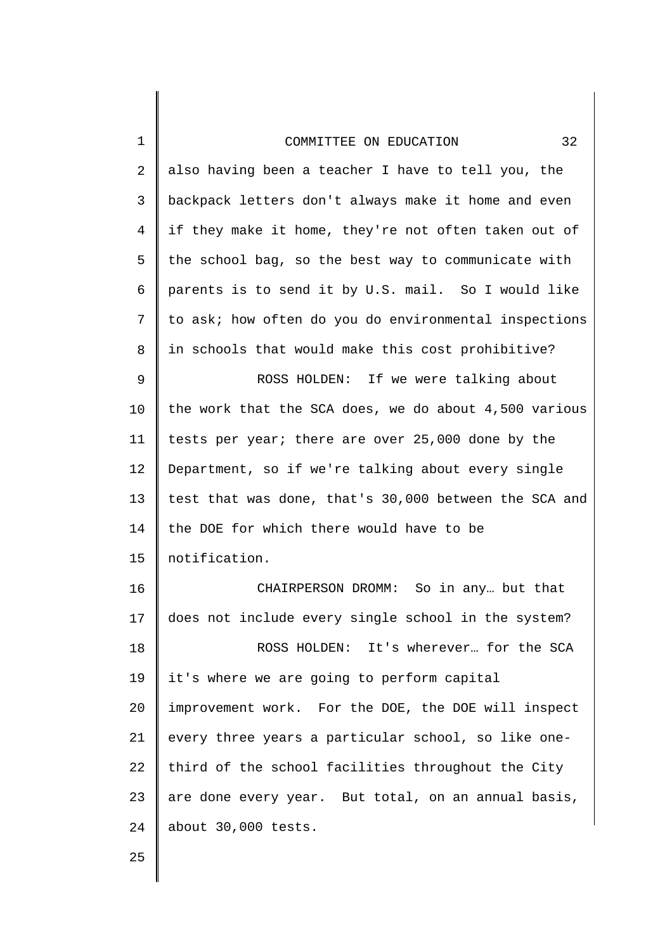| COMMITTEE ON EDUCATION                               | 32 |
|------------------------------------------------------|----|
| also having been a teacher I have to tell you, the   |    |
| backpack letters don't always make it home and even  |    |
| if they make it home, they're not often taken out of |    |
| the school bag, so the best way to communicate with  |    |
| التحاجات المستحدث والمستحدث والمستحدث والمستحدث      |    |

3 4 5 6 7 8 backpack letters don't always make it home and even if they make it home, they're not often taken out of the school bag, so the best way to communicate with parents is to send it by U.S. mail. So I would like to ask; how often do you do environmental inspections in schools that would make this cost prohibitive?

9 10 11 12 13 14 15 ROSS HOLDEN: If we were talking about the work that the SCA does, we do about 4,500 various tests per year; there are over 25,000 done by the Department, so if we're talking about every single test that was done, that's 30,000 between the SCA and the DOE for which there would have to be notification.

16 17 18 19 20 21 22 23 24 CHAIRPERSON DROMM: So in any… but that does not include every single school in the system? ROSS HOLDEN: It's wherever… for the SCA it's where we are going to perform capital improvement work. For the DOE, the DOE will inspect every three years a particular school, so like onethird of the school facilities throughout the City are done every year. But total, on an annual basis, about 30,000 tests.

25

1

2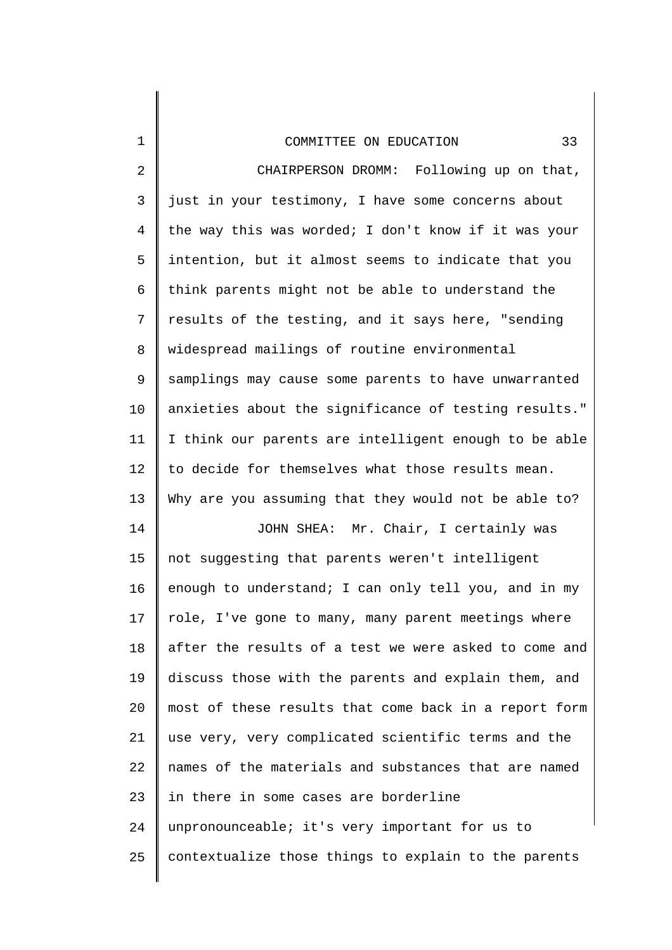| $\mathbf 1$    | 33<br>COMMITTEE ON EDUCATION                          |
|----------------|-------------------------------------------------------|
| $\overline{2}$ | CHAIRPERSON DROMM: Following up on that,              |
| $\mathsf{3}$   | just in your testimony, I have some concerns about    |
| $\overline{4}$ | the way this was worded; I don't know if it was your  |
| 5              | intention, but it almost seems to indicate that you   |
| 6              | think parents might not be able to understand the     |
| 7              | results of the testing, and it says here, "sending    |
| 8              | widespread mailings of routine environmental          |
| 9              | samplings may cause some parents to have unwarranted  |
| 10             | anxieties about the significance of testing results." |
| 11             | I think our parents are intelligent enough to be able |
| 12             | to decide for themselves what those results mean.     |
| 13             | Why are you assuming that they would not be able to?  |
| 14             | JOHN SHEA: Mr. Chair, I certainly was                 |
| 15             | not suggesting that parents weren't intelligent       |
| 16             | enough to understand; I can only tell you, and in my  |
| 17             | role, I've gone to many, many parent meetings where   |
| 18             | after the results of a test we were asked to come and |
| 19             | discuss those with the parents and explain them, and  |
| 20             | most of these results that come back in a report form |
| 21             | use very, very complicated scientific terms and the   |
| 22             | names of the materials and substances that are named  |
| 23             | in there in some cases are borderline                 |
| 24             | unpronounceable; it's very important for us to        |
| 25             | contextualize those things to explain to the parents  |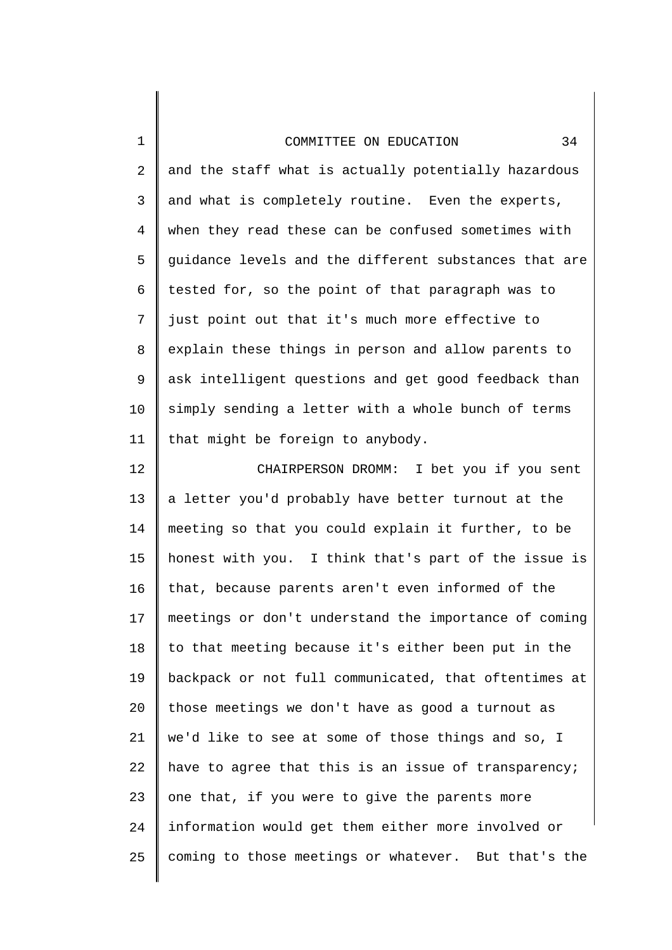1

2 3 4 5 6 7 8 9 10 11 and the staff what is actually potentially hazardous and what is completely routine. Even the experts, when they read these can be confused sometimes with guidance levels and the different substances that are tested for, so the point of that paragraph was to just point out that it's much more effective to explain these things in person and allow parents to ask intelligent questions and get good feedback than simply sending a letter with a whole bunch of terms that might be foreign to anybody.

12 13 14 15 16 17 18 19 20 21 22 23 24 25 CHAIRPERSON DROMM: I bet you if you sent a letter you'd probably have better turnout at the meeting so that you could explain it further, to be honest with you. I think that's part of the issue is that, because parents aren't even informed of the meetings or don't understand the importance of coming to that meeting because it's either been put in the backpack or not full communicated, that oftentimes at those meetings we don't have as good a turnout as we'd like to see at some of those things and so, I have to agree that this is an issue of transparency; one that, if you were to give the parents more information would get them either more involved or coming to those meetings or whatever. But that's the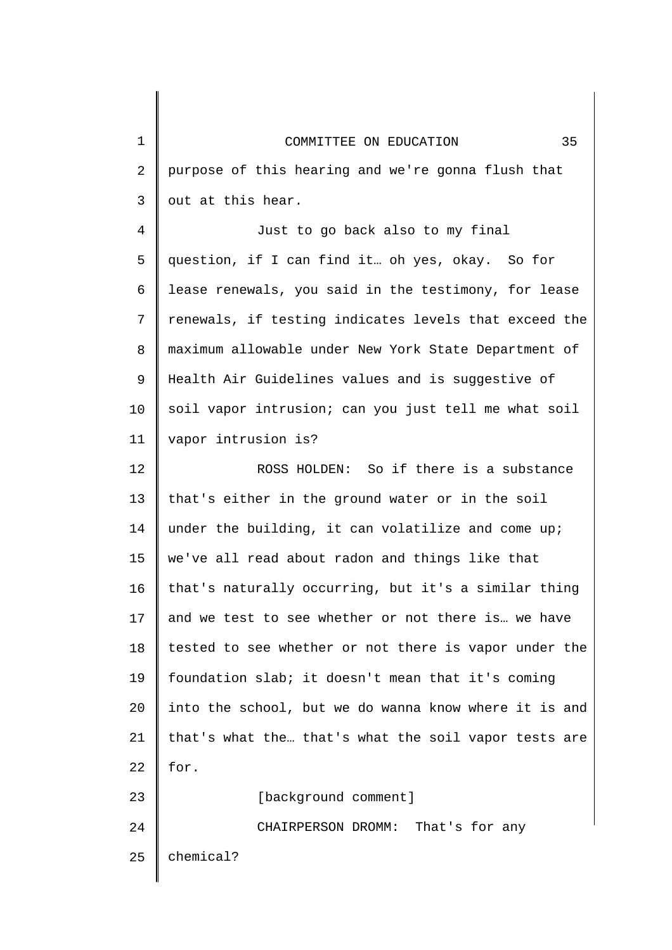| COMMITTEE ON EDUCATION                                | 35 |
|-------------------------------------------------------|----|
| purpose of this hearing and we're gonna flush that    |    |
| out at this hear.                                     |    |
| Just to go back also to my final                      |    |
| question, if I can find it oh yes, okay. So for       |    |
| lease renewals, you said in the testimony, for lease  |    |
| renewals, if testing indicates levels that exceed the |    |
| maximum allowable under New York State Department of  |    |
| Health Air Guidelines values and is suggestive of     |    |
| soil vapor intrusion; can you just tell me what soil  |    |
| vapor intrusion is?                                   |    |
| ROSS HOLDEN: So if there is a substance               |    |
| that's either in the ground water or in the soil      |    |
| under the building, it can volatilize and come up;    |    |
| we've all read about radon and things like that       |    |
| that's naturally occurring, but it's a similar thing  |    |
|                                                       |    |

13 14 15 16 17 18 19 20 21 22 23 24 and we test to see whether or not there is… we have tested to see whether or not there is vapor under the foundation slab; it doesn't mean that it's coming into the school, but we do wanna know where it is and that's what the… that's what the soil vapor tests are for. [background comment] CHAIRPERSON DROMM: That's for any

25 chemical?

1

2

3

4

5

6

7

8

9

10

11

12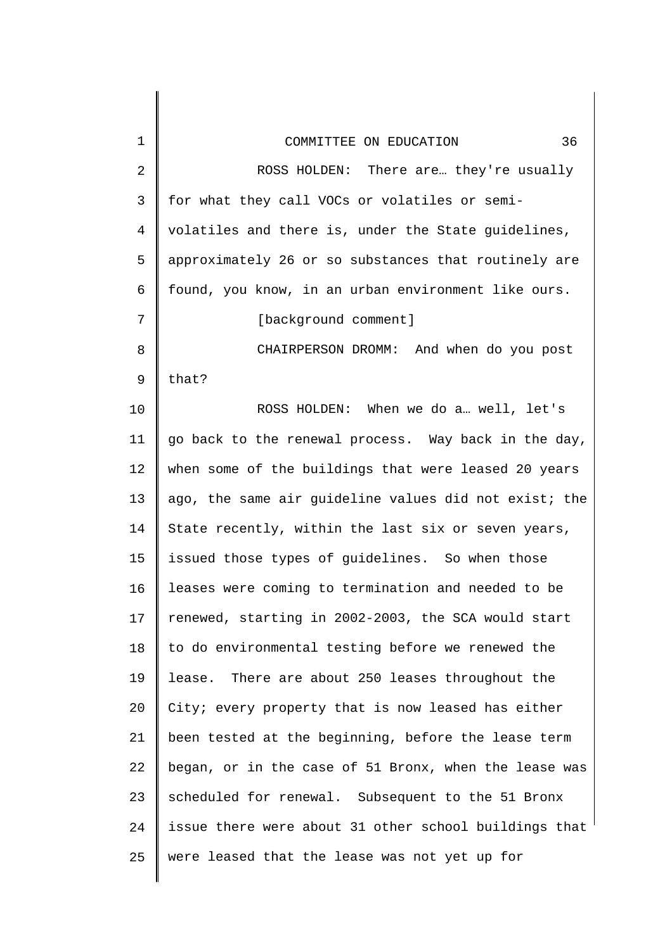| 1  | 36<br>COMMITTEE ON EDUCATION                          |
|----|-------------------------------------------------------|
| 2  | ROSS HOLDEN: There are they're usually                |
| 3  | for what they call VOCs or volatiles or semi-         |
| 4  | volatiles and there is, under the State guidelines,   |
| 5  | approximately 26 or so substances that routinely are  |
| 6  | found, you know, in an urban environment like ours.   |
| 7  | [background comment]                                  |
| 8  | CHAIRPERSON DROMM: And when do you post               |
| 9  | that?                                                 |
| 10 | ROSS HOLDEN: When we do a well, let's                 |
| 11 | go back to the renewal process. Way back in the day,  |
| 12 | when some of the buildings that were leased 20 years  |
| 13 | ago, the same air guideline values did not exist; the |
| 14 | State recently, within the last six or seven years,   |
| 15 | issued those types of guidelines. So when those       |
| 16 | leases were coming to termination and needed to be    |
| 17 | renewed, starting in 2002-2003, the SCA would start   |
| 18 | to do environmental testing before we renewed the     |
| 19 | lease. There are about 250 leases throughout the      |
| 20 | City; every property that is now leased has either    |
| 21 | been tested at the beginning, before the lease term   |
| 22 | began, or in the case of 51 Bronx, when the lease was |
| 23 | scheduled for renewal. Subsequent to the 51 Bronx     |
| 24 | issue there were about 31 other school buildings that |
| 25 | were leased that the lease was not yet up for         |
|    |                                                       |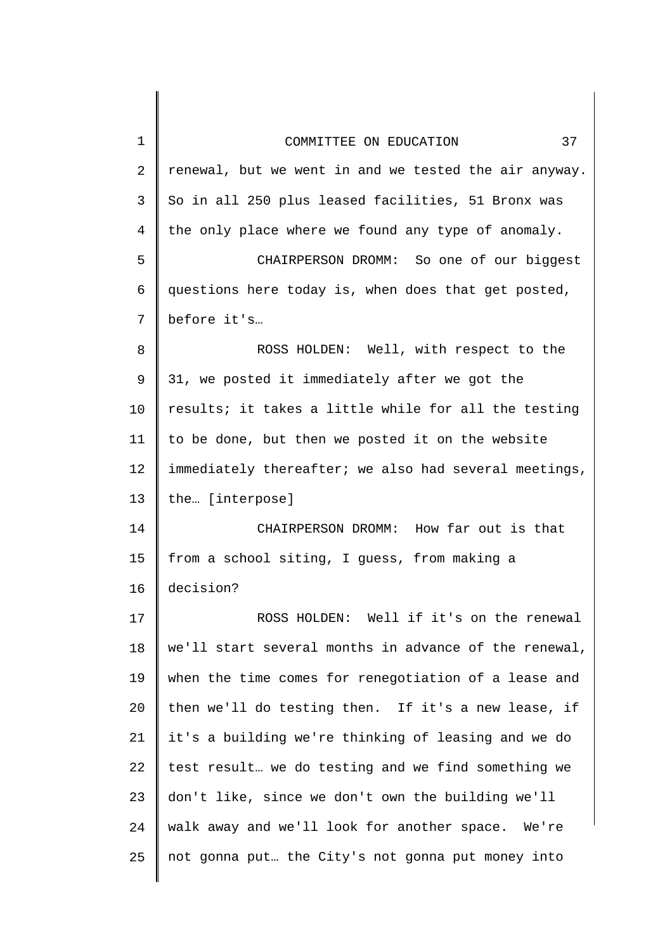| 1  | 37<br>COMMITTEE ON EDUCATION                          |
|----|-------------------------------------------------------|
| 2  | renewal, but we went in and we tested the air anyway. |
| 3  | So in all 250 plus leased facilities, 51 Bronx was    |
| 4  | the only place where we found any type of anomaly.    |
| 5  | CHAIRPERSON DROMM: So one of our biggest              |
| 6  | questions here today is, when does that get posted,   |
| 7  | before it's                                           |
| 8  | ROSS HOLDEN: Well, with respect to the                |
| 9  | 31, we posted it immediately after we got the         |
| 10 | results; it takes a little while for all the testing  |
| 11 | to be done, but then we posted it on the website      |
| 12 | immediately thereafter; we also had several meetings, |
| 13 | the [interpose]                                       |
| 14 | CHAIRPERSON DROMM: How far out is that                |
| 15 | from a school siting, I guess, from making a          |
| 16 | decision?                                             |
| 17 | ROSS HOLDEN: Well if it's on the renewal              |
| 18 | we'll start several months in advance of the renewal, |
| 19 | when the time comes for renegotiation of a lease and  |
| 20 | then we'll do testing then. If it's a new lease, if   |
| 21 | it's a building we're thinking of leasing and we do   |
| 22 | test result we do testing and we find something we    |
| 23 | don't like, since we don't own the building we'll     |
| 24 | walk away and we'll look for another space. We're     |
| 25 | not gonna put the City's not gonna put money into     |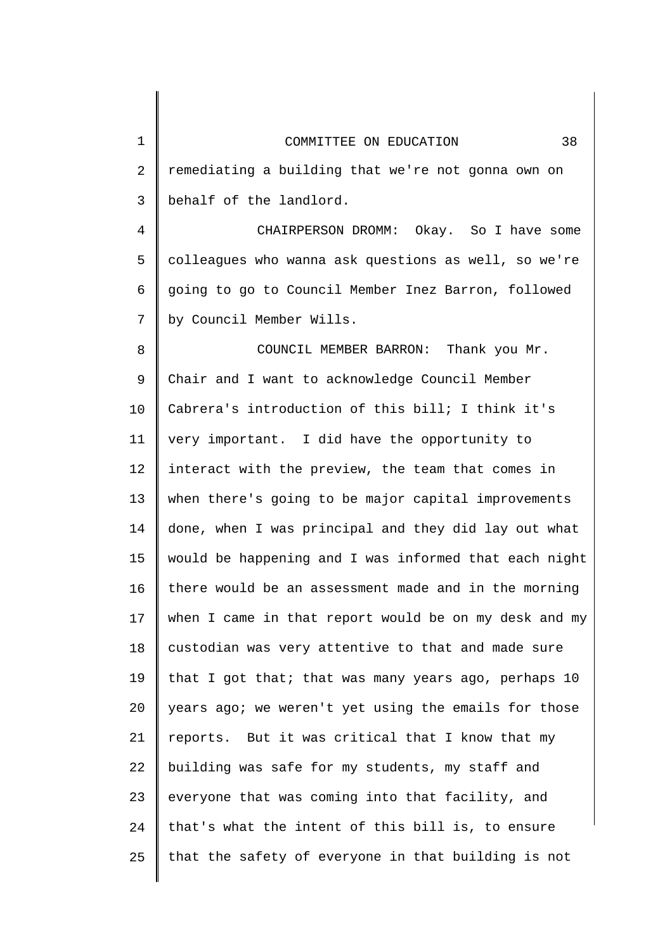| $\mathbf 1$    | 38<br>COMMITTEE ON EDUCATION                          |
|----------------|-------------------------------------------------------|
| $\overline{2}$ | remediating a building that we're not gonna own on    |
| 3              | behalf of the landlord.                               |
| $\overline{4}$ | CHAIRPERSON DROMM: Okay. So I have some               |
| 5              | colleagues who wanna ask questions as well, so we're  |
| 6              | going to go to Council Member Inez Barron, followed   |
| 7              | by Council Member Wills.                              |
| 8              | COUNCIL MEMBER BARRON: Thank you Mr.                  |
| 9              | Chair and I want to acknowledge Council Member        |
| 10             | Cabrera's introduction of this bill; I think it's     |
| 11             | very important. I did have the opportunity to         |
| 12             | interact with the preview, the team that comes in     |
| 13             | when there's going to be major capital improvements   |
| 14             | done, when I was principal and they did lay out what  |
| 15             | would be happening and I was informed that each night |
| 16             | there would be an assessment made and in the morning  |
| 17             | when I came in that report would be on my desk and my |
| 18             | custodian was very attentive to that and made sure    |
| 19             | that I got that; that was many years ago, perhaps 10  |
| 20             | years ago; we weren't yet using the emails for those  |
| 21             | reports. But it was critical that I know that my      |
| 22             | building was safe for my students, my staff and       |
| 23             | everyone that was coming into that facility, and      |
| 24             | that's what the intent of this bill is, to ensure     |
| 25             | that the safety of everyone in that building is not   |
|                |                                                       |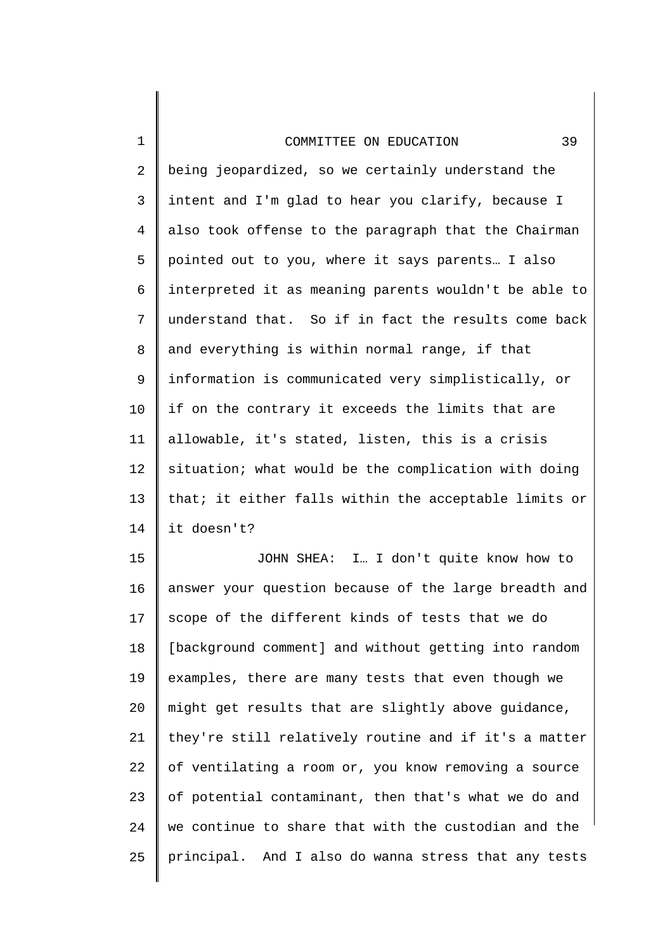1

2 3 4 5 6 7 8 9 10 11 12 13 14 being jeopardized, so we certainly understand the intent and I'm glad to hear you clarify, because I also took offense to the paragraph that the Chairman pointed out to you, where it says parents… I also interpreted it as meaning parents wouldn't be able to understand that. So if in fact the results come back and everything is within normal range, if that information is communicated very simplistically, or if on the contrary it exceeds the limits that are allowable, it's stated, listen, this is a crisis situation; what would be the complication with doing that; it either falls within the acceptable limits or it doesn't?

15 16 17 18 19 20 21 22 23 24 25 JOHN SHEA: I… I don't quite know how to answer your question because of the large breadth and scope of the different kinds of tests that we do [background comment] and without getting into random examples, there are many tests that even though we might get results that are slightly above guidance, they're still relatively routine and if it's a matter of ventilating a room or, you know removing a source of potential contaminant, then that's what we do and we continue to share that with the custodian and the principal. And I also do wanna stress that any tests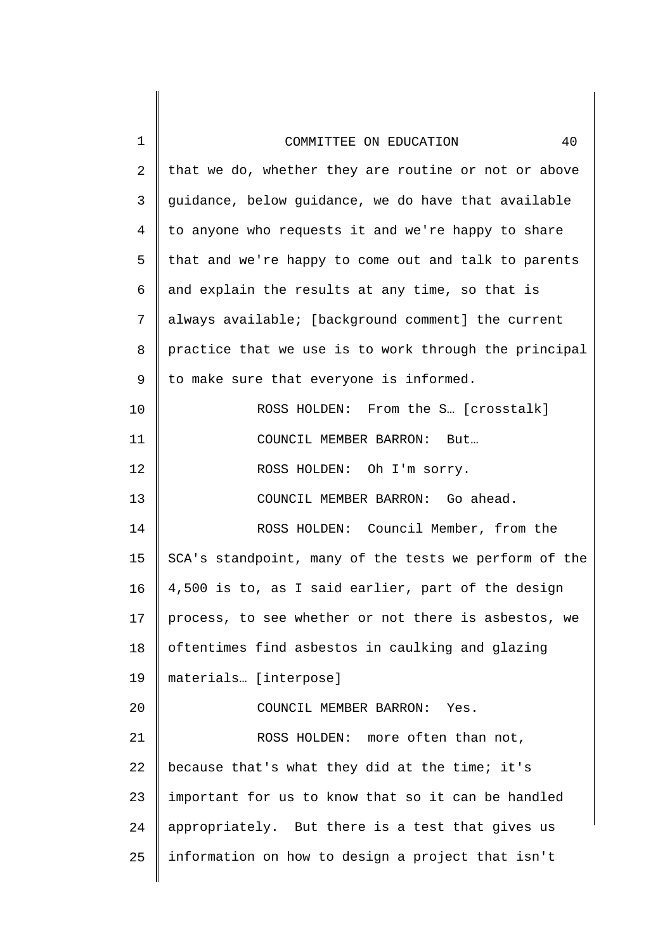| 1  | 40<br>COMMITTEE ON EDUCATION                          |
|----|-------------------------------------------------------|
| 2  | that we do, whether they are routine or not or above  |
| 3  | guidance, below guidance, we do have that available   |
| 4  | to anyone who requests it and we're happy to share    |
| 5  | that and we're happy to come out and talk to parents  |
| 6  | and explain the results at any time, so that is       |
| 7  | always available; [background comment] the current    |
| 8  | practice that we use is to work through the principal |
| 9  | to make sure that everyone is informed.               |
| 10 | ROSS HOLDEN: From the S [crosstalk]                   |
| 11 | COUNCIL MEMBER BARRON: But                            |
| 12 | ROSS HOLDEN: Oh I'm sorry.                            |
| 13 | COUNCIL MEMBER BARRON: Go ahead.                      |
| 14 | ROSS HOLDEN: Council Member, from the                 |
| 15 | SCA's standpoint, many of the tests we perform of the |
| 16 | 4,500 is to, as I said earlier, part of the design    |
| 17 | process, to see whether or not there is asbestos, we  |
| 18 | oftentimes find asbestos in caulking and glazing      |
| 19 | materials [interpose]                                 |
| 20 | COUNCIL MEMBER BARRON: Yes.                           |
| 21 | ROSS HOLDEN: more often than not,                     |
| 22 | because that's what they did at the time; it's        |
| 23 | important for us to know that so it can be handled    |
| 24 | appropriately. But there is a test that gives us      |
| 25 | information on how to design a project that isn't     |
|    |                                                       |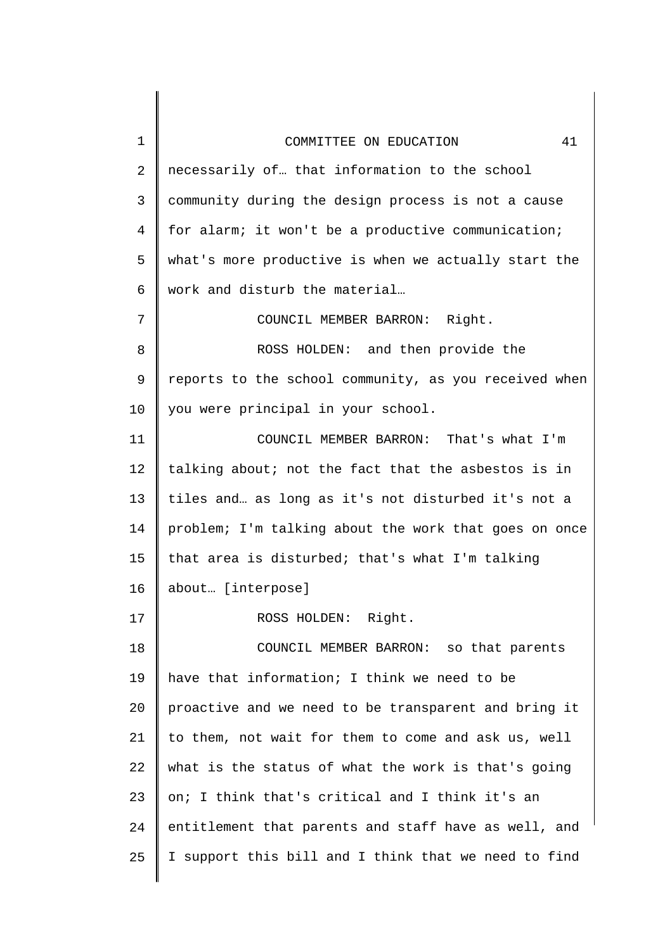| 1              | 41<br>COMMITTEE ON EDUCATION                          |
|----------------|-------------------------------------------------------|
| $\overline{2}$ | necessarily of that information to the school         |
| 3              | community during the design process is not a cause    |
| $\overline{4}$ | for alarm; it won't be a productive communication;    |
| 5              | what's more productive is when we actually start the  |
| 6              | work and disturb the material                         |
| 7              | COUNCIL MEMBER BARRON: Right.                         |
| 8              | ROSS HOLDEN: and then provide the                     |
| 9              | reports to the school community, as you received when |
| 10             | you were principal in your school.                    |
| 11             | COUNCIL MEMBER BARRON: That's what I'm                |
| 12             | talking about; not the fact that the asbestos is in   |
| 13             | tiles and as long as it's not disturbed it's not a    |
| 14             | problem; I'm talking about the work that goes on once |
| 15             | that area is disturbed; that's what I'm talking       |
| 16             | about [interpose]                                     |
| 17             | ROSS HOLDEN: Right.                                   |
| 18             | COUNCIL MEMBER BARRON: so that parents                |
| 19             | have that information; I think we need to be          |
| 20             | proactive and we need to be transparent and bring it  |
| 21             | to them, not wait for them to come and ask us, well   |
| 22             | what is the status of what the work is that's going   |
| 23             | on; I think that's critical and I think it's an       |
| 24             | entitlement that parents and staff have as well, and  |
| 25             | I support this bill and I think that we need to find  |
|                |                                                       |

 $\begin{array}{c} \hline \end{array}$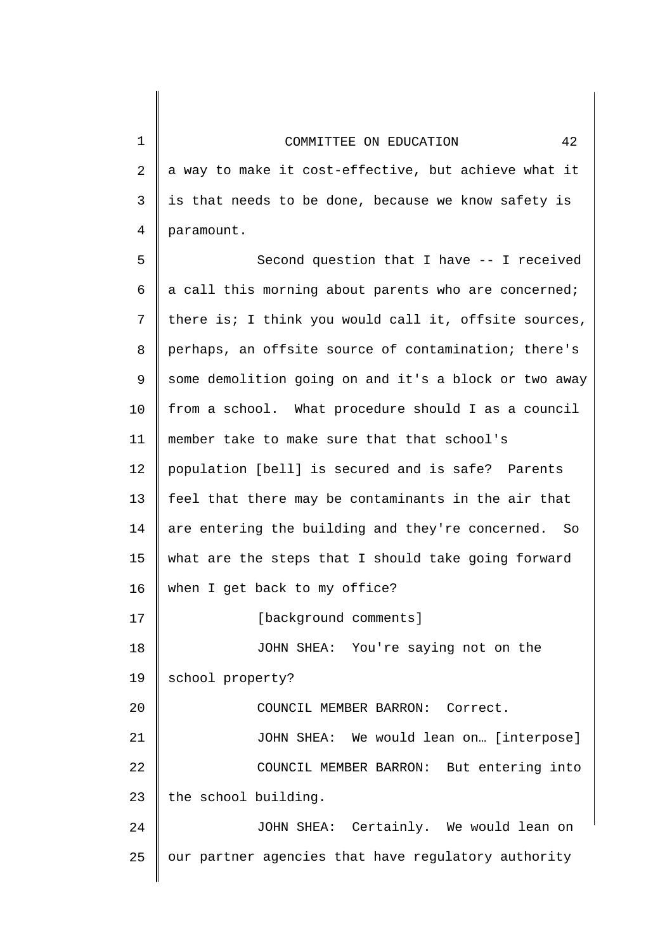1

2

3

4

5

6

7

8

9

10

11

12

13

14

17

a way to make it cost-effective, but achieve what it is that needs to be done, because we know safety is paramount. Second question that I have -- I received a call this morning about parents who are concerned; there is; I think you would call it, offsite sources, perhaps, an offsite source of contamination; there's some demolition going on and it's a block or two away from a school. What procedure should I as a council member take to make sure that that school's population [bell] is secured and is safe? Parents feel that there may be contaminants in the air that are entering the building and they're concerned. So

15 16 what are the steps that I should take going forward when I get back to my office?

18 19 [background comments] JOHN SHEA: You're saying not on the school property?

20 21 22 23 COUNCIL MEMBER BARRON: Correct. JOHN SHEA: We would lean on… [interpose] COUNCIL MEMBER BARRON: But entering into the school building.

24 25 JOHN SHEA: Certainly. We would lean on our partner agencies that have regulatory authority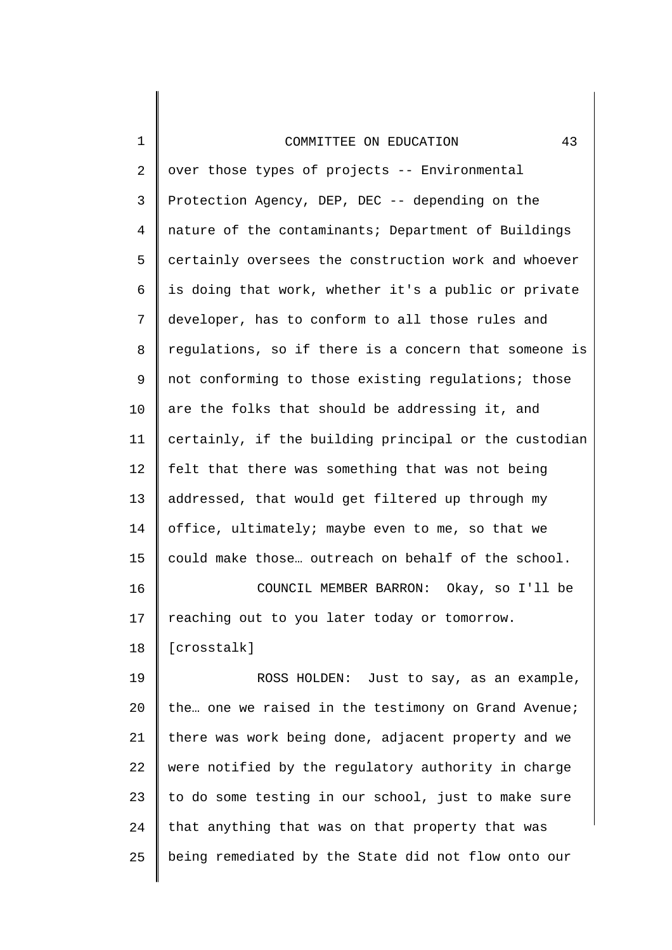2 3 4 5 6 7 8 9 10 11 12 13 14 15 16 17 over those types of projects -- Environmental Protection Agency, DEP, DEC -- depending on the nature of the contaminants; Department of Buildings certainly oversees the construction work and whoever is doing that work, whether it's a public or private developer, has to conform to all those rules and regulations, so if there is a concern that someone is not conforming to those existing regulations; those are the folks that should be addressing it, and certainly, if the building principal or the custodian felt that there was something that was not being addressed, that would get filtered up through my office, ultimately; maybe even to me, so that we could make those… outreach on behalf of the school. COUNCIL MEMBER BARRON: Okay, so I'll be reaching out to you later today or tomorrow.

18 [crosstalk]

1

19 20 21 22 23 24 25 ROSS HOLDEN: Just to say, as an example, the… one we raised in the testimony on Grand Avenue; there was work being done, adjacent property and we were notified by the regulatory authority in charge to do some testing in our school, just to make sure that anything that was on that property that was being remediated by the State did not flow onto our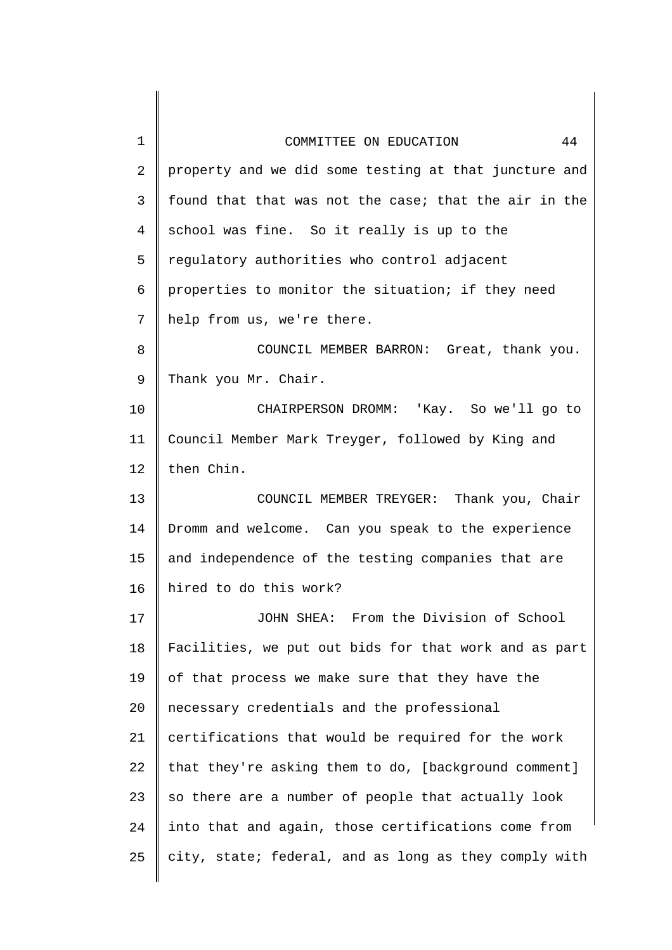| 1  | 44<br>COMMITTEE ON EDUCATION                          |
|----|-------------------------------------------------------|
| 2  | property and we did some testing at that juncture and |
| 3  | found that that was not the case; that the air in the |
| 4  | school was fine. So it really is up to the            |
| 5  | regulatory authorities who control adjacent           |
| 6  | properties to monitor the situation; if they need     |
| 7  | help from us, we're there.                            |
| 8  | COUNCIL MEMBER BARRON: Great, thank you.              |
| 9  | Thank you Mr. Chair.                                  |
| 10 | CHAIRPERSON DROMM: 'Kay. So we'll go to               |
| 11 | Council Member Mark Treyger, followed by King and     |
| 12 | then Chin.                                            |
| 13 | COUNCIL MEMBER TREYGER: Thank you, Chair              |
| 14 | Dromm and welcome. Can you speak to the experience    |
| 15 | and independence of the testing companies that are    |
| 16 | hired to do this work?                                |
| 17 | JOHN SHEA: From the Division of School                |
| 18 | Facilities, we put out bids for that work and as part |
| 19 | of that process we make sure that they have the       |
| 20 | necessary credentials and the professional            |
| 21 | certifications that would be required for the work    |
| 22 | that they're asking them to do, [background comment]  |
| 23 | so there are a number of people that actually look    |
| 24 | into that and again, those certifications come from   |
| 25 | city, state; federal, and as long as they comply with |
|    |                                                       |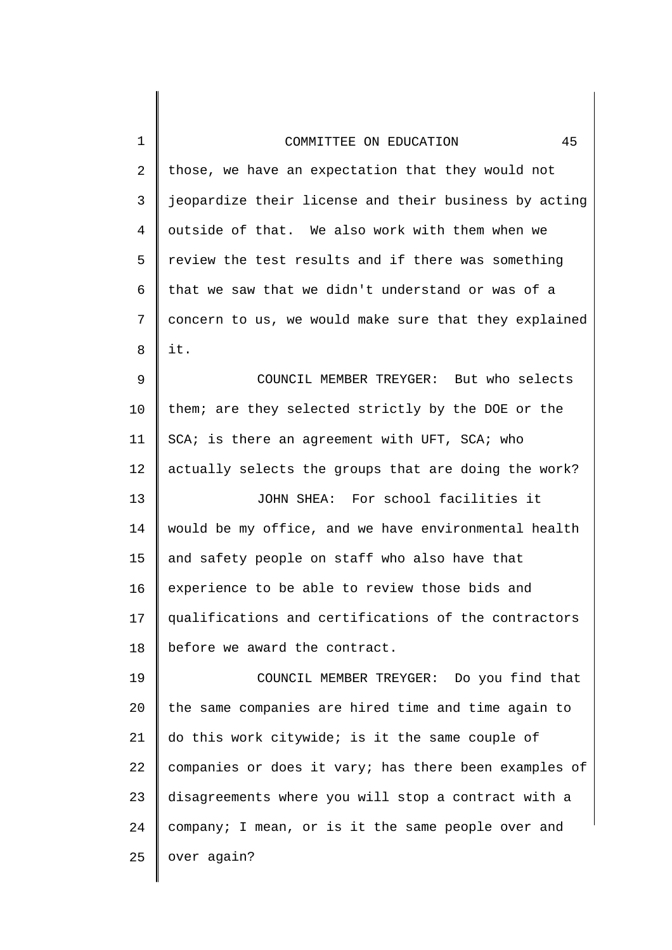| 1              | 45<br>COMMITTEE ON EDUCATION                          |
|----------------|-------------------------------------------------------|
| $\overline{2}$ | those, we have an expectation that they would not     |
| 3              | jeopardize their license and their business by acting |
| $\overline{4}$ | outside of that. We also work with them when we       |
| 5              | review the test results and if there was something    |
| 6              | that we saw that we didn't understand or was of a     |
| 7              | concern to us, we would make sure that they explained |
| 8              | it.                                                   |
| 9              | COUNCIL MEMBER TREYGER: But who selects               |
| 10             | them; are they selected strictly by the DOE or the    |
| 11             | SCA; is there an agreement with UFT, SCA; who         |
| 12             | actually selects the groups that are doing the work?  |
| 13             | JOHN SHEA: For school facilities it                   |
| 14             | would be my office, and we have environmental health  |
| 15             | and safety people on staff who also have that         |
| 16             | experience to be able to review those bids and        |
| 17             | qualifications and certifications of the contractors  |
| 18             | before we award the contract.                         |
| 19             | COUNCIL MEMBER TREYGER: Do you find that              |
| 20             | the same companies are hired time and time again to   |
| 21             | do this work citywide; is it the same couple of       |
| 22             | companies or does it vary; has there been examples of |
| 23             | disagreements where you will stop a contract with a   |
| 24             | company; I mean, or is it the same people over and    |
| 25             | over again?                                           |
|                |                                                       |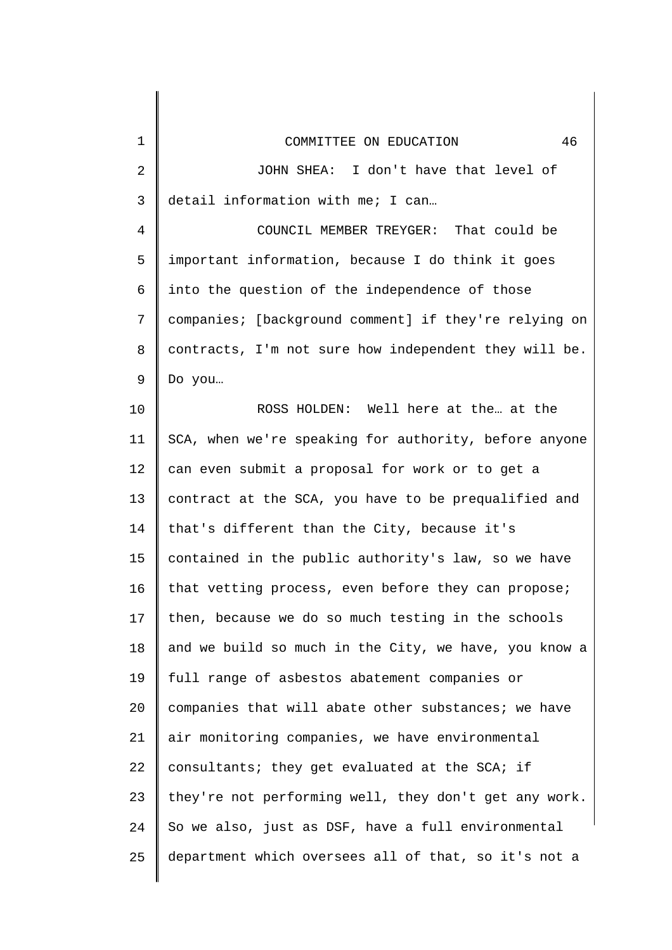| 1              | 46<br>COMMITTEE ON EDUCATION                          |
|----------------|-------------------------------------------------------|
| 2              | JOHN SHEA: I don't have that level of                 |
| 3              | detail information with me; I can                     |
| $\overline{4}$ | COUNCIL MEMBER TREYGER: That could be                 |
| 5              | important information, because I do think it goes     |
| 6              | into the question of the independence of those        |
| 7              | companies; [background comment] if they're relying on |
| 8              | contracts, I'm not sure how independent they will be. |
| 9              | Do you                                                |
| 10             | ROSS HOLDEN: Well here at the at the                  |
| 11             | SCA, when we're speaking for authority, before anyone |
| 12             | can even submit a proposal for work or to get a       |
| 13             | contract at the SCA, you have to be prequalified and  |
| 14             | that's different than the City, because it's          |
| 15             | contained in the public authority's law, so we have   |
| 16             | that vetting process, even before they can propose;   |
| 17             | then, because we do so much testing in the schools    |
| 18             | and we build so much in the City, we have, you know a |
| 19             | full range of asbestos abatement companies or         |
| 20             | companies that will abate other substances; we have   |
| 21             | air monitoring companies, we have environmental       |
| 22             | consultants; they get evaluated at the SCA; if        |
| 23             | they're not performing well, they don't get any work. |
| 24             | So we also, just as DSF, have a full environmental    |
| 25             | department which oversees all of that, so it's not a  |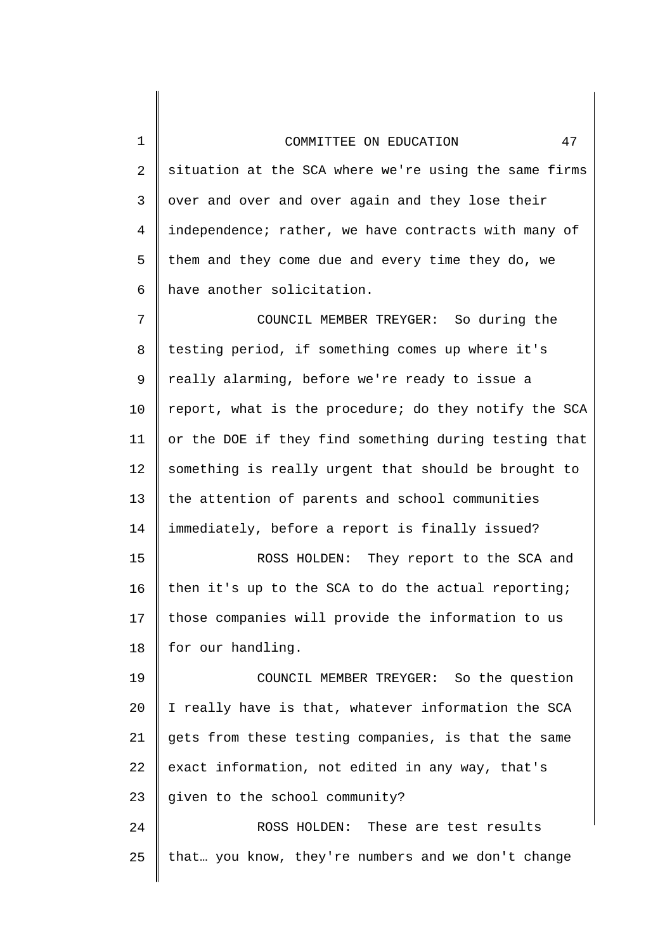2 3 4 5 6 7 8 9 10 11 12 13 14 15 16 17 18 19 20 21 22 23 24 situation at the SCA where we're using the same firms over and over and over again and they lose their independence; rather, we have contracts with many of them and they come due and every time they do, we have another solicitation. COUNCIL MEMBER TREYGER: So during the testing period, if something comes up where it's really alarming, before we're ready to issue a report, what is the procedure; do they notify the SCA or the DOE if they find something during testing that something is really urgent that should be brought to the attention of parents and school communities immediately, before a report is finally issued? ROSS HOLDEN: They report to the SCA and then it's up to the SCA to do the actual reporting; those companies will provide the information to us for our handling. COUNCIL MEMBER TREYGER: So the question I really have is that, whatever information the SCA gets from these testing companies, is that the same exact information, not edited in any way, that's given to the school community? ROSS HOLDEN: These are test results

that… you know, they're numbers and we don't change

1

25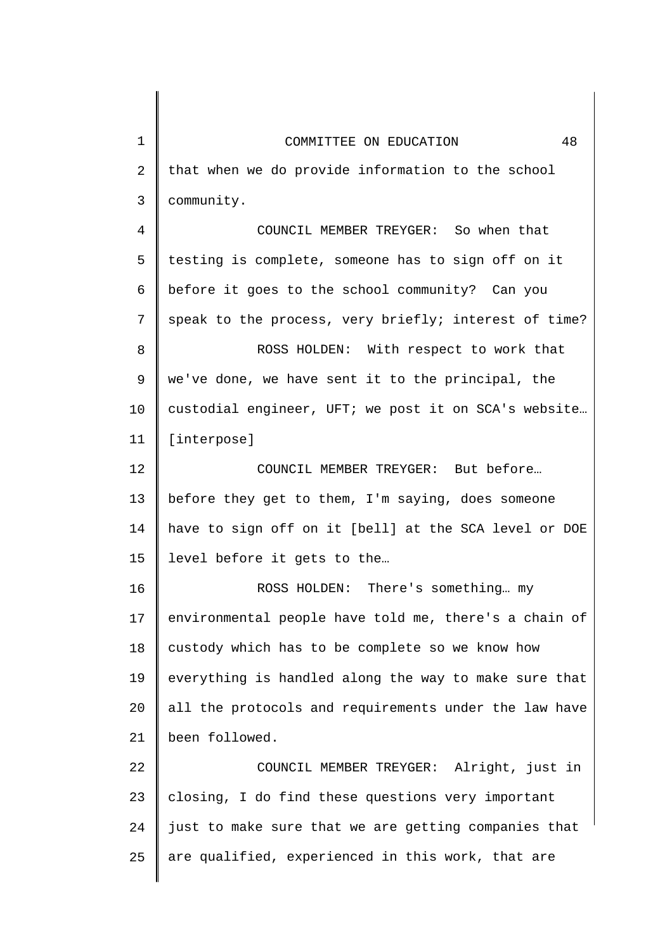| 1  | 48<br>COMMITTEE ON EDUCATION                          |
|----|-------------------------------------------------------|
| 2  | that when we do provide information to the school     |
| 3  | community.                                            |
| 4  | COUNCIL MEMBER TREYGER: So when that                  |
| 5  | testing is complete, someone has to sign off on it    |
| 6  | before it goes to the school community? Can you       |
| 7  | speak to the process, very briefly; interest of time? |
| 8  | ROSS HOLDEN: With respect to work that                |
| 9  | we've done, we have sent it to the principal, the     |
| 10 | custodial engineer, UFT; we post it on SCA's website  |
| 11 | [interpose]                                           |
| 12 | COUNCIL MEMBER TREYGER: But before                    |
| 13 | before they get to them, I'm saying, does someone     |
| 14 | have to sign off on it [bell] at the SCA level or DOE |
| 15 | level before it gets to the                           |
| 16 | There's something my<br>ROSS HOLDEN:                  |
| 17 | environmental people have told me, there's a chain of |
| 18 | custody which has to be complete so we know how       |
| 19 | everything is handled along the way to make sure that |
| 20 | all the protocols and requirements under the law have |
| 21 | been followed.                                        |
| 22 | COUNCIL MEMBER TREYGER: Alright, just in              |
| 23 | closing, I do find these questions very important     |
| 24 | just to make sure that we are getting companies that  |
| 25 | are qualified, experienced in this work, that are     |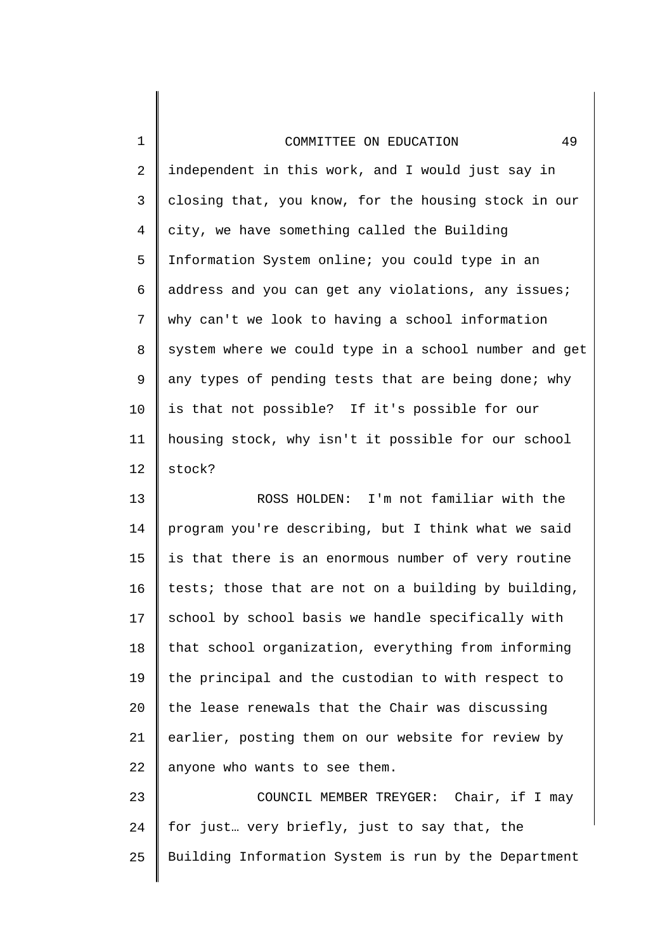1

2 3 4 5 6 7 8 9 10 11 12 independent in this work, and I would just say in closing that, you know, for the housing stock in our city, we have something called the Building Information System online; you could type in an address and you can get any violations, any issues; why can't we look to having a school information system where we could type in a school number and get any types of pending tests that are being done; why is that not possible? If it's possible for our housing stock, why isn't it possible for our school stock?

13 14 15 16 17 18 19 20 21 22 ROSS HOLDEN: I'm not familiar with the program you're describing, but I think what we said is that there is an enormous number of very routine tests; those that are not on a building by building, school by school basis we handle specifically with that school organization, everything from informing the principal and the custodian to with respect to the lease renewals that the Chair was discussing earlier, posting them on our website for review by anyone who wants to see them.

23 24 25 COUNCIL MEMBER TREYGER: Chair, if I may for just… very briefly, just to say that, the Building Information System is run by the Department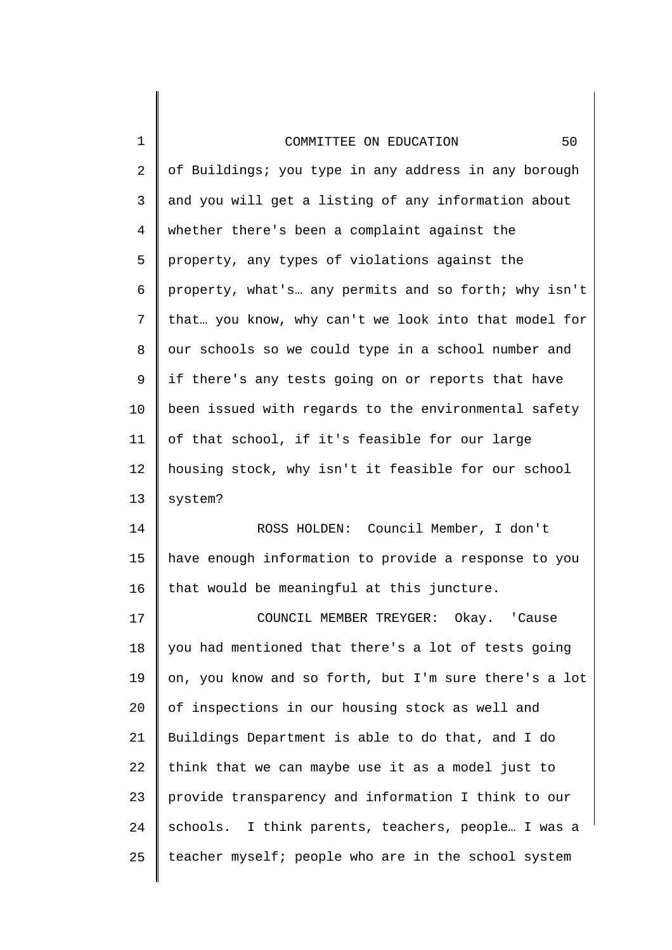| $\mathbf 1$    | 50<br>COMMITTEE ON EDUCATION                          |
|----------------|-------------------------------------------------------|
| $\overline{2}$ | of Buildings; you type in any address in any borough  |
| 3              | and you will get a listing of any information about   |
| 4              | whether there's been a complaint against the          |
| 5              | property, any types of violations against the         |
| 6              | property, what's any permits and so forth; why isn't  |
| 7              | that you know, why can't we look into that model for  |
| 8              | our schools so we could type in a school number and   |
| 9              | if there's any tests going on or reports that have    |
| 10             | been issued with regards to the environmental safety  |
| 11             | of that school, if it's feasible for our large        |
| 12             | housing stock, why isn't it feasible for our school   |
| 13             | system?                                               |
| 14             | ROSS HOLDEN: Council Member, I don't                  |
| 15             | have enough information to provide a response to you  |
| 16             | that would be meaningful at this juncture.            |
| 17             | COUNCIL MEMBER TREYGER: Okay. 'Cause                  |
| 18             | you had mentioned that there's a lot of tests going   |
| 19             | on, you know and so forth, but I'm sure there's a lot |
| 20             | of inspections in our housing stock as well and       |
| 21             | Buildings Department is able to do that, and I do     |
| 22             | think that we can maybe use it as a model just to     |
| 23             | provide transparency and information I think to our   |
| 24             | schools. I think parents, teachers, people I was a    |
| 25             | teacher myself; people who are in the school system   |
|                |                                                       |

 $\begin{array}{c} \hline \end{array}$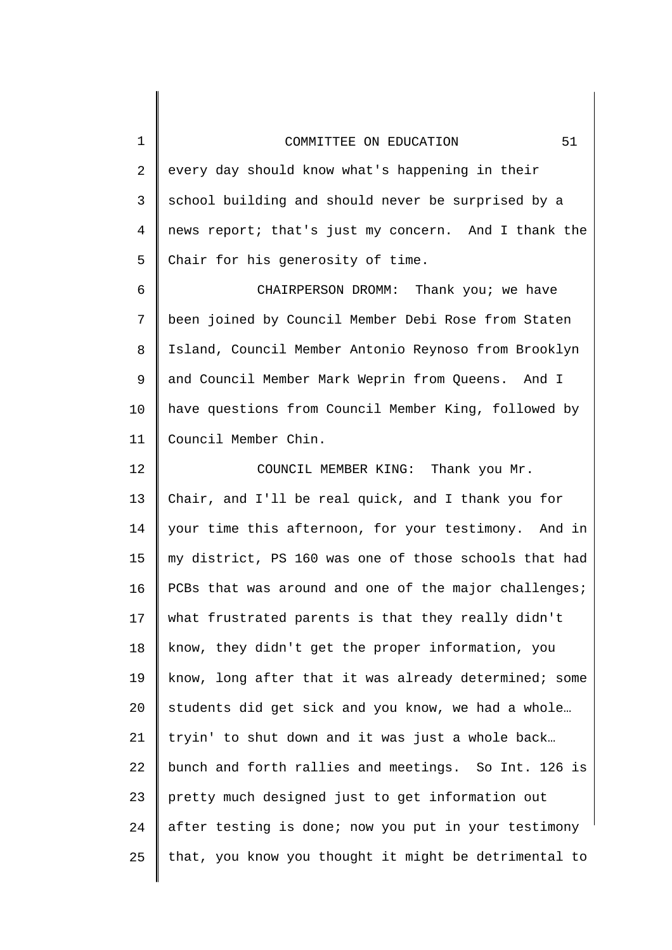| $\mathbf 1$    | 51<br>COMMITTEE ON EDUCATION                          |
|----------------|-------------------------------------------------------|
| $\overline{2}$ | every day should know what's happening in their       |
| 3              | school building and should never be surprised by a    |
| 4              | news report; that's just my concern. And I thank the  |
| 5              | Chair for his generosity of time.                     |
| 6              | CHAIRPERSON DROMM: Thank you; we have                 |
| 7              | been joined by Council Member Debi Rose from Staten   |
| 8              | Island, Council Member Antonio Reynoso from Brooklyn  |
| 9              | and Council Member Mark Weprin from Queens. And I     |
| 10             | have questions from Council Member King, followed by  |
| 11             | Council Member Chin.                                  |
| 12             | COUNCIL MEMBER KING: Thank you Mr.                    |
| 13             | Chair, and I'll be real quick, and I thank you for    |
| 14             | your time this afternoon, for your testimony. And in  |
| 15             | my district, PS 160 was one of those schools that had |
| 16             | PCBs that was around and one of the major challenges; |
| 17             | what frustrated parents is that they really didn't    |
| 18             | know, they didn't get the proper information, you     |
| 19             | know, long after that it was already determined; some |
| 20             | students did get sick and you know, we had a whole    |
| 21             | tryin' to shut down and it was just a whole back      |
| 22             | bunch and forth rallies and meetings. So Int. 126 is  |
| 23             | pretty much designed just to get information out      |
| 24             | after testing is done; now you put in your testimony  |
| 25             | that, you know you thought it might be detrimental to |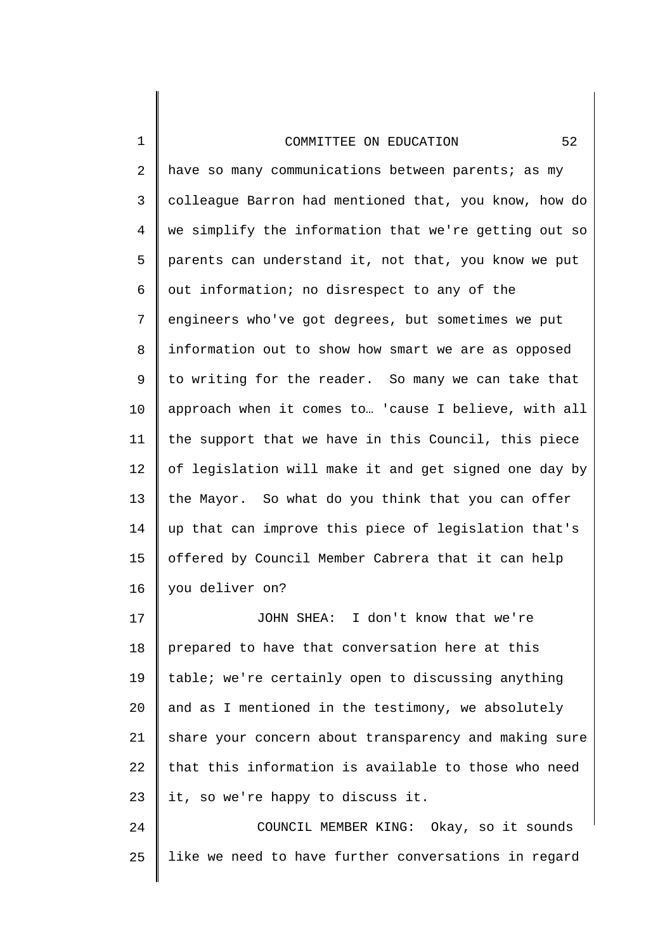1

2 3 4 5 6 7 8 9 10 11 12 13 14 15 16 have so many communications between parents; as my colleague Barron had mentioned that, you know, how do we simplify the information that we're getting out so parents can understand it, not that, you know we put out information; no disrespect to any of the engineers who've got degrees, but sometimes we put information out to show how smart we are as opposed to writing for the reader. So many we can take that approach when it comes to… 'cause I believe, with all the support that we have in this Council, this piece of legislation will make it and get signed one day by the Mayor. So what do you think that you can offer up that can improve this piece of legislation that's offered by Council Member Cabrera that it can help you deliver on?

17 18 19 20 21 22 23 JOHN SHEA: I don't know that we're prepared to have that conversation here at this table; we're certainly open to discussing anything and as I mentioned in the testimony, we absolutely share your concern about transparency and making sure that this information is available to those who need it, so we're happy to discuss it.

24 25 COUNCIL MEMBER KING: Okay, so it sounds like we need to have further conversations in regard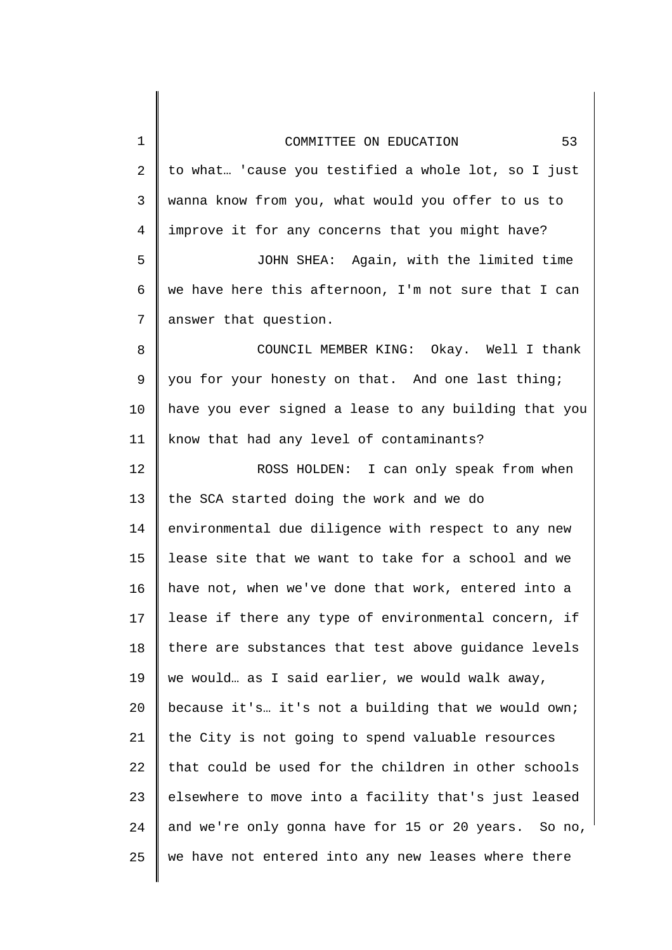| 1  | 53<br>COMMITTEE ON EDUCATION                          |
|----|-------------------------------------------------------|
| 2  | to what 'cause you testified a whole lot, so I just   |
| 3  | wanna know from you, what would you offer to us to    |
| 4  | improve it for any concerns that you might have?      |
| 5  | JOHN SHEA: Again, with the limited time               |
| 6  | we have here this afternoon, I'm not sure that I can  |
| 7  | answer that question.                                 |
| 8  | COUNCIL MEMBER KING: Okay. Well I thank               |
| 9  | you for your honesty on that. And one last thing;     |
| 10 | have you ever signed a lease to any building that you |
| 11 | know that had any level of contaminants?              |
| 12 | ROSS HOLDEN: I can only speak from when               |
| 13 | the SCA started doing the work and we do              |
| 14 | environmental due diligence with respect to any new   |
| 15 | lease site that we want to take for a school and we   |
| 16 | have not, when we've done that work, entered into a   |
| 17 | lease if there any type of environmental concern, if  |
| 18 | there are substances that test above guidance levels  |
| 19 | we would as I said earlier, we would walk away,       |
| 20 | because it's it's not a building that we would own;   |
| 21 | the City is not going to spend valuable resources     |
| 22 | that could be used for the children in other schools  |
| 23 | elsewhere to move into a facility that's just leased  |
| 24 | and we're only gonna have for 15 or 20 years. So no,  |
| 25 | we have not entered into any new leases where there   |
|    |                                                       |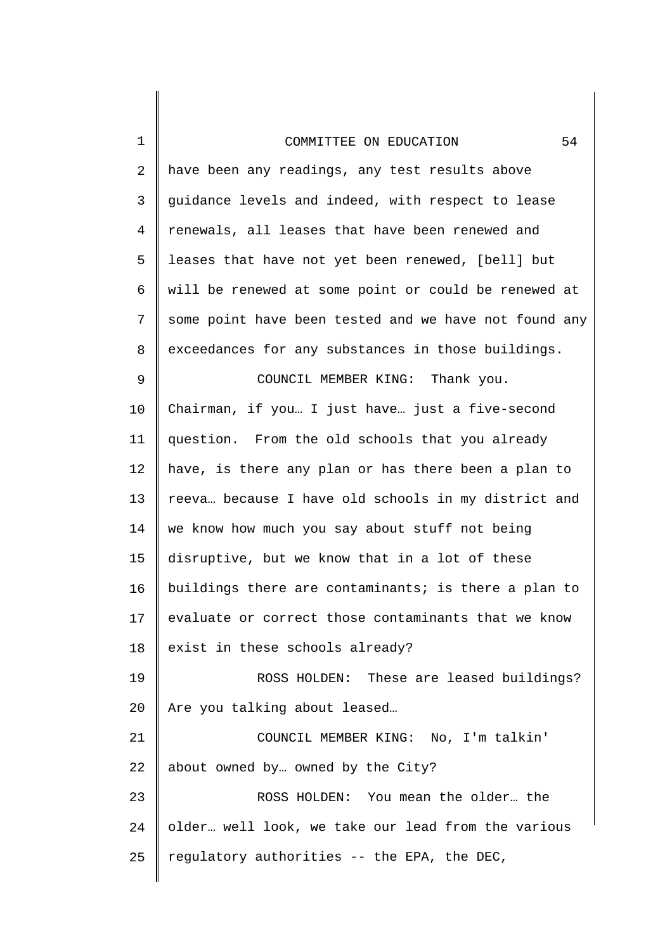1

2 3 4 5 6 7 8 9 10 11 12 13 14 15 16 17 18 19 20 21 22 23 24 25 have been any readings, any test results above guidance levels and indeed, with respect to lease renewals, all leases that have been renewed and leases that have not yet been renewed, [bell] but will be renewed at some point or could be renewed at some point have been tested and we have not found any exceedances for any substances in those buildings. COUNCIL MEMBER KING: Thank you. Chairman, if you… I just have… just a five-second question. From the old schools that you already have, is there any plan or has there been a plan to reeva… because I have old schools in my district and we know how much you say about stuff not being disruptive, but we know that in a lot of these buildings there are contaminants; is there a plan to evaluate or correct those contaminants that we know exist in these schools already? ROSS HOLDEN: These are leased buildings? Are you talking about leased… COUNCIL MEMBER KING: No, I'm talkin' about owned by… owned by the City? ROSS HOLDEN: You mean the older… the older… well look, we take our lead from the various regulatory authorities -- the EPA, the DEC,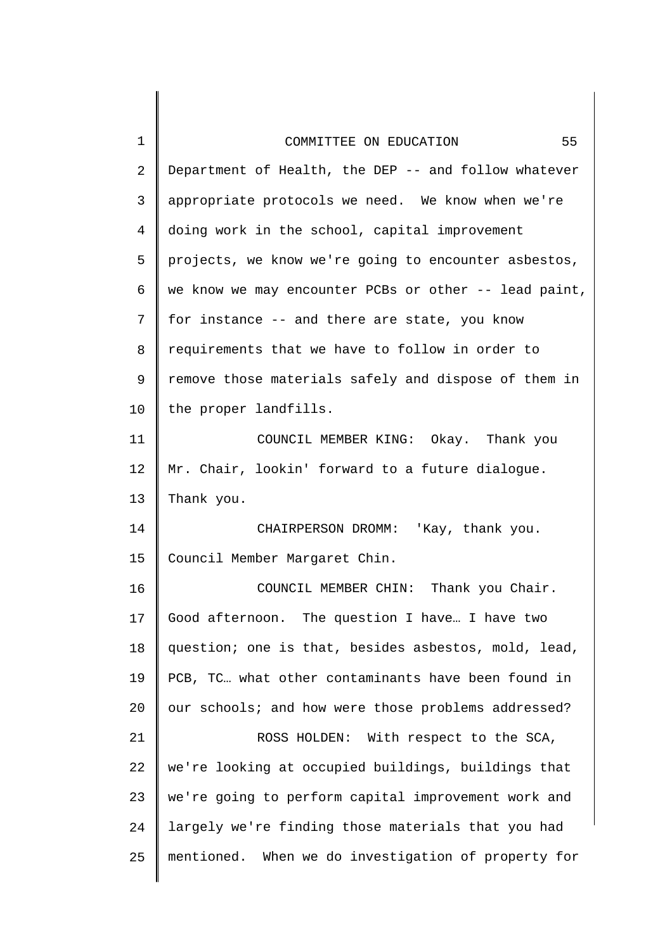| 1              | 55<br>COMMITTEE ON EDUCATION                          |
|----------------|-------------------------------------------------------|
| $\overline{a}$ | Department of Health, the DEP -- and follow whatever  |
| 3              | appropriate protocols we need. We know when we're     |
| $\overline{4}$ | doing work in the school, capital improvement         |
| 5              | projects, we know we're going to encounter asbestos,  |
| 6              | we know we may encounter PCBs or other -- lead paint, |
| 7              | for instance -- and there are state, you know         |
| 8              | requirements that we have to follow in order to       |
| 9              | remove those materials safely and dispose of them in  |
| 10             | the proper landfills.                                 |
| 11             | COUNCIL MEMBER KING: Okay. Thank you                  |
| 12             | Mr. Chair, lookin' forward to a future dialogue.      |
| 13             | Thank you.                                            |
| 14             | CHAIRPERSON DROMM: 'Kay, thank you.                   |
| 15             | Council Member Margaret Chin.                         |
| 16             | COUNCIL MEMBER CHIN: Thank you Chair.                 |
| 17             | Good afternoon. The question I have I have two        |
| 18             | question; one is that, besides asbestos, mold, lead,  |
| 19             | PCB, TC what other contaminants have been found in    |
| 20             | our schools; and how were those problems addressed?   |
| 21             | ROSS HOLDEN: With respect to the SCA,                 |
| 22             | we're looking at occupied buildings, buildings that   |
| 23             | we're going to perform capital improvement work and   |
| 24             | largely we're finding those materials that you had    |
| 25             | mentioned. When we do investigation of property for   |
|                |                                                       |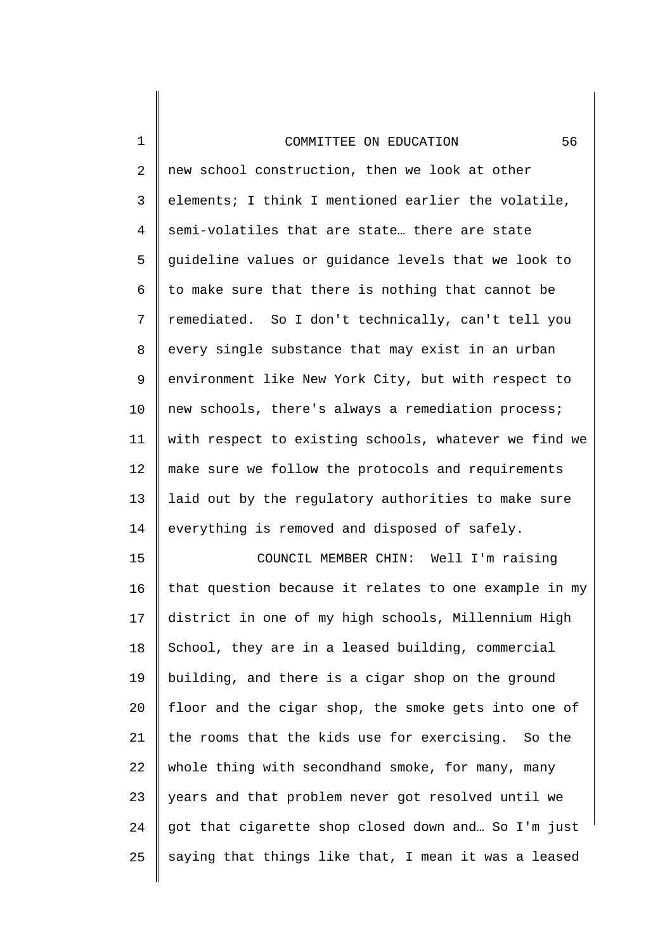1

2 3 4 5 6 7 8 9 10 11 12 13 14 new school construction, then we look at other elements; I think I mentioned earlier the volatile, semi-volatiles that are state… there are state guideline values or guidance levels that we look to to make sure that there is nothing that cannot be remediated. So I don't technically, can't tell you every single substance that may exist in an urban environment like New York City, but with respect to new schools, there's always a remediation process; with respect to existing schools, whatever we find we make sure we follow the protocols and requirements laid out by the regulatory authorities to make sure everything is removed and disposed of safely.

15 16 17 18 19 20 21 22 23 24 25 COUNCIL MEMBER CHIN: Well I'm raising that question because it relates to one example in my district in one of my high schools, Millennium High School, they are in a leased building, commercial building, and there is a cigar shop on the ground floor and the cigar shop, the smoke gets into one of the rooms that the kids use for exercising. So the whole thing with secondhand smoke, for many, many years and that problem never got resolved until we got that cigarette shop closed down and… So I'm just saying that things like that, I mean it was a leased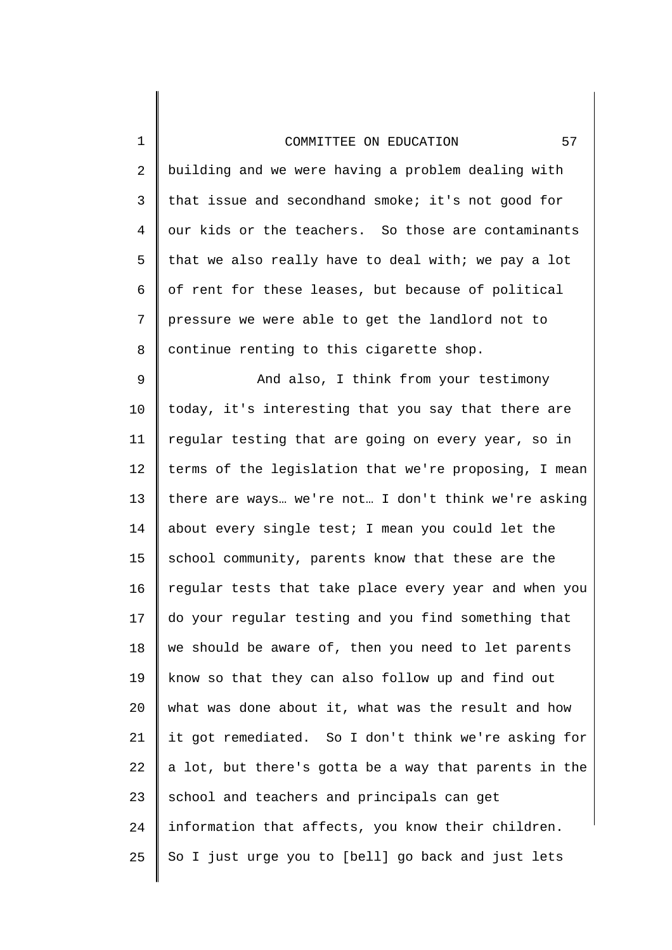1

2 3 4 5 6 7 8 building and we were having a problem dealing with that issue and secondhand smoke; it's not good for our kids or the teachers. So those are contaminants that we also really have to deal with; we pay a lot of rent for these leases, but because of political pressure we were able to get the landlord not to continue renting to this cigarette shop.

9 10 11 12 13 14 15 16 17 18 19 20 21 22 23 24 25 And also, I think from your testimony today, it's interesting that you say that there are regular testing that are going on every year, so in terms of the legislation that we're proposing, I mean there are ways… we're not… I don't think we're asking about every single test; I mean you could let the school community, parents know that these are the regular tests that take place every year and when you do your regular testing and you find something that we should be aware of, then you need to let parents know so that they can also follow up and find out what was done about it, what was the result and how it got remediated. So I don't think we're asking for a lot, but there's gotta be a way that parents in the school and teachers and principals can get information that affects, you know their children. So I just urge you to [bell] go back and just lets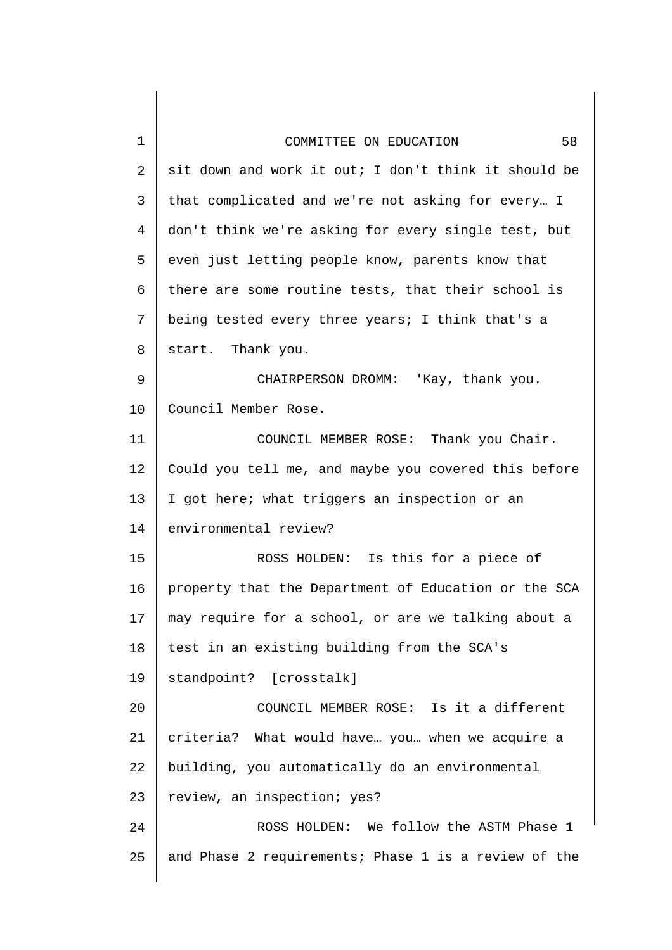| $\mathbf 1$    | 58<br>COMMITTEE ON EDUCATION                         |
|----------------|------------------------------------------------------|
| 2              | sit down and work it out; I don't think it should be |
| 3              | that complicated and we're not asking for every I    |
| $\overline{4}$ | don't think we're asking for every single test, but  |
| 5              | even just letting people know, parents know that     |
| 6              | there are some routine tests, that their school is   |
| 7              | being tested every three years; I think that's a     |
| 8              | start. Thank you.                                    |
| 9              | CHAIRPERSON DROMM: 'Kay, thank you.                  |
| 10             | Council Member Rose.                                 |
| 11             | COUNCIL MEMBER ROSE: Thank you Chair.                |
| 12             | Could you tell me, and maybe you covered this before |
| 13             | I got here; what triggers an inspection or an        |
| 14             | environmental review?                                |
| 15             | ROSS HOLDEN: Is this for a piece of                  |
| 16             | property that the Department of Education or the SCA |
| 17             | may require for a school, or are we talking about a  |
| 18             | test in an existing building from the SCA's          |
| 19             | standpoint? [crosstalk]                              |
| 20             | COUNCIL MEMBER ROSE: Is it a different               |
| 21             | criteria? What would have you when we acquire a      |
| 22             | building, you automatically do an environmental      |
| 23             | review, an inspection; yes?                          |
| 24             | ROSS HOLDEN: We follow the ASTM Phase 1              |
| 25             | and Phase 2 requirements; Phase 1 is a review of the |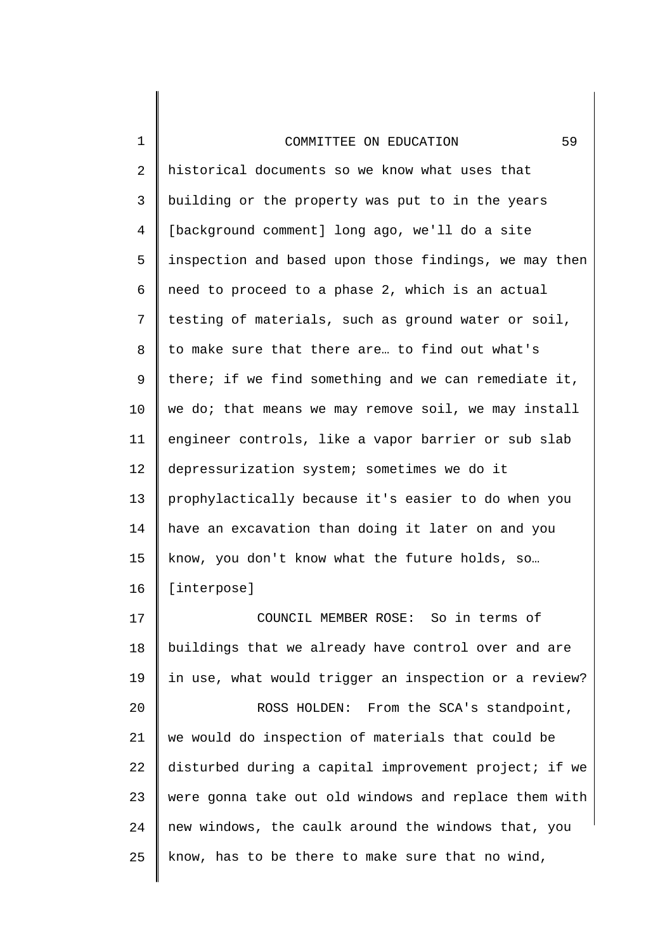1

2 3 4 5 6 7 8 9 10 11 12 13 14 15 16 historical documents so we know what uses that building or the property was put to in the years [background comment] long ago, we'll do a site inspection and based upon those findings, we may then need to proceed to a phase 2, which is an actual testing of materials, such as ground water or soil, to make sure that there are… to find out what's there; if we find something and we can remediate it, we do; that means we may remove soil, we may install engineer controls, like a vapor barrier or sub slab depressurization system; sometimes we do it prophylactically because it's easier to do when you have an excavation than doing it later on and you know, you don't know what the future holds, so… [interpose]

17 18 19 20 21 22 23 24 25 COUNCIL MEMBER ROSE: So in terms of buildings that we already have control over and are in use, what would trigger an inspection or a review? ROSS HOLDEN: From the SCA's standpoint, we would do inspection of materials that could be disturbed during a capital improvement project; if we were gonna take out old windows and replace them with new windows, the caulk around the windows that, you know, has to be there to make sure that no wind,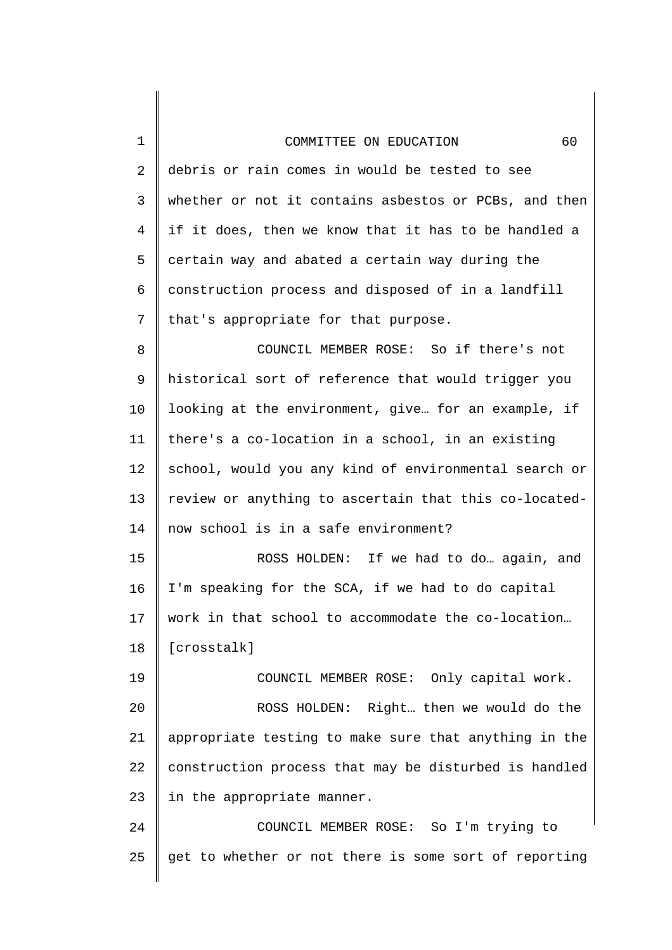| $\mathbf 1$    | 60<br>COMMITTEE ON EDUCATION                          |
|----------------|-------------------------------------------------------|
| $\overline{2}$ | debris or rain comes in would be tested to see        |
| $\mathsf{3}$   | whether or not it contains asbestos or PCBs, and then |
| $\overline{4}$ | if it does, then we know that it has to be handled a  |
| 5              | certain way and abated a certain way during the       |
| 6              | construction process and disposed of in a landfill    |
| 7              | that's appropriate for that purpose.                  |
| 8              | COUNCIL MEMBER ROSE: So if there's not                |
| 9              | historical sort of reference that would trigger you   |
| 10             | looking at the environment, give for an example, if   |
| 11             | there's a co-location in a school, in an existing     |
| 12             | school, would you any kind of environmental search or |
| 13             | review or anything to ascertain that this co-located- |
| 14             | now school is in a safe environment?                  |
| 15             | ROSS HOLDEN: If we had to do again, and               |
| 16             | I'm speaking for the SCA, if we had to do capital     |
| 17             | work in that school to accommodate the co-location    |
| 18             | [crosstalk]                                           |
| 19             | COUNCIL MEMBER ROSE: Only capital work.               |
| 20             | ROSS HOLDEN: Right then we would do the               |
| 21             | appropriate testing to make sure that anything in the |
| 22             | construction process that may be disturbed is handled |
| 23             | in the appropriate manner.                            |
| 24             | COUNCIL MEMBER ROSE: So I'm trying to                 |
| 25             | get to whether or not there is some sort of reporting |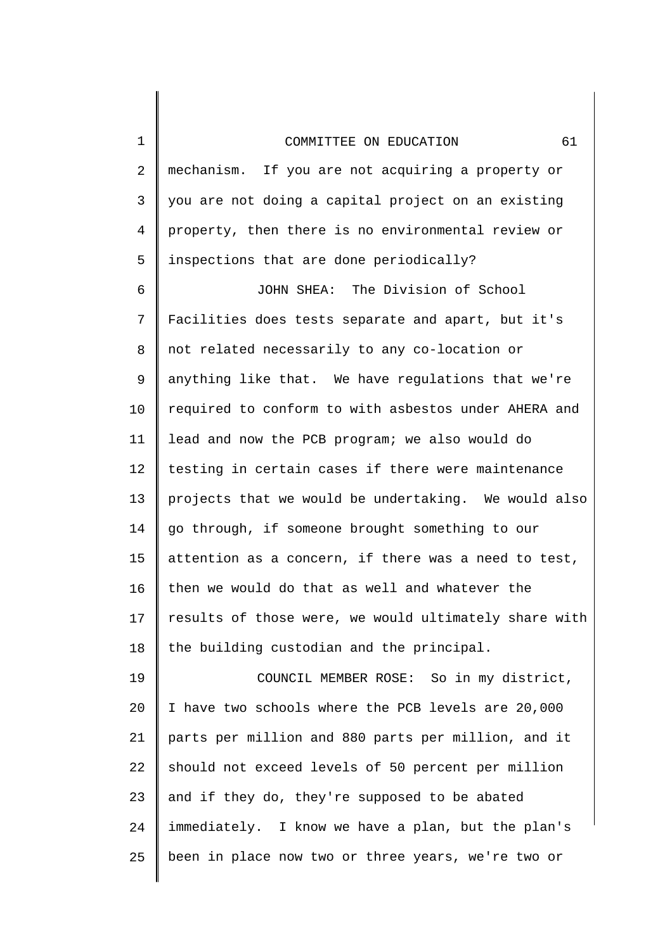2 3 4 5 mechanism. If you are not acquiring a property or you are not doing a capital project on an existing property, then there is no environmental review or inspections that are done periodically?

1

6 7 8 9 10 11 12 13 14 15 16 17 18 JOHN SHEA: The Division of School Facilities does tests separate and apart, but it's not related necessarily to any co-location or anything like that. We have regulations that we're required to conform to with asbestos under AHERA and lead and now the PCB program; we also would do testing in certain cases if there were maintenance projects that we would be undertaking. We would also go through, if someone brought something to our attention as a concern, if there was a need to test, then we would do that as well and whatever the results of those were, we would ultimately share with the building custodian and the principal.

19 20 21 22 23 24 25 COUNCIL MEMBER ROSE: So in my district, I have two schools where the PCB levels are 20,000 parts per million and 880 parts per million, and it should not exceed levels of 50 percent per million and if they do, they're supposed to be abated immediately. I know we have a plan, but the plan's been in place now two or three years, we're two or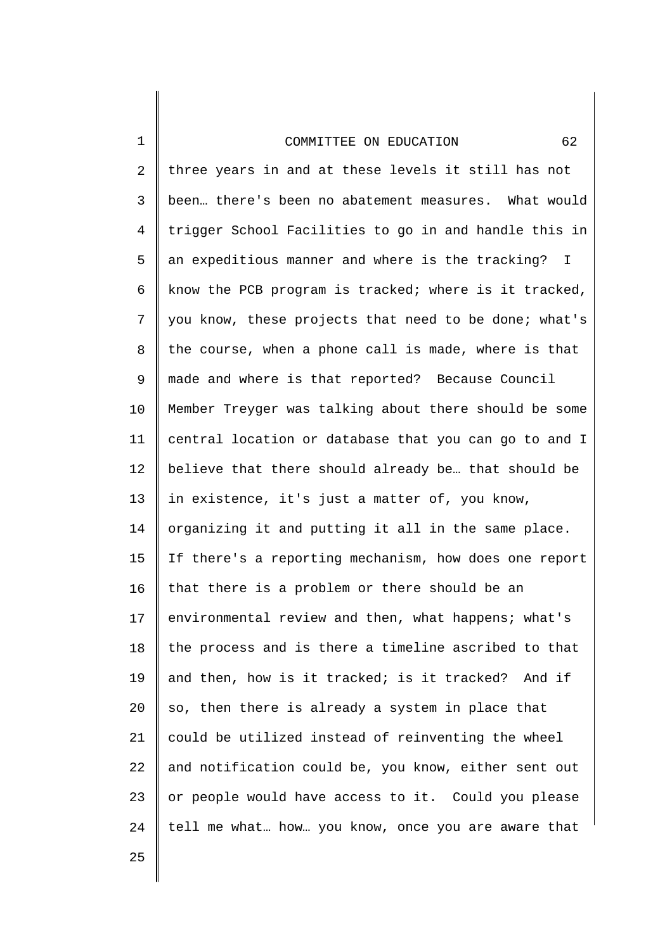2 3 4 5 6 7 8 9 10 11 12 13 14 15 16 17 18 19 20 21 22 23 24 three years in and at these levels it still has not been… there's been no abatement measures. What would trigger School Facilities to go in and handle this in an expeditious manner and where is the tracking? I know the PCB program is tracked; where is it tracked, you know, these projects that need to be done; what's the course, when a phone call is made, where is that made and where is that reported? Because Council Member Treyger was talking about there should be some central location or database that you can go to and I believe that there should already be… that should be in existence, it's just a matter of, you know, organizing it and putting it all in the same place. If there's a reporting mechanism, how does one report that there is a problem or there should be an environmental review and then, what happens; what's the process and is there a timeline ascribed to that and then, how is it tracked; is it tracked? And if so, then there is already a system in place that could be utilized instead of reinventing the wheel and notification could be, you know, either sent out or people would have access to it. Could you please tell me what… how… you know, once you are aware that

25

1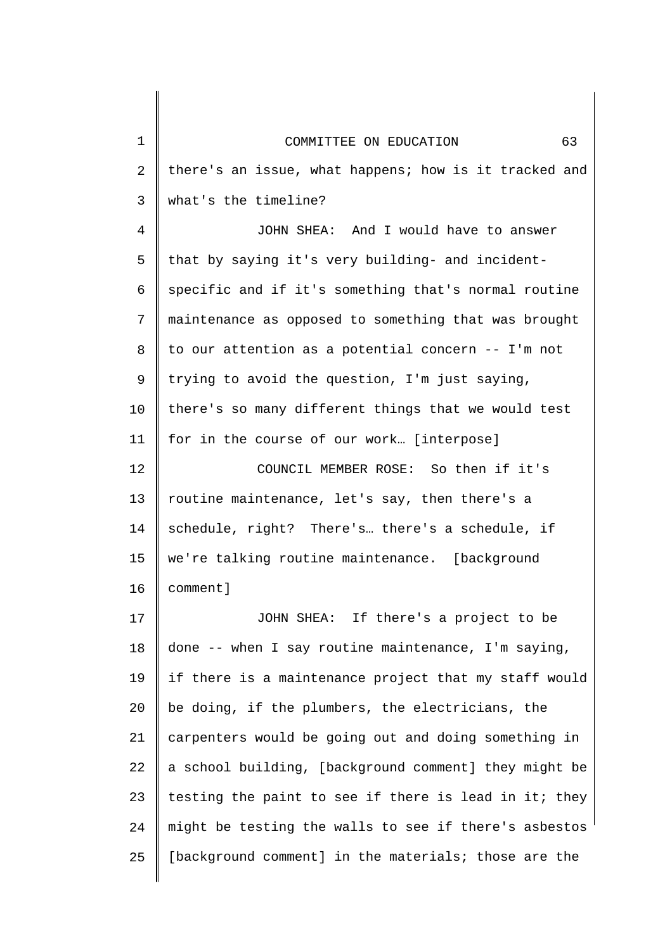| $\mathbf 1$    | 63<br>COMMITTEE ON EDUCATION                          |
|----------------|-------------------------------------------------------|
| $\overline{2}$ | there's an issue, what happens; how is it tracked and |
| 3              | what's the timeline?                                  |
| 4              | JOHN SHEA: And I would have to answer                 |
| 5              | that by saying it's very building- and incident-      |
| 6              | specific and if it's something that's normal routine  |
| 7              | maintenance as opposed to something that was brought  |
| 8              | to our attention as a potential concern -- I'm not    |
| 9              | trying to avoid the question, I'm just saying,        |
| 10             | there's so many different things that we would test   |
| 11             | for in the course of our work [interpose]             |
| 12             | COUNCIL MEMBER ROSE: So then if it's                  |
| 13             | routine maintenance, let's say, then there's a        |
| 14             | schedule, right? There's there's a schedule, if       |
| 15             | we're talking routine maintenance. [background        |
| 16             | comment]                                              |
| 17             | JOHN SHEA: If there's a project to be                 |
| 18             | done -- when I say routine maintenance, I'm saying,   |
| 19             | if there is a maintenance project that my staff would |
| 20             | be doing, if the plumbers, the electricians, the      |
| 21             | carpenters would be going out and doing something in  |
| 22             | a school building, [background comment] they might be |
| 23             | testing the paint to see if there is lead in it; they |
| 24             | might be testing the walls to see if there's asbestos |
| 25             | [background comment] in the materials; those are the  |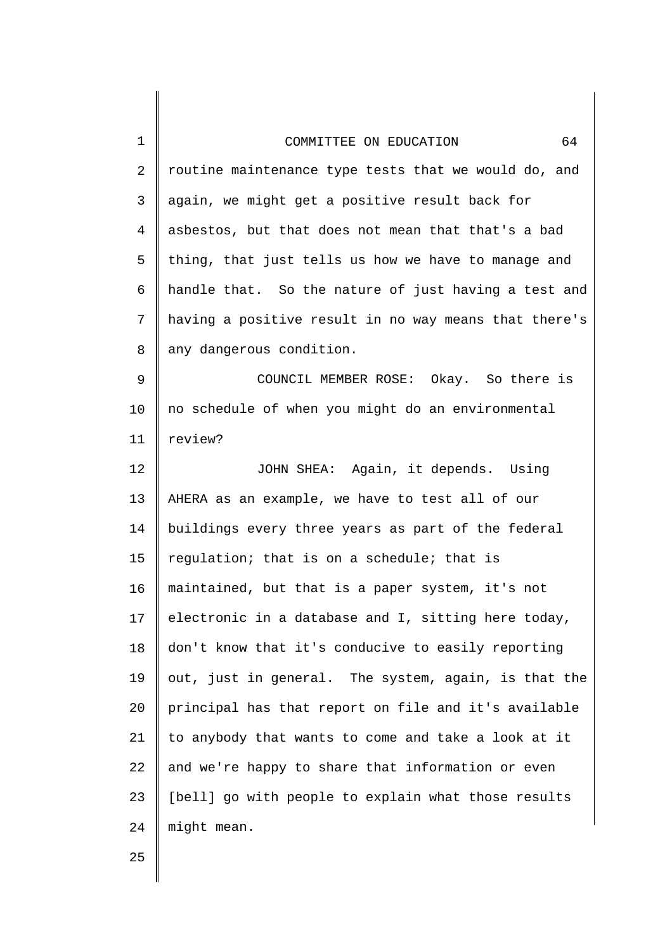| $\mathbf 1$    | 64<br>COMMITTEE ON EDUCATION                          |
|----------------|-------------------------------------------------------|
| $\overline{2}$ | routine maintenance type tests that we would do, and  |
| $\mathsf{3}$   | again, we might get a positive result back for        |
| $\overline{4}$ | asbestos, but that does not mean that that's a bad    |
| 5              | thing, that just tells us how we have to manage and   |
| 6              | handle that. So the nature of just having a test and  |
| 7              | having a positive result in no way means that there's |
| 8              | any dangerous condition.                              |
| 9              | COUNCIL MEMBER ROSE: Okay. So there is                |
| 10             | no schedule of when you might do an environmental     |
| 11             | review?                                               |
| 12             | JOHN SHEA: Again, it depends. Using                   |
| 13             | AHERA as an example, we have to test all of our       |
| 14             | buildings every three years as part of the federal    |
| 15             | regulation; that is on a schedule; that is            |
| 16             | maintained, but that is a paper system, it's not      |
| 17             | electronic in a database and I, sitting here today,   |
| 18             | don't know that it's conducive to easily reporting    |
| 19             | out, just in general. The system, again, is that the  |
| 20             | principal has that report on file and it's available  |
| 21             | to anybody that wants to come and take a look at it   |
| 22             | and we're happy to share that information or even     |
| 23             | [bell] go with people to explain what those results   |
| 24             | might mean.                                           |
| 25             |                                                       |

 $\blacksquare$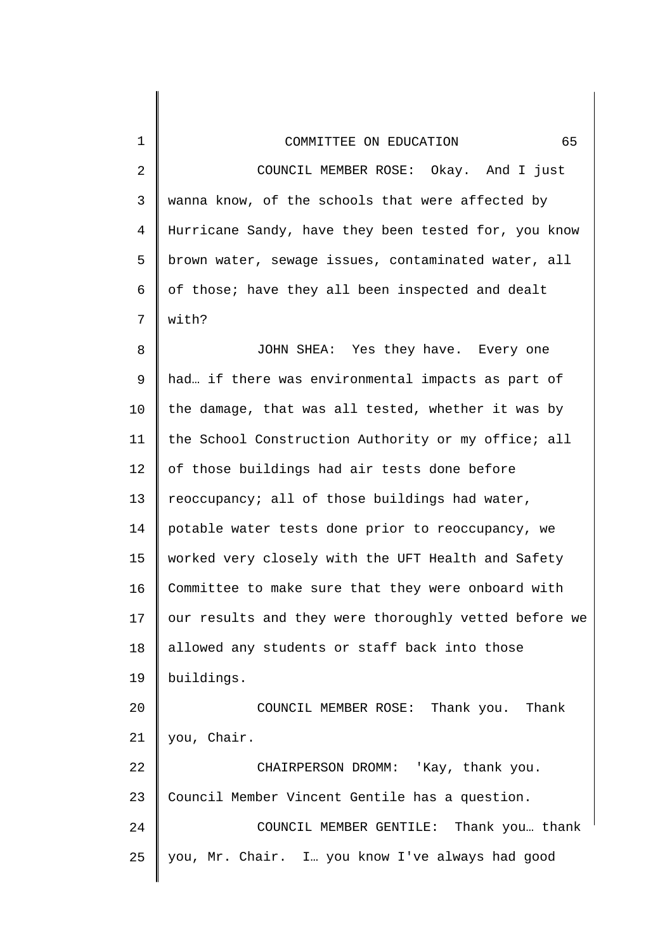| $\mathbf 1$ | 65<br>COMMITTEE ON EDUCATION                          |
|-------------|-------------------------------------------------------|
| 2           | COUNCIL MEMBER ROSE: Okay. And I just                 |
| 3           | wanna know, of the schools that were affected by      |
| 4           | Hurricane Sandy, have they been tested for, you know  |
| 5           | brown water, sewage issues, contaminated water, all   |
| 6           | of those; have they all been inspected and dealt      |
| 7           | with?                                                 |
| 8           | JOHN SHEA: Yes they have. Every one                   |
| 9           | had if there was environmental impacts as part of     |
| 10          | the damage, that was all tested, whether it was by    |
| 11          | the School Construction Authority or my office; all   |
| 12          | of those buildings had air tests done before          |
| 13          | reoccupancy; all of those buildings had water,        |
| 14          | potable water tests done prior to reoccupancy, we     |
| 15          | worked very closely with the UFT Health and Safety    |
| 16          | Committee to make sure that they were onboard with    |
| 17          | our results and they were thoroughly vetted before we |
| 18          | allowed any students or staff back into those         |
| 19          | buildings.                                            |
| 20          | COUNCIL MEMBER ROSE: Thank you. Thank                 |
| 21          | you, Chair.                                           |
| 22          | CHAIRPERSON DROMM: 'Kay, thank you.                   |
| 23          | Council Member Vincent Gentile has a question.        |
| 24          | COUNCIL MEMBER GENTILE: Thank you thank               |
| 25          | you, Mr. Chair. I. you know I've always had good      |
|             |                                                       |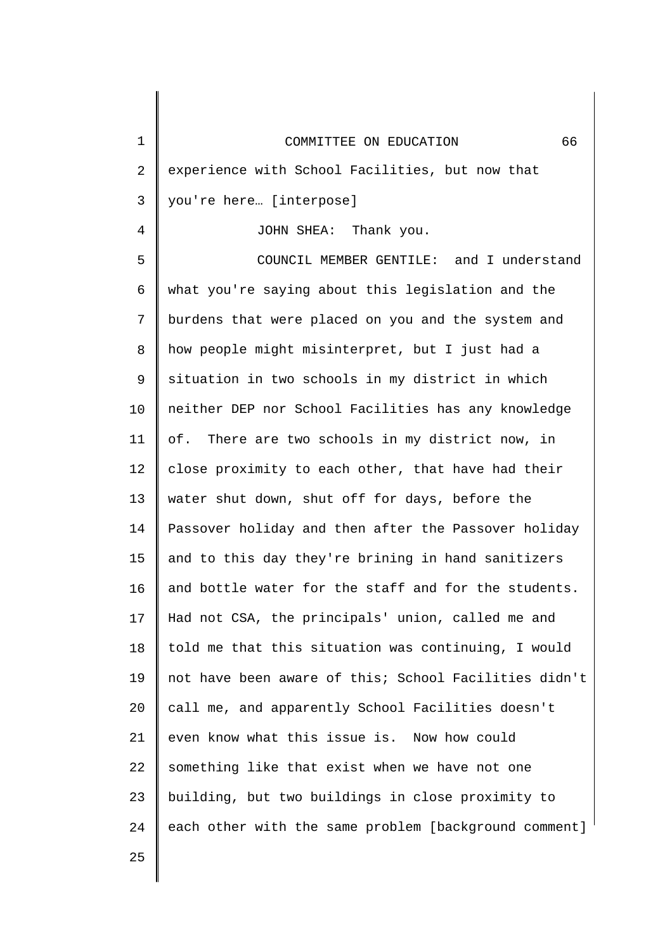| $\mathbf 1$    | 66<br>COMMITTEE ON EDUCATION                          |
|----------------|-------------------------------------------------------|
| 2              | experience with School Facilities, but now that       |
| 3              | you're here [interpose]                               |
| $\overline{4}$ | JOHN SHEA: Thank you.                                 |
| 5              | COUNCIL MEMBER GENTILE: and I understand              |
| 6              | what you're saying about this legislation and the     |
| 7              | burdens that were placed on you and the system and    |
| 8              | how people might misinterpret, but I just had a       |
| 9              | situation in two schools in my district in which      |
| 10             | neither DEP nor School Facilities has any knowledge   |
| 11             | of. There are two schools in my district now, in      |
| 12             | close proximity to each other, that have had their    |
| 13             | water shut down, shut off for days, before the        |
| 14             | Passover holiday and then after the Passover holiday  |
| 15             | and to this day they're brining in hand sanitizers    |
| 16             | and bottle water for the staff and for the students.  |
| 17             | Had not CSA, the principals' union, called me and     |
| 18             | told me that this situation was continuing, I would   |
| 19             | not have been aware of this; School Facilities didn't |
| 20             | call me, and apparently School Facilities doesn't     |
| 21             | even know what this issue is. Now how could           |
| 22             | something like that exist when we have not one        |
| 23             | building, but two buildings in close proximity to     |
| 24             | each other with the same problem [background comment] |
| 25             |                                                       |

║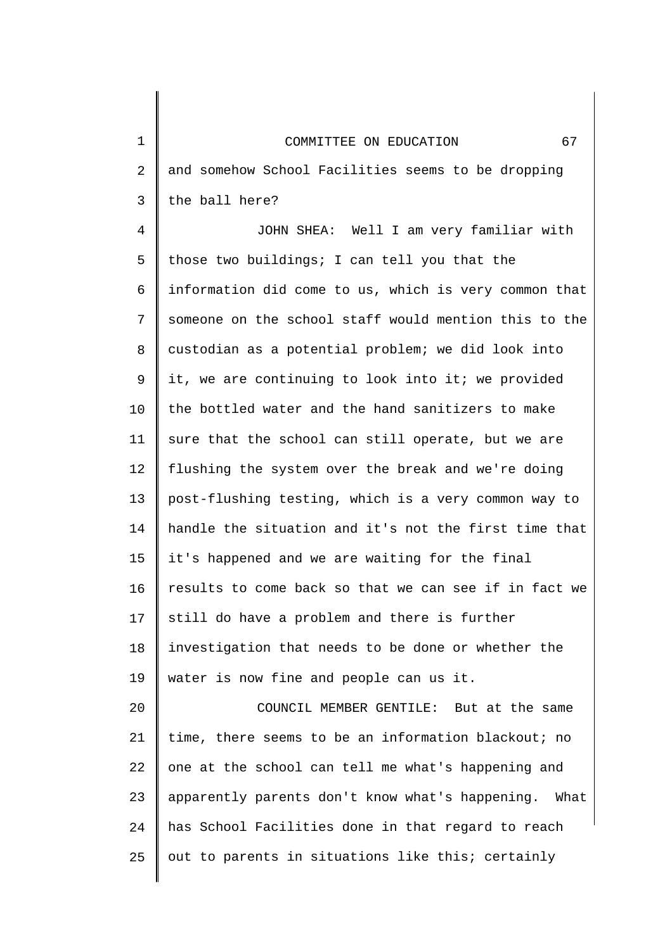1 2 3 4 5 6 7 8 9 10 11 12 13 14 15 16 17 18 19 20 21 22 23 24 COMMITTEE ON EDUCATION 67 and somehow School Facilities seems to be dropping the ball here? JOHN SHEA: Well I am very familiar with those two buildings; I can tell you that the information did come to us, which is very common that someone on the school staff would mention this to the custodian as a potential problem; we did look into it, we are continuing to look into it; we provided the bottled water and the hand sanitizers to make sure that the school can still operate, but we are flushing the system over the break and we're doing post-flushing testing, which is a very common way to handle the situation and it's not the first time that it's happened and we are waiting for the final results to come back so that we can see if in fact we still do have a problem and there is further investigation that needs to be done or whether the water is now fine and people can us it. COUNCIL MEMBER GENTILE: But at the same time, there seems to be an information blackout; no one at the school can tell me what's happening and apparently parents don't know what's happening. What has School Facilities done in that regard to reach

out to parents in situations like this; certainly

25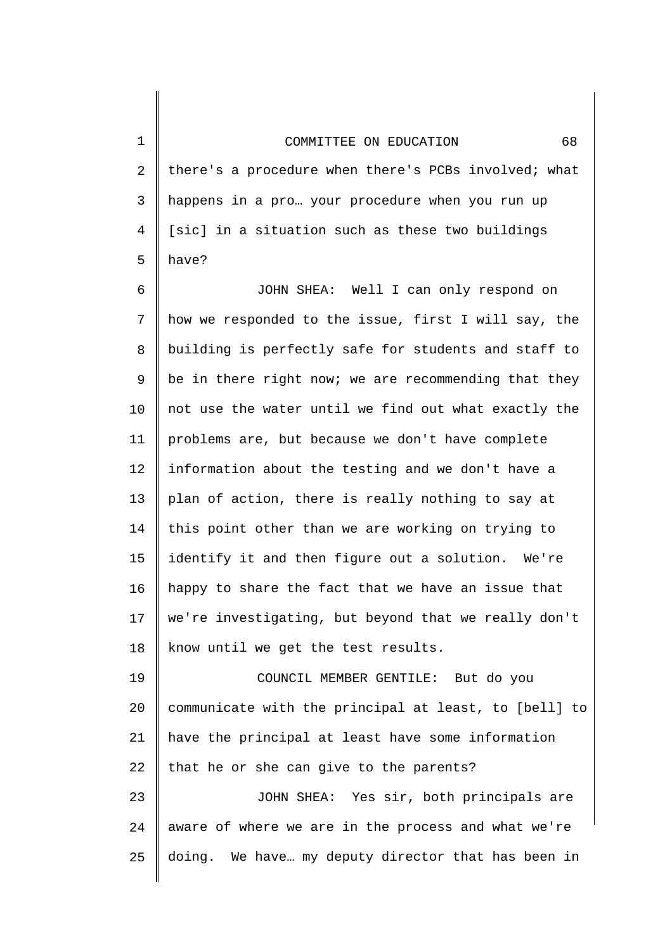1

2

3

4

5

25

there's a procedure when there's PCBs involved; what happens in a pro… your procedure when you run up [sic] in a situation such as these two buildings have?

6 7 8 9 10 11 12 13 14 15 16 17 18 JOHN SHEA: Well I can only respond on how we responded to the issue, first I will say, the building is perfectly safe for students and staff to be in there right now; we are recommending that they not use the water until we find out what exactly the problems are, but because we don't have complete information about the testing and we don't have a plan of action, there is really nothing to say at this point other than we are working on trying to identify it and then figure out a solution. We're happy to share the fact that we have an issue that we're investigating, but beyond that we really don't know until we get the test results.

19 20 21 22 23 24 COUNCIL MEMBER GENTILE: But do you communicate with the principal at least, to [bell] to have the principal at least have some information that he or she can give to the parents? JOHN SHEA: Yes sir, both principals are aware of where we are in the process and what we're

doing. We have… my deputy director that has been in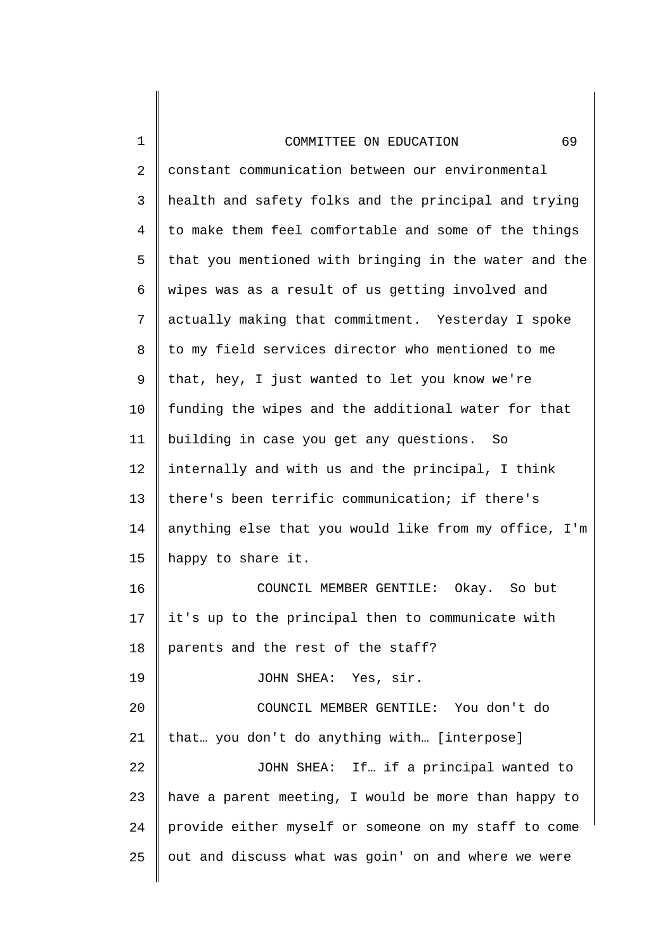| 1  | 69<br>COMMITTEE ON EDUCATION                          |
|----|-------------------------------------------------------|
| 2  | constant communication between our environmental      |
| 3  | health and safety folks and the principal and trying  |
| 4  | to make them feel comfortable and some of the things  |
| 5  | that you mentioned with bringing in the water and the |
| 6  | wipes was as a result of us getting involved and      |
| 7  | actually making that commitment. Yesterday I spoke    |
| 8  | to my field services director who mentioned to me     |
| 9  | that, hey, I just wanted to let you know we're        |
| 10 | funding the wipes and the additional water for that   |
| 11 | building in case you get any questions.<br>– So       |
| 12 | internally and with us and the principal, I think     |
| 13 | there's been terrific communication; if there's       |
| 14 | anything else that you would like from my office, I'm |
| 15 | happy to share it.                                    |
| 16 | COUNCIL MEMBER GENTILE:<br>Okay. So but               |
| 17 | it's up to the principal then to communicate with     |
| 18 | parents and the rest of the staff?                    |
| 19 | JOHN SHEA: Yes, sir.                                  |
| 20 | COUNCIL MEMBER GENTILE: You don't do                  |
| 21 | that you don't do anything with [interpose]           |
| 22 | JOHN SHEA: If if a principal wanted to                |
| 23 | have a parent meeting, I would be more than happy to  |
| 24 | provide either myself or someone on my staff to come  |
| 25 | out and discuss what was goin' on and where we were   |
|    |                                                       |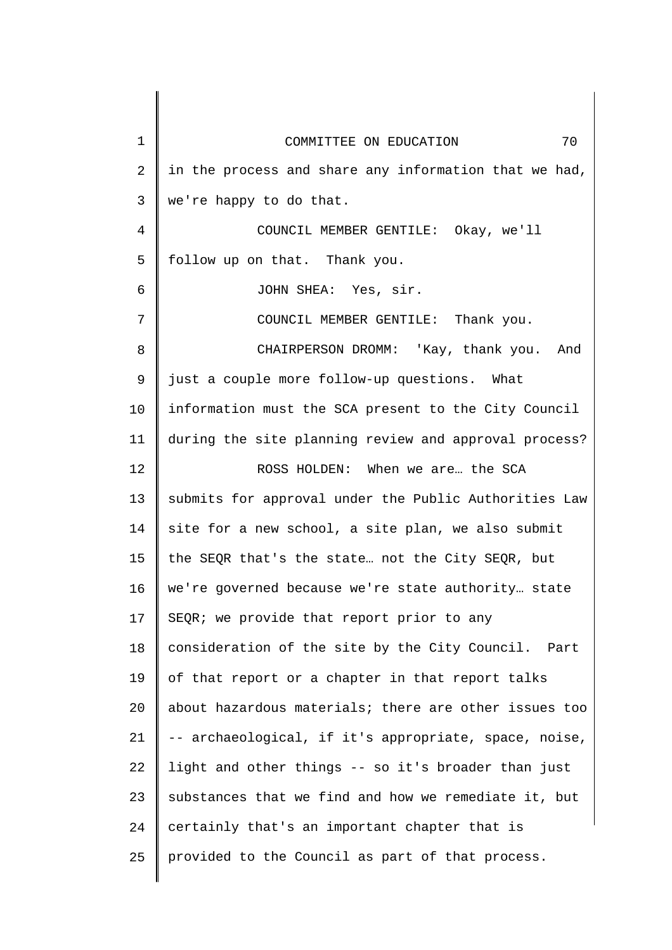| 1  | 70<br>COMMITTEE ON EDUCATION                           |
|----|--------------------------------------------------------|
| 2  | in the process and share any information that we had,  |
| 3  | we're happy to do that.                                |
| 4  | COUNCIL MEMBER GENTILE: Okay, we'll                    |
| 5  | follow up on that. Thank you.                          |
| 6  | JOHN SHEA: Yes, sir.                                   |
| 7  | COUNCIL MEMBER GENTILE: Thank you.                     |
| 8  | CHAIRPERSON DROMM: 'Kay, thank you. And                |
| 9  | just a couple more follow-up questions. What           |
| 10 | information must the SCA present to the City Council   |
| 11 | during the site planning review and approval process?  |
| 12 | ROSS HOLDEN: When we are the SCA                       |
| 13 | submits for approval under the Public Authorities Law  |
| 14 | site for a new school, a site plan, we also submit     |
| 15 | the SEQR that's the state not the City SEQR, but       |
| 16 | we're governed because we're state authority state     |
| 17 | SEQR; we provide that report prior to any              |
| 18 | consideration of the site by the City Council.<br>Part |
| 19 | of that report or a chapter in that report talks       |
| 20 | about hazardous materials; there are other issues too  |
| 21 | -- archaeological, if it's appropriate, space, noise,  |
| 22 | light and other things -- so it's broader than just    |
| 23 | substances that we find and how we remediate it, but   |
| 24 | certainly that's an important chapter that is          |
| 25 | provided to the Council as part of that process.       |
|    |                                                        |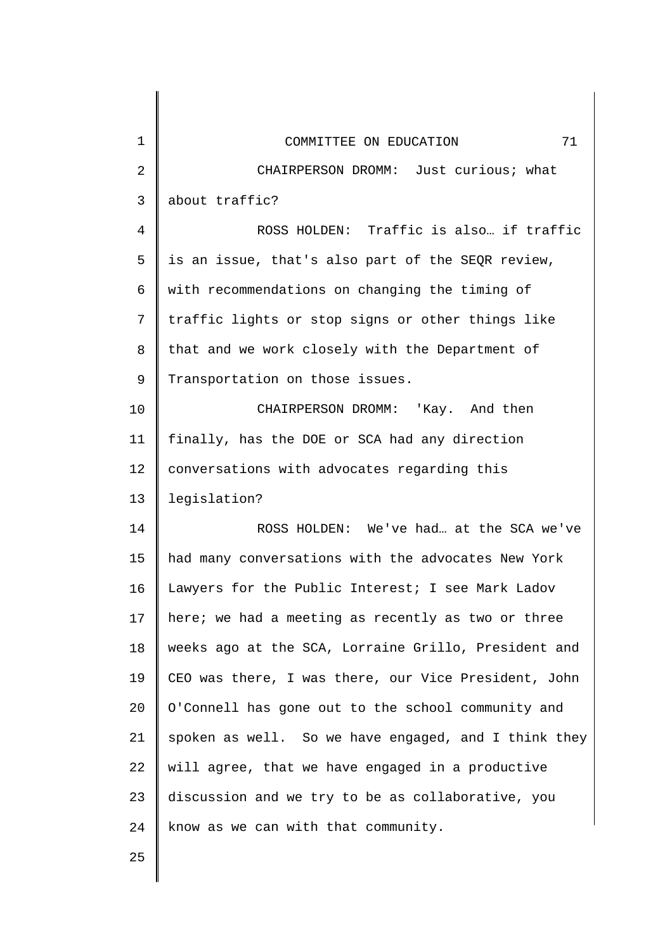| 1  | 71<br>COMMITTEE ON EDUCATION                         |
|----|------------------------------------------------------|
| 2  | CHAIRPERSON DROMM: Just curious; what                |
| 3  | about traffic?                                       |
| 4  | ROSS HOLDEN: Traffic is also if traffic              |
| 5  | is an issue, that's also part of the SEQR review,    |
| 6  | with recommendations on changing the timing of       |
| 7  | traffic lights or stop signs or other things like    |
| 8  | that and we work closely with the Department of      |
| 9  | Transportation on those issues.                      |
| 10 | CHAIRPERSON DROMM: 'Kay. And then                    |
| 11 | finally, has the DOE or SCA had any direction        |
| 12 | conversations with advocates regarding this          |
| 13 | legislation?                                         |
| 14 | ROSS HOLDEN: We've had at the SCA we've              |
| 15 | had many conversations with the advocates New York   |
| 16 | Lawyers for the Public Interest; I see Mark Ladov    |
| 17 | here; we had a meeting as recently as two or three   |
| 18 | weeks ago at the SCA, Lorraine Grillo, President and |
| 19 | CEO was there, I was there, our Vice President, John |
| 20 | O'Connell has gone out to the school community and   |
| 21 | spoken as well. So we have engaged, and I think they |
| 22 | will agree, that we have engaged in a productive     |
| 23 | discussion and we try to be as collaborative, you    |
| 24 | know as we can with that community.                  |
| 25 |                                                      |
|    |                                                      |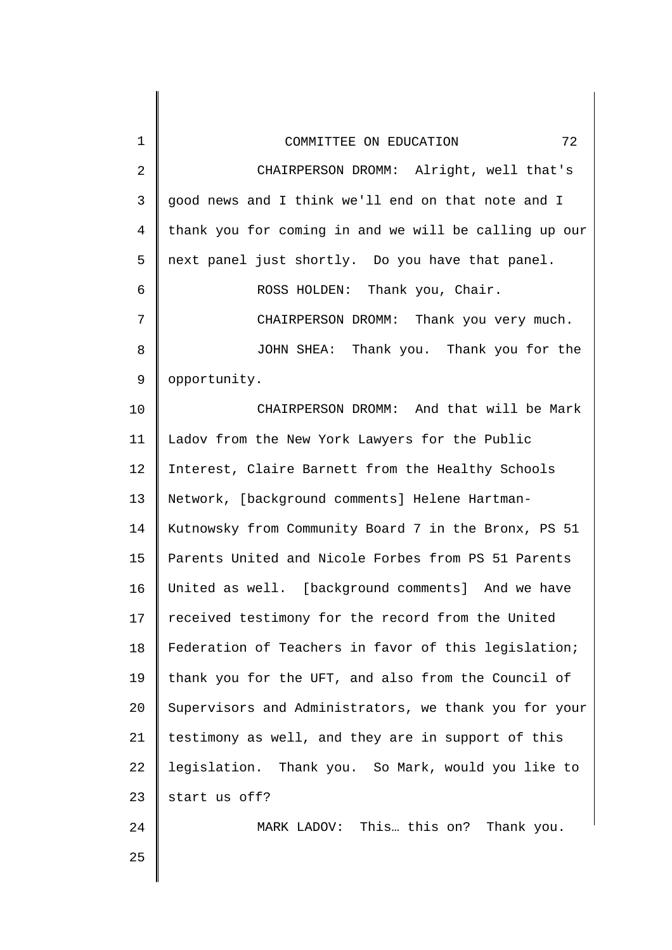| $\mathbf 1$    | 72<br>COMMITTEE ON EDUCATION                          |
|----------------|-------------------------------------------------------|
| 2              | CHAIRPERSON DROMM: Alright, well that's               |
| 3              | good news and I think we'll end on that note and I    |
| $\overline{4}$ | thank you for coming in and we will be calling up our |
| 5              | next panel just shortly. Do you have that panel.      |
| 6              | ROSS HOLDEN: Thank you, Chair.                        |
| 7              | CHAIRPERSON DROMM: Thank you very much.               |
| 8              | JOHN SHEA: Thank you. Thank you for the               |
| 9              | opportunity.                                          |
| 10             | CHAIRPERSON DROMM: And that will be Mark              |
| 11             | Ladov from the New York Lawyers for the Public        |
| 12             | Interest, Claire Barnett from the Healthy Schools     |
| 13             | Network, [background comments] Helene Hartman-        |
| 14             | Kutnowsky from Community Board 7 in the Bronx, PS 51  |
| 15             | Parents United and Nicole Forbes from PS 51 Parents   |
| 16             | United as well. [background comments] And we have     |
| 17             | received testimony for the record from the United     |
| 18             | Federation of Teachers in favor of this legislation;  |
| 19             | thank you for the UFT, and also from the Council of   |
| 20             | Supervisors and Administrators, we thank you for your |
| 21             | testimony as well, and they are in support of this    |
| 22             | legislation. Thank you. So Mark, would you like to    |
| 23             | start us off?                                         |
| 24             | MARK LADOV: This this on? Thank you.                  |
| 25             |                                                       |
|                |                                                       |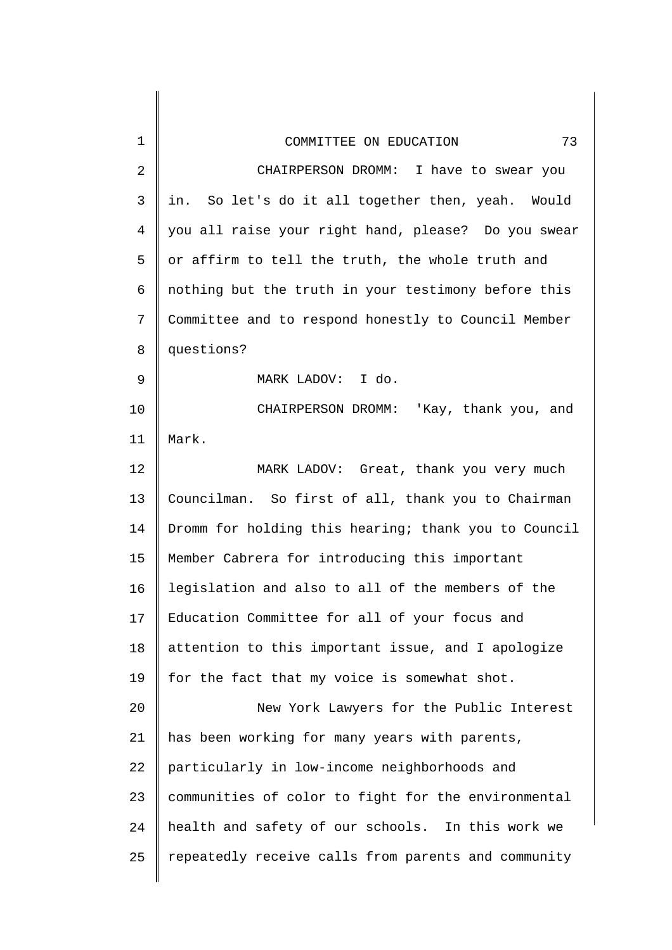| 1              | 73<br>COMMITTEE ON EDUCATION                         |
|----------------|------------------------------------------------------|
| $\overline{2}$ | CHAIRPERSON DROMM: I have to swear you               |
| $\mathsf{3}$   | in. So let's do it all together then, yeah. Would    |
| 4              | you all raise your right hand, please? Do you swear  |
| 5              | or affirm to tell the truth, the whole truth and     |
| 6              | nothing but the truth in your testimony before this  |
| 7              | Committee and to respond honestly to Council Member  |
| 8              | questions?                                           |
| 9              | MARK LADOV: I do.                                    |
| 10             | CHAIRPERSON DROMM: 'Kay, thank you, and              |
| 11             | Mark.                                                |
| 12             | MARK LADOV: Great, thank you very much               |
| 13             | Councilman. So first of all, thank you to Chairman   |
| 14             | Dromm for holding this hearing; thank you to Council |
| 15             | Member Cabrera for introducing this important        |
| 16             | legislation and also to all of the members of the    |
| 17             | Education Committee for all of your focus and        |
| 18             | attention to this important issue, and I apologize   |
| 19             | for the fact that my voice is somewhat shot.         |
| 20             | New York Lawyers for the Public Interest             |
| 21             | has been working for many years with parents,        |
| 22             | particularly in low-income neighborhoods and         |
| 23             | communities of color to fight for the environmental  |
| 24             | health and safety of our schools. In this work we    |
| 25             | repeatedly receive calls from parents and community  |
|                |                                                      |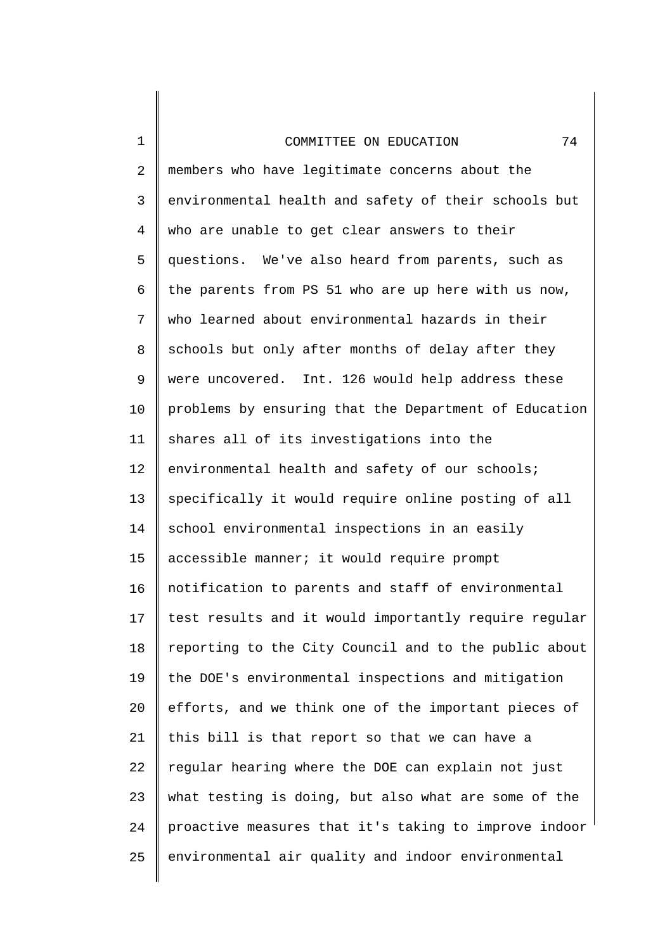1

2 3 4 5 6 7 8 9 10 11 12 13 14 15 16 17 18 19 20 21 22 23 24 25 members who have legitimate concerns about the environmental health and safety of their schools but who are unable to get clear answers to their questions. We've also heard from parents, such as the parents from PS 51 who are up here with us now, who learned about environmental hazards in their schools but only after months of delay after they were uncovered. Int. 126 would help address these problems by ensuring that the Department of Education shares all of its investigations into the environmental health and safety of our schools; specifically it would require online posting of all school environmental inspections in an easily accessible manner; it would require prompt notification to parents and staff of environmental test results and it would importantly require regular reporting to the City Council and to the public about the DOE's environmental inspections and mitigation efforts, and we think one of the important pieces of this bill is that report so that we can have a regular hearing where the DOE can explain not just what testing is doing, but also what are some of the proactive measures that it's taking to improve indoor environmental air quality and indoor environmental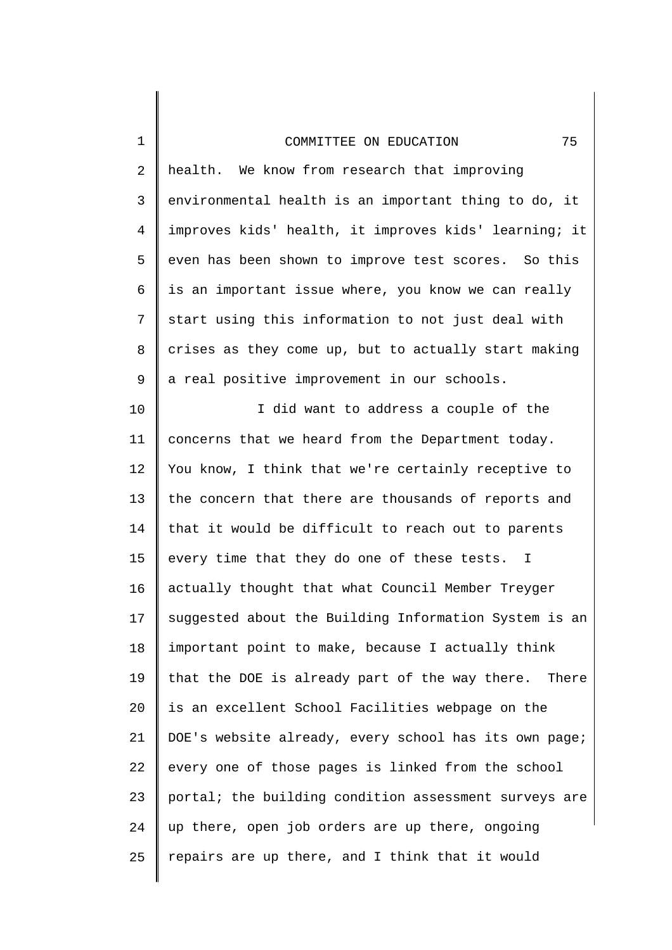1

2

3

4

5

6

7

8

9

10

11

12

13

health. We know from research that improving environmental health is an important thing to do, it improves kids' health, it improves kids' learning; it even has been shown to improve test scores. So this is an important issue where, you know we can really start using this information to not just deal with crises as they come up, but to actually start making a real positive improvement in our schools. I did want to address a couple of the concerns that we heard from the Department today. You know, I think that we're certainly receptive to the concern that there are thousands of reports and

14 15 16 17 18 19 20 21 22 23 24 25 that it would be difficult to reach out to parents every time that they do one of these tests. I actually thought that what Council Member Treyger suggested about the Building Information System is an important point to make, because I actually think that the DOE is already part of the way there. There is an excellent School Facilities webpage on the DOE's website already, every school has its own page; every one of those pages is linked from the school portal; the building condition assessment surveys are up there, open job orders are up there, ongoing repairs are up there, and I think that it would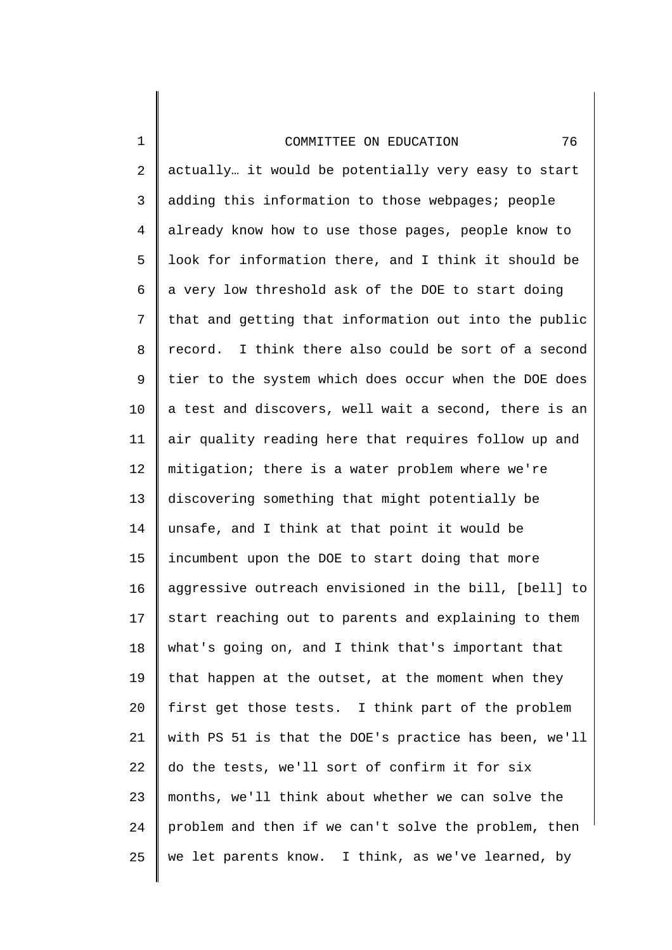1

2 3 4 5 6 7 8 9 10 11 12 13 14 15 16 17 18 19 20 21 22 23 24 25 actually… it would be potentially very easy to start adding this information to those webpages; people already know how to use those pages, people know to look for information there, and I think it should be a very low threshold ask of the DOE to start doing that and getting that information out into the public record. I think there also could be sort of a second tier to the system which does occur when the DOE does a test and discovers, well wait a second, there is an air quality reading here that requires follow up and mitigation; there is a water problem where we're discovering something that might potentially be unsafe, and I think at that point it would be incumbent upon the DOE to start doing that more aggressive outreach envisioned in the bill, [bell] to start reaching out to parents and explaining to them what's going on, and I think that's important that that happen at the outset, at the moment when they first get those tests. I think part of the problem with PS 51 is that the DOE's practice has been, we'll do the tests, we'll sort of confirm it for six months, we'll think about whether we can solve the problem and then if we can't solve the problem, then we let parents know. I think, as we've learned, by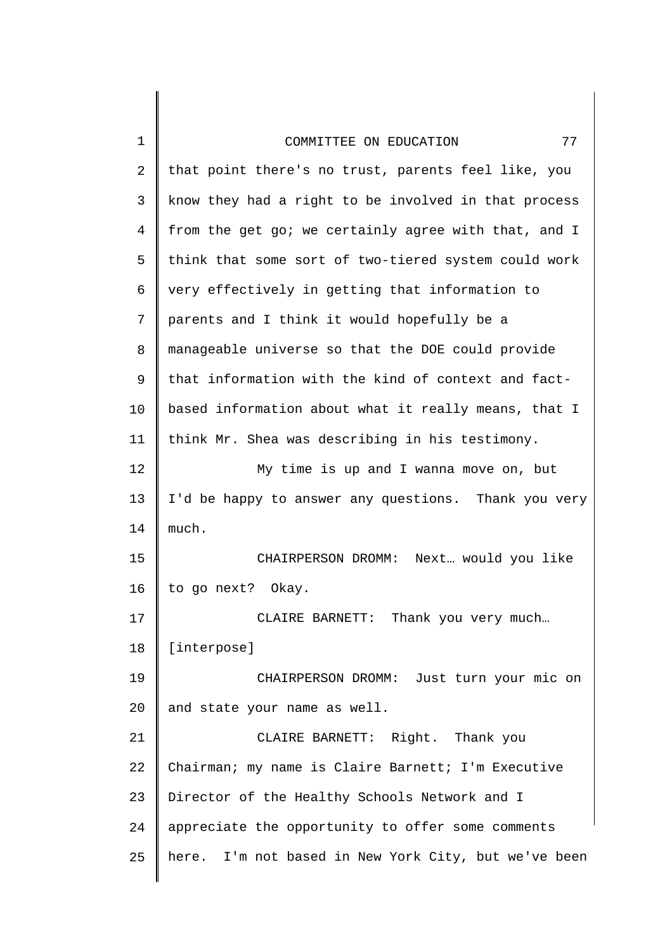| $\mathbf 1$ | 77<br>COMMITTEE ON EDUCATION                         |
|-------------|------------------------------------------------------|
| 2           | that point there's no trust, parents feel like, you  |
| 3           | know they had a right to be involved in that process |
| 4           | from the get go; we certainly agree with that, and I |
| 5           | think that some sort of two-tiered system could work |
| 6           | very effectively in getting that information to      |
| 7           | parents and I think it would hopefully be a          |
| 8           | manageable universe so that the DOE could provide    |
| 9           | that information with the kind of context and fact-  |
| 10          | based information about what it really means, that I |
| 11          | think Mr. Shea was describing in his testimony.      |
| 12          | My time is up and I wanna move on, but               |
| 13          | I'd be happy to answer any questions. Thank you very |
| 14          | much.                                                |
| 15          | CHAIRPERSON DROMM: Next would you like               |
| 16          | to go next? Okay.                                    |
| 17          | CLAIRE BARNETT: Thank you very much                  |
| 18          | [interpose]                                          |
| 19          | CHAIRPERSON DROMM: Just turn your mic on             |
| 20          | and state your name as well.                         |
| 21          | CLAIRE BARNETT: Right. Thank you                     |
| 22          | Chairman; my name is Claire Barnett; I'm Executive   |
| 23          | Director of the Healthy Schools Network and I        |
| 24          | appreciate the opportunity to offer some comments    |
| 25          | here. I'm not based in New York City, but we've been |
|             |                                                      |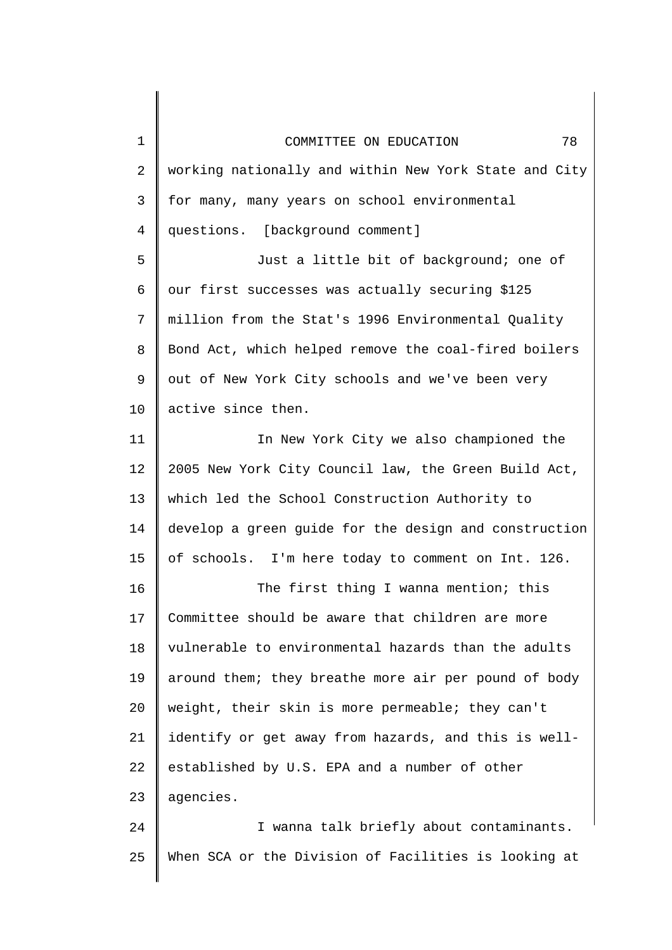1 2 3 4 5 6 7 8 9 10 11 12 13 14 15 16 17 18 19 20 21 22 23 24 25 COMMITTEE ON EDUCATION 78 working nationally and within New York State and City for many, many years on school environmental questions. [background comment] Just a little bit of background; one of our first successes was actually securing \$125 million from the Stat's 1996 Environmental Quality Bond Act, which helped remove the coal-fired boilers out of New York City schools and we've been very active since then. In New York City we also championed the 2005 New York City Council law, the Green Build Act, which led the School Construction Authority to develop a green guide for the design and construction of schools. I'm here today to comment on Int. 126. The first thing I wanna mention; this Committee should be aware that children are more vulnerable to environmental hazards than the adults around them; they breathe more air per pound of body weight, their skin is more permeable; they can't identify or get away from hazards, and this is wellestablished by U.S. EPA and a number of other agencies. I wanna talk briefly about contaminants. When SCA or the Division of Facilities is looking at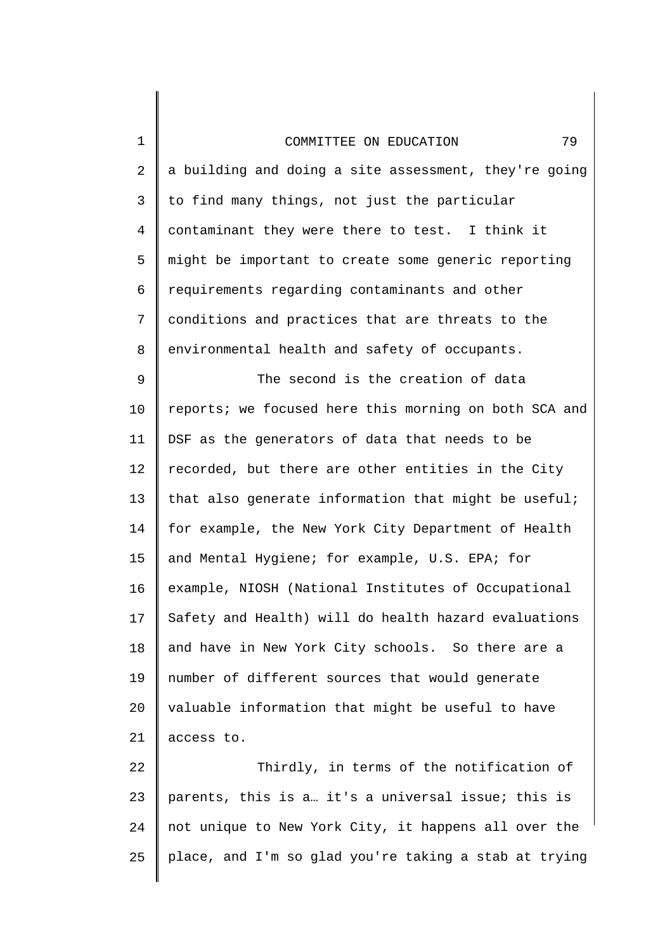1

2 3 4 5 6 7 8 9 10 11 12 13 14 15 16 17 18 19 20 21 22 23 a building and doing a site assessment, they're going to find many things, not just the particular contaminant they were there to test. I think it might be important to create some generic reporting requirements regarding contaminants and other conditions and practices that are threats to the environmental health and safety of occupants. The second is the creation of data reports; we focused here this morning on both SCA and DSF as the generators of data that needs to be recorded, but there are other entities in the City that also generate information that might be useful; for example, the New York City Department of Health and Mental Hygiene; for example, U.S. EPA; for example, NIOSH (National Institutes of Occupational Safety and Health) will do health hazard evaluations and have in New York City schools. So there are a number of different sources that would generate valuable information that might be useful to have access to. Thirdly, in terms of the notification of parents, this is a… it's a universal issue; this is

24 25 not unique to New York City, it happens all over the place, and I'm so glad you're taking a stab at trying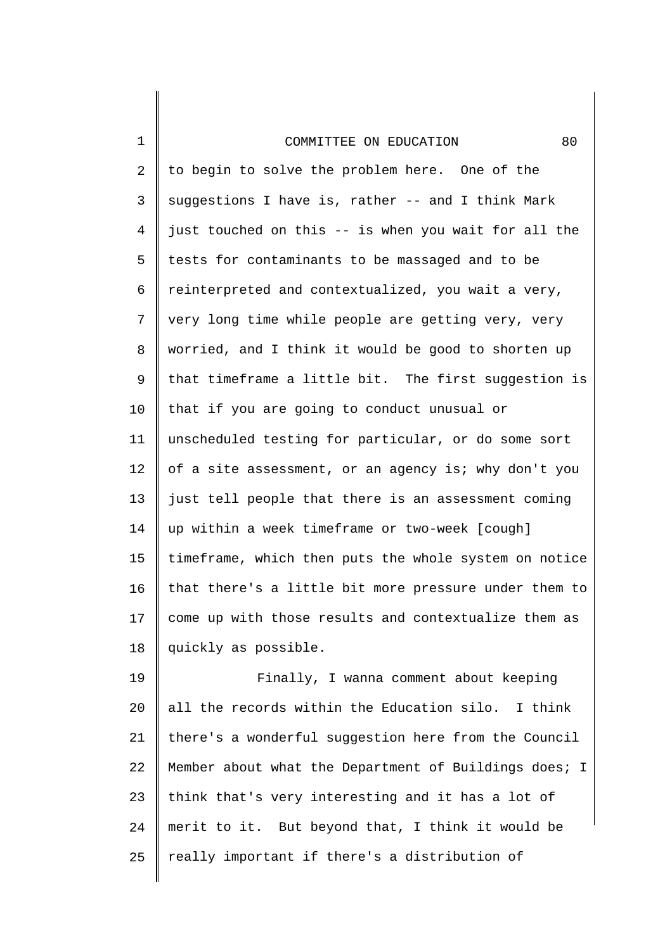1

2 3 4 5 6 7 8 9 10 11 12 13 14 15 16 17 18 to begin to solve the problem here. One of the suggestions I have is, rather -- and I think Mark just touched on this -- is when you wait for all the tests for contaminants to be massaged and to be reinterpreted and contextualized, you wait a very, very long time while people are getting very, very worried, and I think it would be good to shorten up that timeframe a little bit. The first suggestion is that if you are going to conduct unusual or unscheduled testing for particular, or do some sort of a site assessment, or an agency is; why don't you just tell people that there is an assessment coming up within a week timeframe or two-week [cough] timeframe, which then puts the whole system on notice that there's a little bit more pressure under them to come up with those results and contextualize them as quickly as possible.

19 20 21 22 23 24 25 Finally, I wanna comment about keeping all the records within the Education silo. I think there's a wonderful suggestion here from the Council Member about what the Department of Buildings does; I think that's very interesting and it has a lot of merit to it. But beyond that, I think it would be really important if there's a distribution of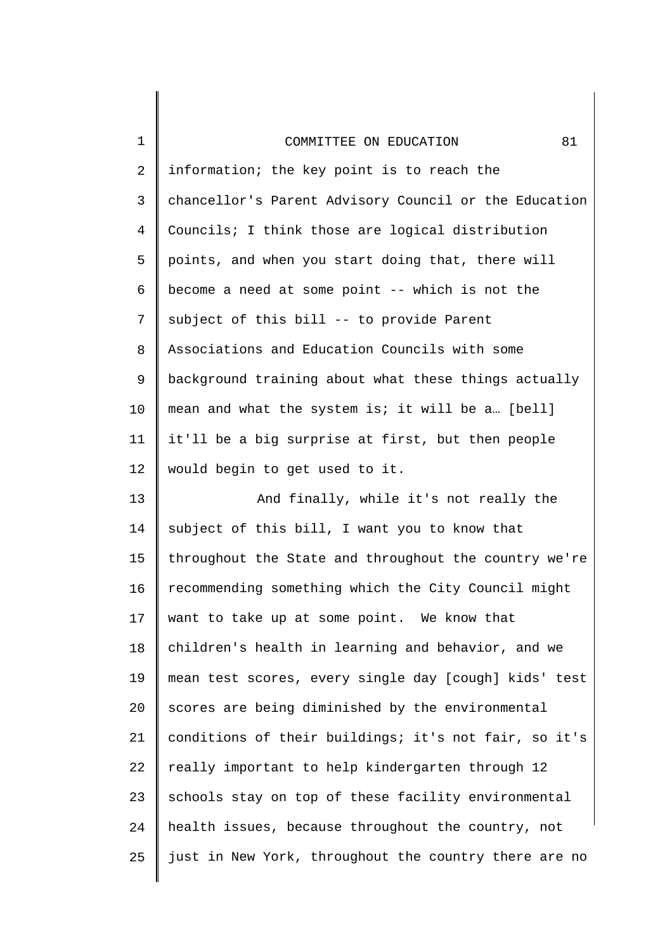| $\mathbf 1$    | 81<br>COMMITTEE ON EDUCATION                          |
|----------------|-------------------------------------------------------|
| $\overline{2}$ | information; the key point is to reach the            |
| $\mathsf{3}$   | chancellor's Parent Advisory Council or the Education |
| 4              | Councils; I think those are logical distribution      |
| 5              | points, and when you start doing that, there will     |
| 6              | become a need at some point -- which is not the       |
| 7              | subject of this bill -- to provide Parent             |
| 8              | Associations and Education Councils with some         |
| 9              | background training about what these things actually  |
| 10             | mean and what the system is; it will be a [bell]      |
| 11             | it'll be a big surprise at first, but then people     |
| 12             | would begin to get used to it.                        |
| 13             | And finally, while it's not really the                |
| 14             | subject of this bill, I want you to know that         |
| 15             | throughout the State and throughout the country we're |
| 16             | recommending something which the City Council might   |
| 17             | want to take up at some point. We know that           |
| 18             | children's health in learning and behavior, and we    |
| 19             | mean test scores, every single day [cough] kids' test |
| 20             | scores are being diminished by the environmental      |
| 21             | conditions of their buildings; it's not fair, so it's |
| 22             | really important to help kindergarten through 12      |
| 23             | schools stay on top of these facility environmental   |
| 24             | health issues, because throughout the country, not    |
| 25             | just in New York, throughout the country there are no |
|                |                                                       |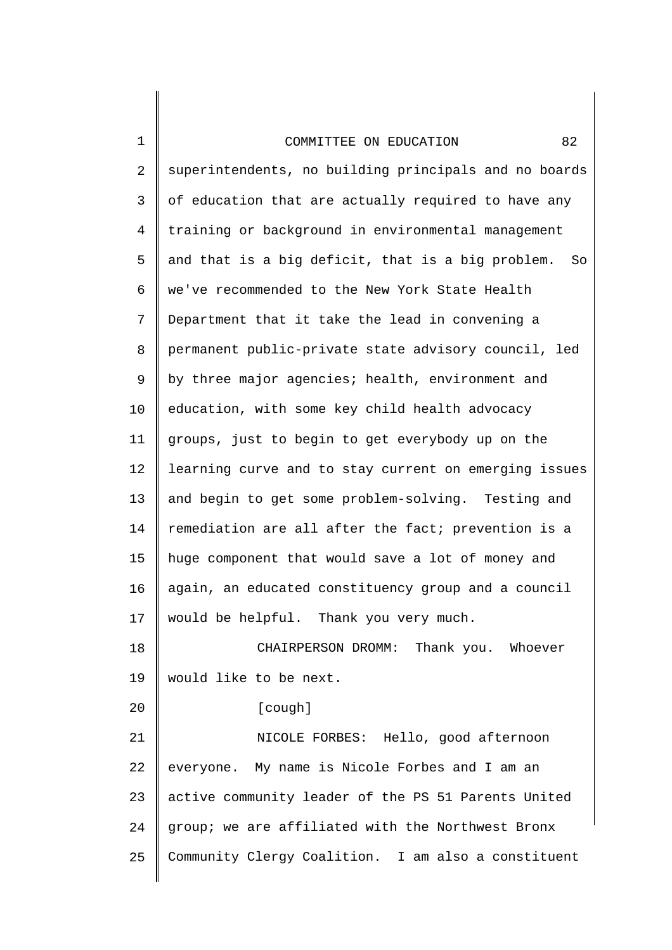20

2 3 4 5 6 7 8 9 10 11 12 13 14 15 16 17 18 superintendents, no building principals and no boards of education that are actually required to have any training or background in environmental management and that is a big deficit, that is a big problem. So we've recommended to the New York State Health Department that it take the lead in convening a permanent public-private state advisory council, led by three major agencies; health, environment and education, with some key child health advocacy groups, just to begin to get everybody up on the learning curve and to stay current on emerging issues and begin to get some problem-solving. Testing and remediation are all after the fact; prevention is a huge component that would save a lot of money and again, an educated constituency group and a council would be helpful. Thank you very much. CHAIRPERSON DROMM: Thank you. Whoever

19 would like to be next.

[cough]

21 22 23 24 25 NICOLE FORBES: Hello, good afternoon everyone. My name is Nicole Forbes and I am an active community leader of the PS 51 Parents United group; we are affiliated with the Northwest Bronx Community Clergy Coalition. I am also a constituent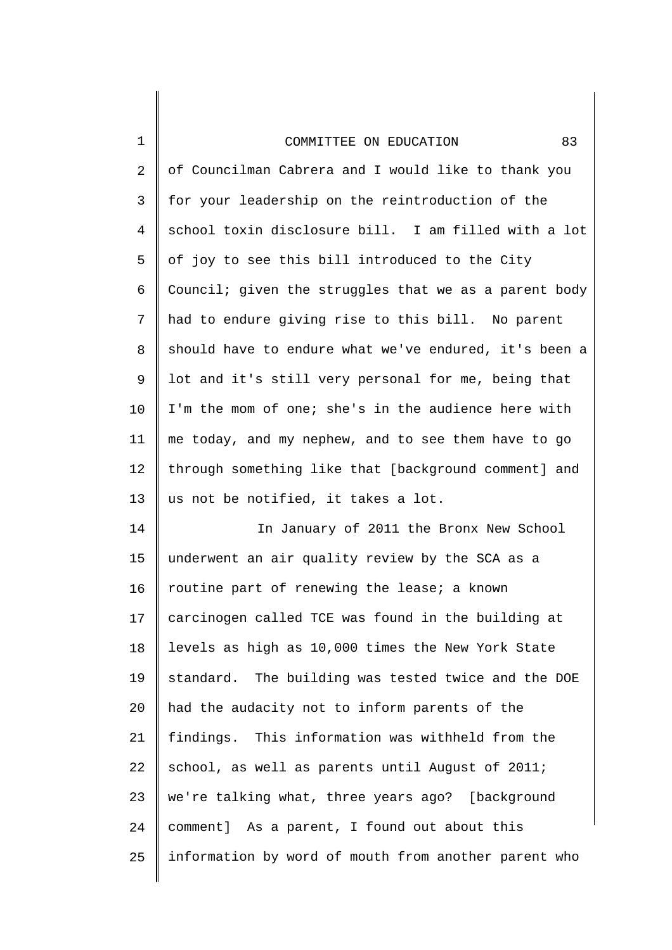2 3 4 5 6 7 8 9 10 11 12 13 of Councilman Cabrera and I would like to thank you for your leadership on the reintroduction of the school toxin disclosure bill. I am filled with a lot of joy to see this bill introduced to the City Council; given the struggles that we as a parent body had to endure giving rise to this bill. No parent should have to endure what we've endured, it's been a lot and it's still very personal for me, being that I'm the mom of one; she's in the audience here with me today, and my nephew, and to see them have to go through something like that [background comment] and us not be notified, it takes a lot.

14 15 16 17 18 19 20 21 22 23 24 25 In January of 2011 the Bronx New School underwent an air quality review by the SCA as a routine part of renewing the lease; a known carcinogen called TCE was found in the building at levels as high as 10,000 times the New York State standard. The building was tested twice and the DOE had the audacity not to inform parents of the findings. This information was withheld from the school, as well as parents until August of 2011; we're talking what, three years ago? [background comment] As a parent, I found out about this information by word of mouth from another parent who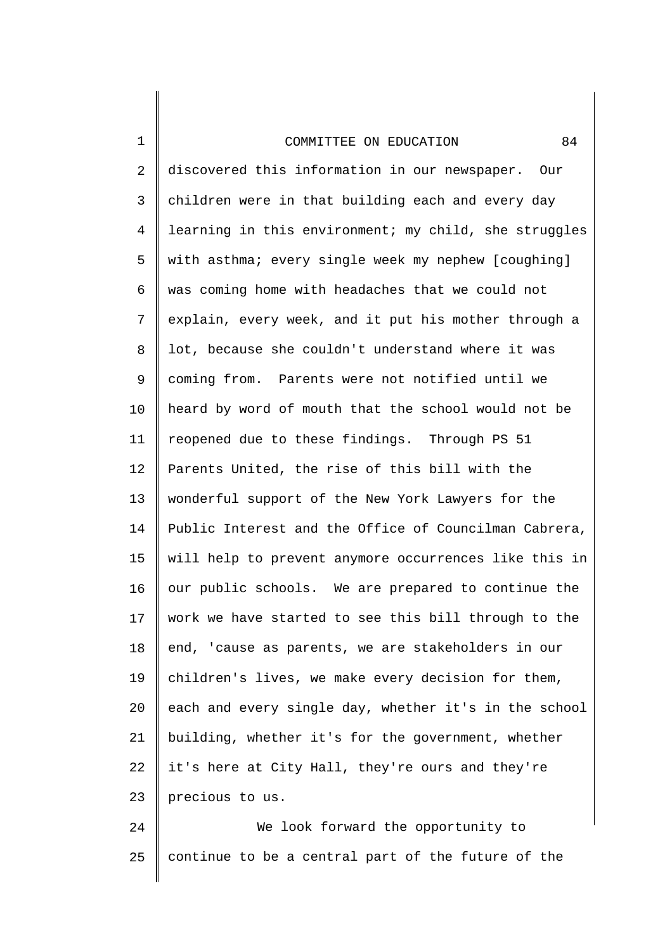1

2 3 4 5 6 7 8 9 10 11 12 13 14 15 16 17 18 19 20 21 22 23 discovered this information in our newspaper. Our children were in that building each and every day learning in this environment; my child, she struggles with asthma; every single week my nephew [coughing] was coming home with headaches that we could not explain, every week, and it put his mother through a lot, because she couldn't understand where it was coming from. Parents were not notified until we heard by word of mouth that the school would not be reopened due to these findings. Through PS 51 Parents United, the rise of this bill with the wonderful support of the New York Lawyers for the Public Interest and the Office of Councilman Cabrera, will help to prevent anymore occurrences like this in our public schools. We are prepared to continue the work we have started to see this bill through to the end, 'cause as parents, we are stakeholders in our children's lives, we make every decision for them, each and every single day, whether it's in the school building, whether it's for the government, whether it's here at City Hall, they're ours and they're precious to us.

24 25 We look forward the opportunity to continue to be a central part of the future of the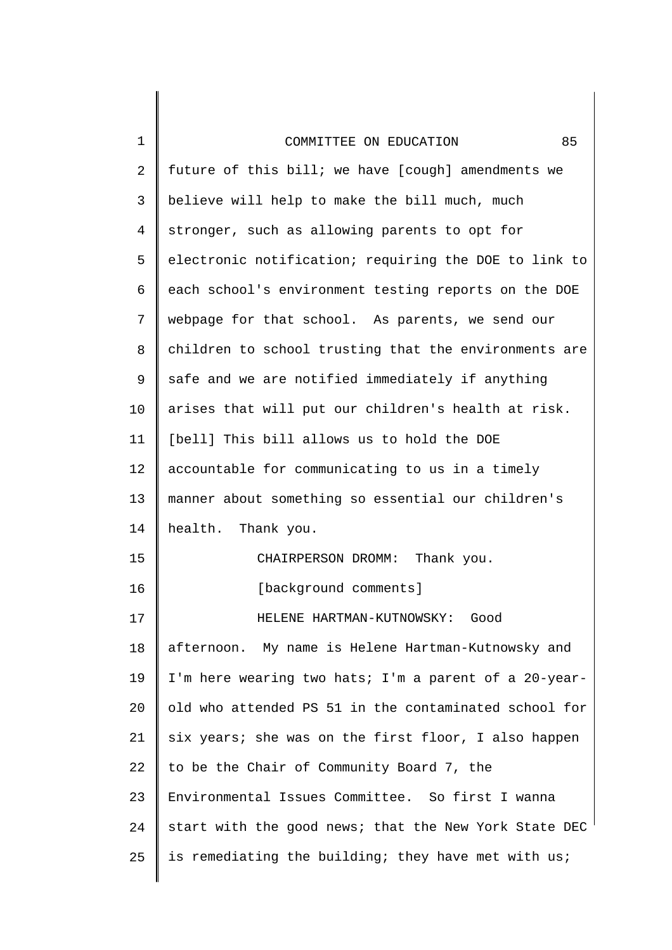1

2 3 4 5 6 7 8 9 10 11 12 13 14 15 16 17 18 19 20 21 22 23 24 25 future of this bill; we have [cough] amendments we believe will help to make the bill much, much stronger, such as allowing parents to opt for electronic notification; requiring the DOE to link to each school's environment testing reports on the DOE webpage for that school. As parents, we send our children to school trusting that the environments are safe and we are notified immediately if anything arises that will put our children's health at risk. [bell] This bill allows us to hold the DOE accountable for communicating to us in a timely manner about something so essential our children's health. Thank you. CHAIRPERSON DROMM: Thank you. [background comments] HELENE HARTMAN-KUTNOWSKY: Good afternoon. My name is Helene Hartman-Kutnowsky and I'm here wearing two hats; I'm a parent of a 20-yearold who attended PS 51 in the contaminated school for six years; she was on the first floor, I also happen to be the Chair of Community Board 7, the Environmental Issues Committee. So first I wanna start with the good news; that the New York State DEC is remediating the building; they have met with us;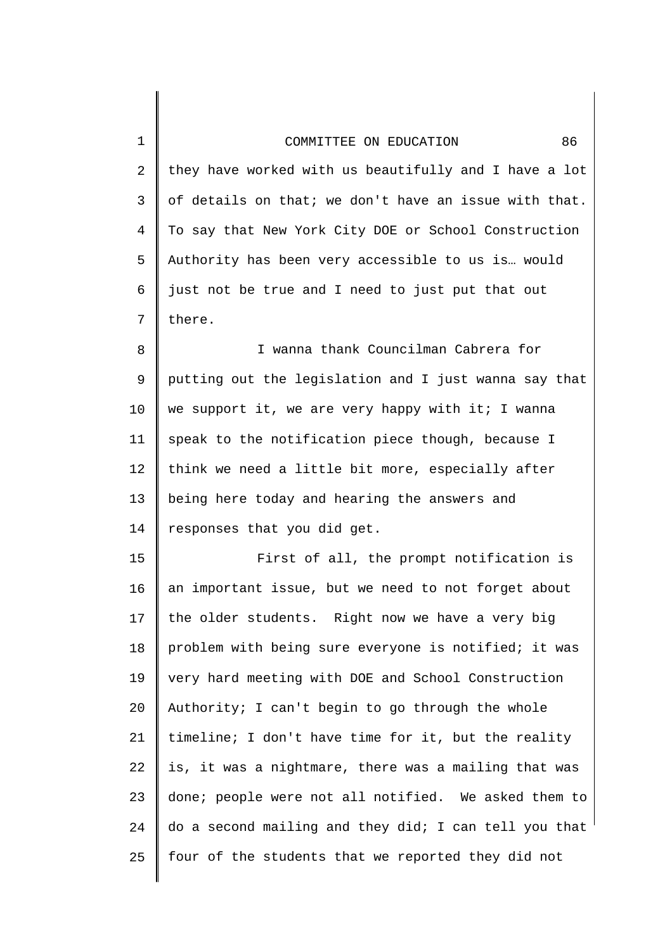| $\mathbf{1}$ | 86<br>COMMITTEE ON EDUCATION                          |
|--------------|-------------------------------------------------------|
| 2            | they have worked with us beautifully and I have a lot |
| 3            | of details on that; we don't have an issue with that. |
| 4            | To say that New York City DOE or School Construction  |
| 5            | Authority has been very accessible to us is would     |
| 6            | just not be true and I need to just put that out      |
| 7            | there.                                                |
| 8            | I wanna thank Councilman Cabrera for                  |
| 9            | putting out the legislation and I just wanna say that |
| 10           | we support it, we are very happy with it; I wanna     |
| 11           | speak to the notification piece though, because I     |
| 12           | think we need a little bit more, especially after     |
| 13           | being here today and hearing the answers and          |
| 14           | responses that you did get.                           |
| 15           | First of all, the prompt notification is              |
| 16           | an important issue, but we need to not forget about   |
| 17           | the older students. Right now we have a very big      |
| 18           | problem with being sure everyone is notified; it was  |
| 19           | very hard meeting with DOE and School Construction    |
| 20           | Authority; I can't begin to go through the whole      |
| 21           | timeline; I don't have time for it, but the reality   |
| 22           | is, it was a nightmare, there was a mailing that was  |
| 23           | done; people were not all notified. We asked them to  |
| 24           | do a second mailing and they did; I can tell you that |
| 25           | four of the students that we reported they did not    |
|              |                                                       |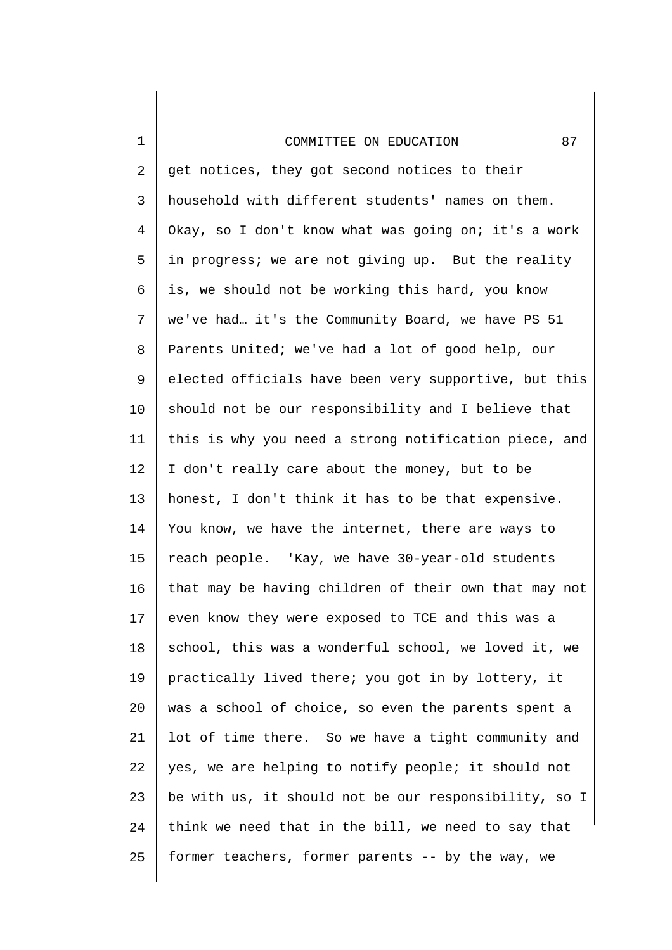1

2 3 4 5 6 7 8 9 10 11 12 13 14 15 16 17 18 19 20 21 22 23 24 25 get notices, they got second notices to their household with different students' names on them. Okay, so I don't know what was going on; it's a work in progress; we are not giving up. But the reality is, we should not be working this hard, you know we've had… it's the Community Board, we have PS 51 Parents United; we've had a lot of good help, our elected officials have been very supportive, but this should not be our responsibility and I believe that this is why you need a strong notification piece, and I don't really care about the money, but to be honest, I don't think it has to be that expensive. You know, we have the internet, there are ways to reach people. 'Kay, we have 30-year-old students that may be having children of their own that may not even know they were exposed to TCE and this was a school, this was a wonderful school, we loved it, we practically lived there; you got in by lottery, it was a school of choice, so even the parents spent a lot of time there. So we have a tight community and yes, we are helping to notify people; it should not be with us, it should not be our responsibility, so I think we need that in the bill, we need to say that former teachers, former parents -- by the way, we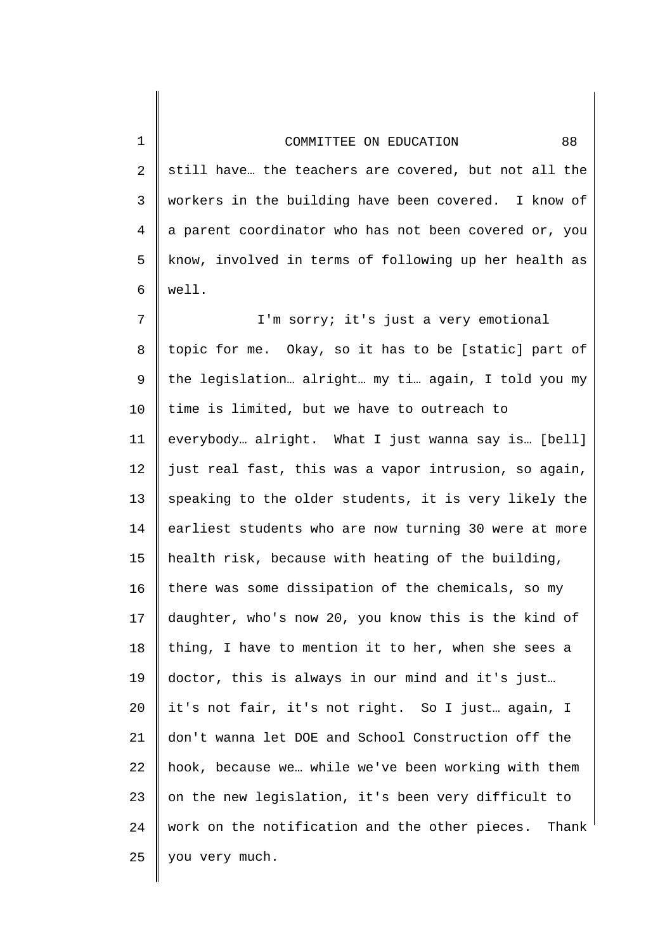2 3 4 5 6 7 8 9 10 11 12 13 14 15 16 17 18 19 20 21 22 23 24 25 still have… the teachers are covered, but not all the workers in the building have been covered. I know of a parent coordinator who has not been covered or, you know, involved in terms of following up her health as well. I'm sorry; it's just a very emotional topic for me. Okay, so it has to be [static] part of the legislation… alright… my ti… again, I told you my time is limited, but we have to outreach to everybody… alright. What I just wanna say is… [bell] just real fast, this was a vapor intrusion, so again, speaking to the older students, it is very likely the earliest students who are now turning 30 were at more health risk, because with heating of the building, there was some dissipation of the chemicals, so my daughter, who's now 20, you know this is the kind of thing, I have to mention it to her, when she sees a doctor, this is always in our mind and it's just… it's not fair, it's not right. So I just… again, I don't wanna let DOE and School Construction off the hook, because we… while we've been working with them on the new legislation, it's been very difficult to work on the notification and the other pieces. Thank you very much.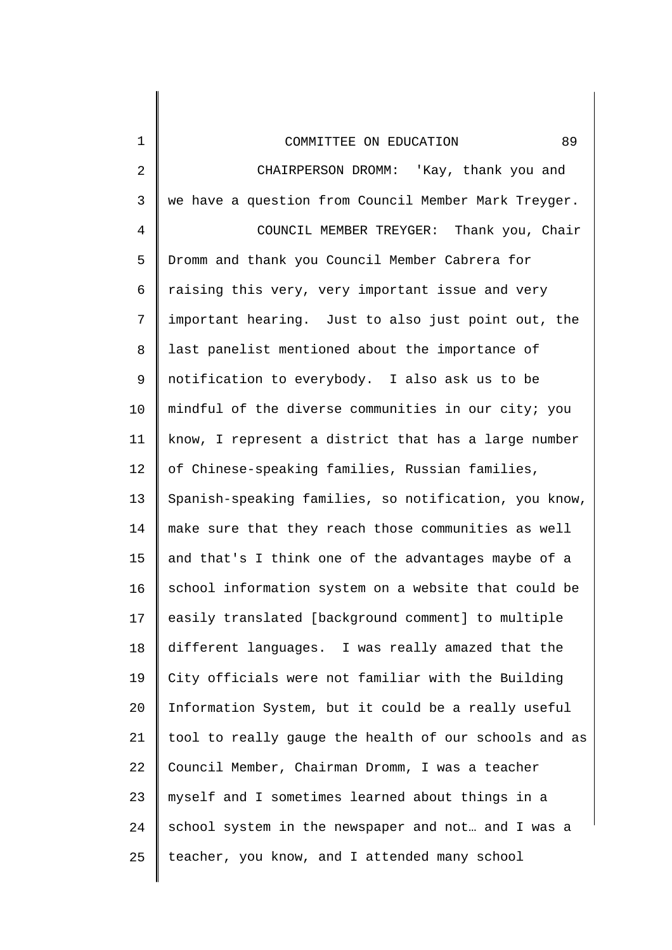| 1          | 89<br>COMMITTEE ON EDUCATION                          |
|------------|-------------------------------------------------------|
| $\sqrt{2}$ | CHAIRPERSON DROMM: 'Kay, thank you and                |
| 3          | we have a question from Council Member Mark Treyger.  |
| 4          | COUNCIL MEMBER TREYGER: Thank you, Chair              |
| 5          | Dromm and thank you Council Member Cabrera for        |
| 6          | raising this very, very important issue and very      |
| 7          | important hearing. Just to also just point out, the   |
| 8          | last panelist mentioned about the importance of       |
| 9          | notification to everybody. I also ask us to be        |
| 10         | mindful of the diverse communities in our city; you   |
| 11         | know, I represent a district that has a large number  |
| 12         | of Chinese-speaking families, Russian families,       |
| 13         | Spanish-speaking families, so notification, you know, |
| 14         | make sure that they reach those communities as well   |
| 15         | and that's I think one of the advantages maybe of a   |
| 16         | school information system on a website that could be  |
| 17         | easily translated [background comment] to multiple    |
| 18         | different languages. I was really amazed that the     |
| 19         | City officials were not familiar with the Building    |
| 20         | Information System, but it could be a really useful   |
| 21         | tool to really gauge the health of our schools and as |
| 22         | Council Member, Chairman Dromm, I was a teacher       |
| 23         | myself and I sometimes learned about things in a      |
| 24         | school system in the newspaper and not and I was a    |
| 25         | teacher, you know, and I attended many school         |
|            |                                                       |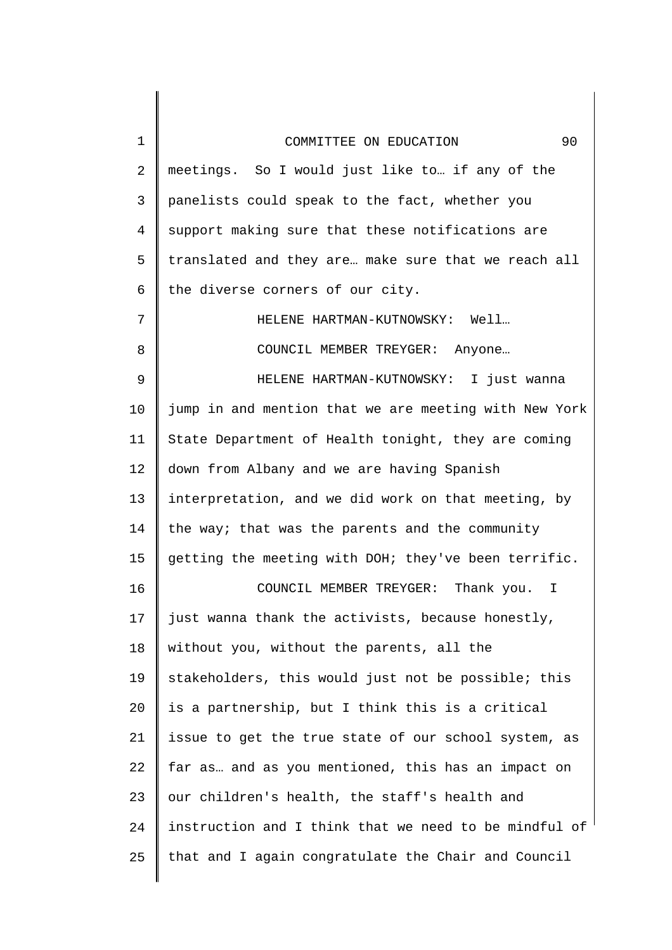| $\mathbf{1}$    | 90<br>COMMITTEE ON EDUCATION                          |
|-----------------|-------------------------------------------------------|
| 2               | meetings. So I would just like to if any of the       |
| 3               | panelists could speak to the fact, whether you        |
| 4               | support making sure that these notifications are      |
| 5               | translated and they are make sure that we reach all   |
| 6               | the diverse corners of our city.                      |
| 7               | HELENE HARTMAN-KUTNOWSKY: Well                        |
| 8               | COUNCIL MEMBER TREYGER: Anyone                        |
| 9               | HELENE HARTMAN-KUTNOWSKY: I just wanna                |
| 10              | jump in and mention that we are meeting with New York |
| 11              | State Department of Health tonight, they are coming   |
| 12              | down from Albany and we are having Spanish            |
| 13              | interpretation, and we did work on that meeting, by   |
| 14              | the way; that was the parents and the community       |
| 15 <sub>1</sub> | getting the meeting with DOH; they've been terrific.  |
| 16              | COUNCIL MEMBER TREYGER:<br>Thank you.<br>Ι            |
| 17              | just wanna thank the activists, because honestly,     |
| 18              | without you, without the parents, all the             |
| 19              | stakeholders, this would just not be possible; this   |
| 20              | is a partnership, but I think this is a critical      |
| 21              | issue to get the true state of our school system, as  |
| 22              | far as and as you mentioned, this has an impact on    |
| 23              | our children's health, the staff's health and         |
| 24              | instruction and I think that we need to be mindful of |
| 25              | that and I again congratulate the Chair and Council   |
|                 |                                                       |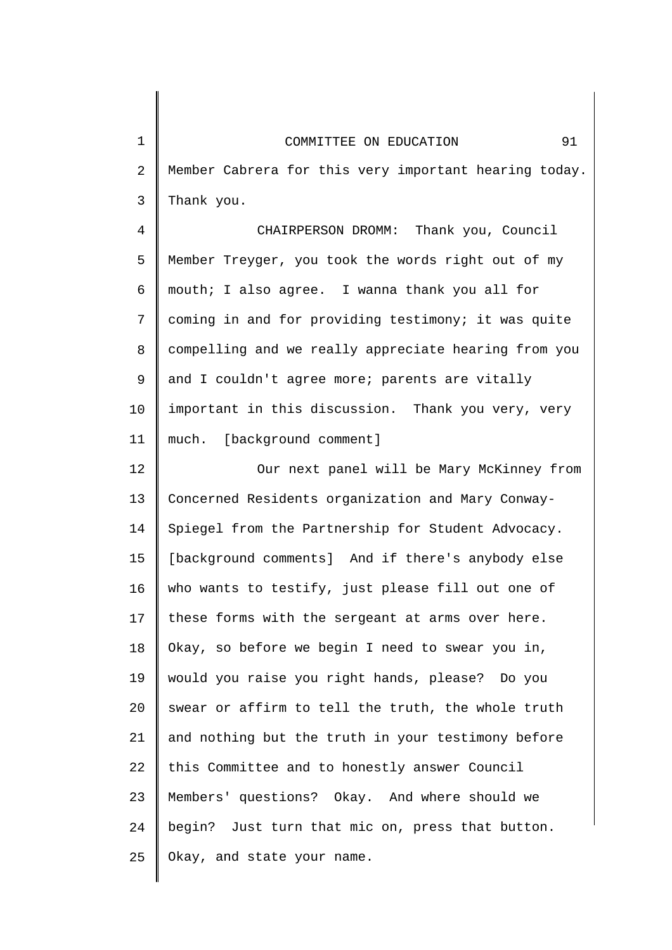2

3

Member Cabrera for this very important hearing today. Thank you.

4 5 6 7 8 9 10 11 CHAIRPERSON DROMM: Thank you, Council Member Treyger, you took the words right out of my mouth; I also agree. I wanna thank you all for coming in and for providing testimony; it was quite compelling and we really appreciate hearing from you and I couldn't agree more; parents are vitally important in this discussion. Thank you very, very much. [background comment]

12 13 14 15 16 17 18 19 20 21 22 23 24 25 Our next panel will be Mary McKinney from Concerned Residents organization and Mary Conway-Spiegel from the Partnership for Student Advocacy. [background comments] And if there's anybody else who wants to testify, just please fill out one of these forms with the sergeant at arms over here. Okay, so before we begin I need to swear you in, would you raise you right hands, please? Do you swear or affirm to tell the truth, the whole truth and nothing but the truth in your testimony before this Committee and to honestly answer Council Members' questions? Okay. And where should we begin? Just turn that mic on, press that button. Okay, and state your name.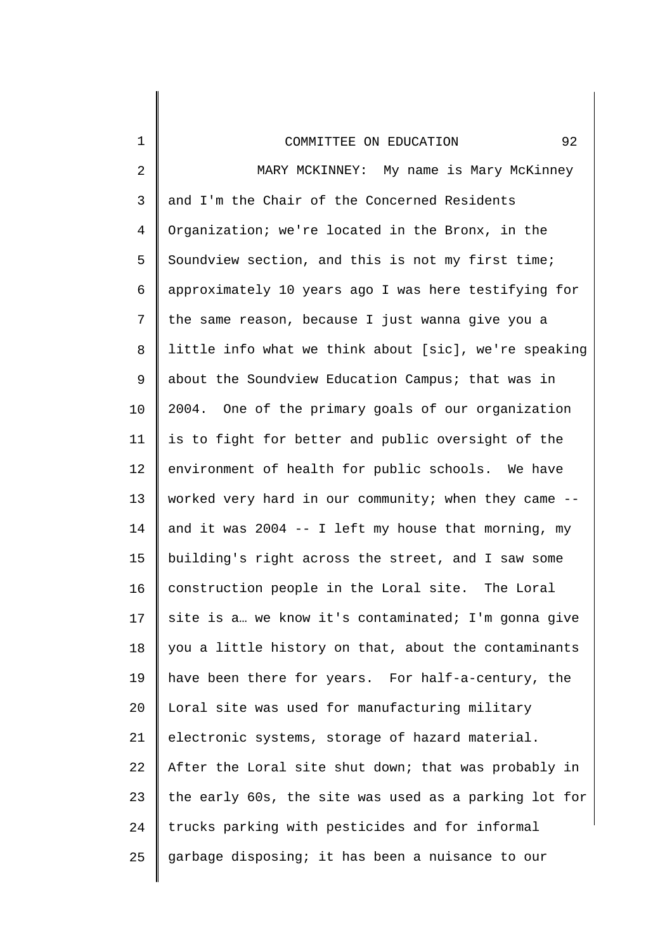| 1  | 92<br>COMMITTEE ON EDUCATION                          |
|----|-------------------------------------------------------|
| 2  | MARY MCKINNEY: My name is Mary McKinney               |
| 3  | and I'm the Chair of the Concerned Residents          |
| 4  | Organization; we're located in the Bronx, in the      |
| 5  | Soundview section, and this is not my first time;     |
| 6  | approximately 10 years ago I was here testifying for  |
| 7  | the same reason, because I just wanna give you a      |
| 8  | little info what we think about [sic], we're speaking |
| 9  | about the Soundview Education Campus; that was in     |
| 10 | 2004. One of the primary goals of our organization    |
| 11 | is to fight for better and public oversight of the    |
| 12 | environment of health for public schools. We have     |
| 13 | worked very hard in our community; when they came --  |
| 14 | and it was 2004 $-$ I left my house that morning, my  |
| 15 | building's right across the street, and I saw some    |
| 16 | construction people in the Loral site. The Loral      |
| 17 | site is a we know it's contaminated; I'm gonna give   |
| 18 | you a little history on that, about the contaminants  |
| 19 | have been there for years. For half-a-century, the    |
| 20 | Loral site was used for manufacturing military        |
| 21 | electronic systems, storage of hazard material.       |
| 22 | After the Loral site shut down; that was probably in  |
| 23 | the early 60s, the site was used as a parking lot for |
| 24 | trucks parking with pesticides and for informal       |
| 25 | garbage disposing; it has been a nuisance to our      |
|    |                                                       |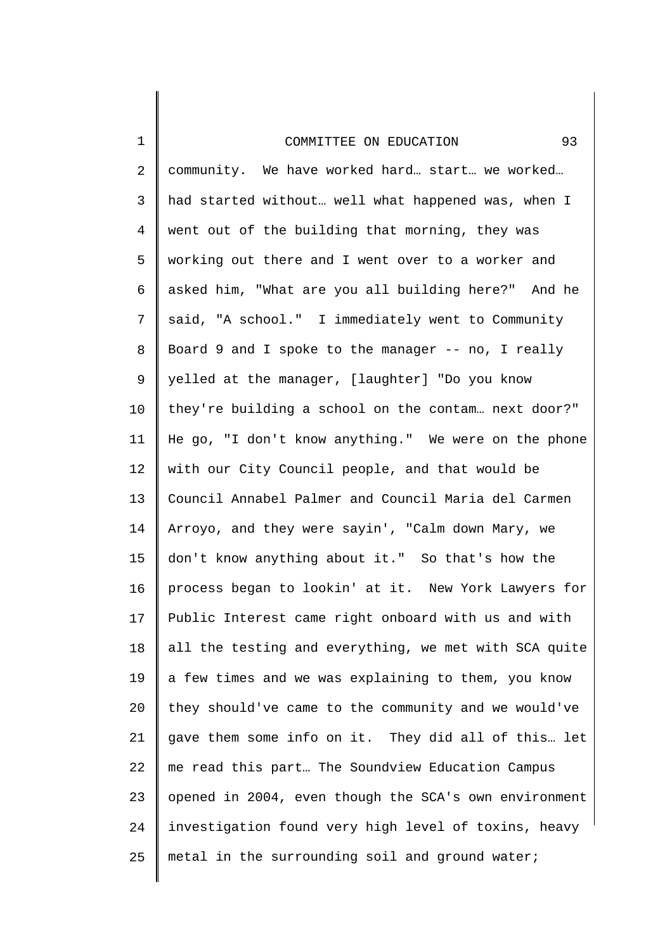1

2 3 4 5 6 7 8 9 10 11 12 13 14 15 16 17 18 19 20 21 22 23 24 25 community. We have worked hard… start… we worked… had started without… well what happened was, when I went out of the building that morning, they was working out there and I went over to a worker and asked him, "What are you all building here?" And he said, "A school." I immediately went to Community Board 9 and I spoke to the manager -- no, I really yelled at the manager, [laughter] "Do you know they're building a school on the contam… next door?" He go, "I don't know anything." We were on the phone with our City Council people, and that would be Council Annabel Palmer and Council Maria del Carmen Arroyo, and they were sayin', "Calm down Mary, we don't know anything about it." So that's how the process began to lookin' at it. New York Lawyers for Public Interest came right onboard with us and with all the testing and everything, we met with SCA quite a few times and we was explaining to them, you know they should've came to the community and we would've gave them some info on it. They did all of this… let me read this part… The Soundview Education Campus opened in 2004, even though the SCA's own environment investigation found very high level of toxins, heavy metal in the surrounding soil and ground water;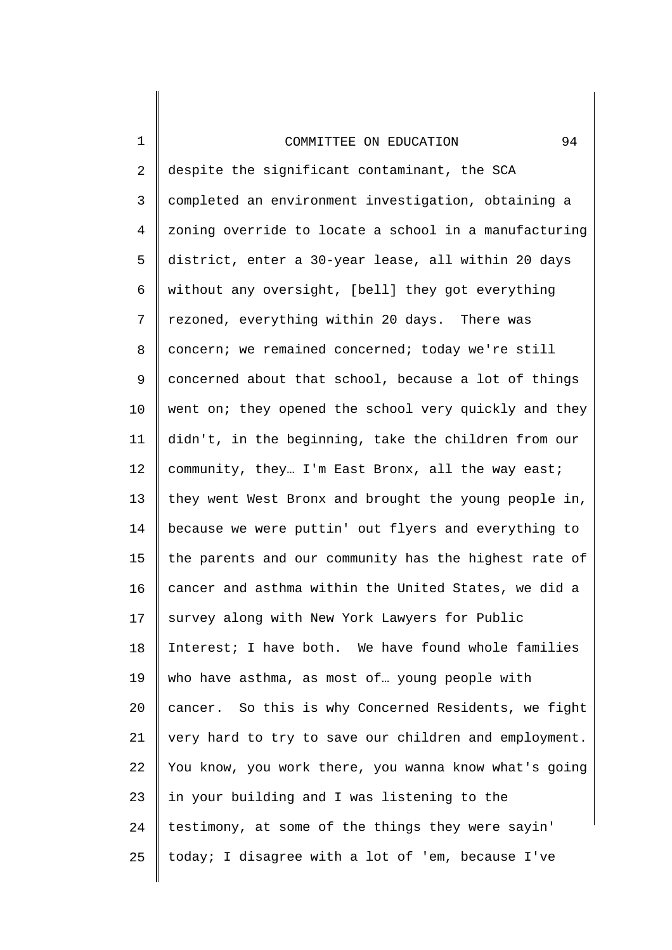1

25

2 3 4 5 6 7 8 9 10 11 12 13 14 15 16 17 18 19 20 21 22 23 24 despite the significant contaminant, the SCA completed an environment investigation, obtaining a zoning override to locate a school in a manufacturing district, enter a 30-year lease, all within 20 days without any oversight, [bell] they got everything rezoned, everything within 20 days. There was concern; we remained concerned; today we're still concerned about that school, because a lot of things went on; they opened the school very quickly and they didn't, in the beginning, take the children from our community, they… I'm East Bronx, all the way east; they went West Bronx and brought the young people in, because we were puttin' out flyers and everything to the parents and our community has the highest rate of cancer and asthma within the United States, we did a survey along with New York Lawyers for Public Interest; I have both. We have found whole families who have asthma, as most of… young people with cancer. So this is why Concerned Residents, we fight very hard to try to save our children and employment. You know, you work there, you wanna know what's going in your building and I was listening to the testimony, at some of the things they were sayin' today; I disagree with a lot of 'em, because I've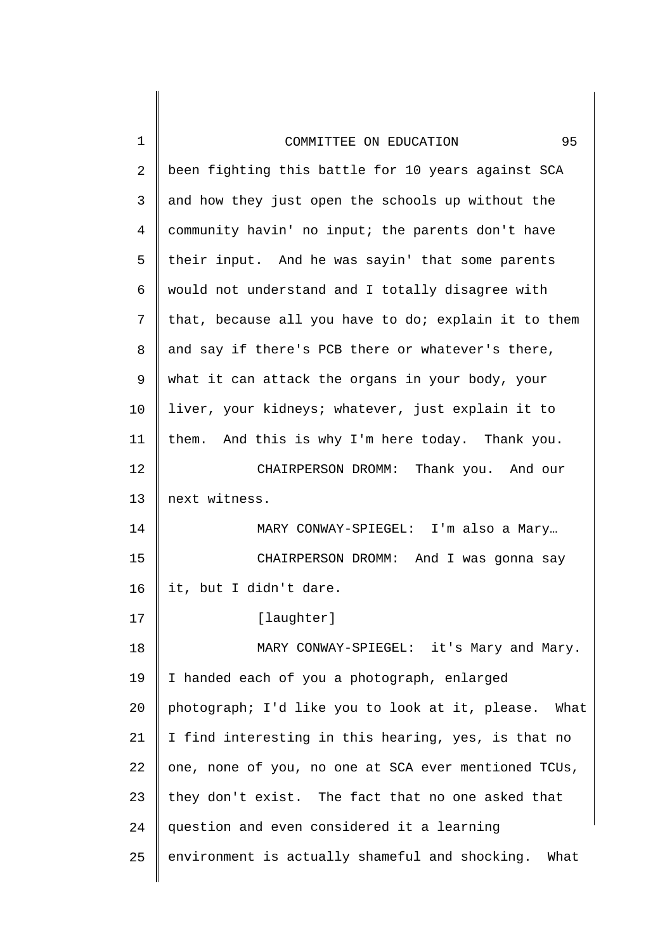| 1  | 95<br>COMMITTEE ON EDUCATION                         |
|----|------------------------------------------------------|
| 2  | been fighting this battle for 10 years against SCA   |
| 3  | and how they just open the schools up without the    |
| 4  | community havin' no input; the parents don't have    |
| 5  | their input. And he was sayin' that some parents     |
| 6  | would not understand and I totally disagree with     |
| 7  | that, because all you have to do; explain it to them |
| 8  | and say if there's PCB there or whatever's there,    |
| 9  | what it can attack the organs in your body, your     |
| 10 | liver, your kidneys; whatever, just explain it to    |
| 11 | them. And this is why I'm here today. Thank you.     |
| 12 | CHAIRPERSON DROMM: Thank you. And our                |
| 13 | next witness.                                        |
| 14 | MARY CONWAY-SPIEGEL: I'm also a Mary                 |
| 15 | CHAIRPERSON DROMM: And I was gonna say               |
| 16 | it, but I didn't dare.                               |
| 17 | [laughter]                                           |
| 18 | MARY CONWAY-SPIEGEL: it's Mary and Mary.             |
| 19 | I handed each of you a photograph, enlarged          |
| 20 | photograph; I'd like you to look at it, please. What |
| 21 | I find interesting in this hearing, yes, is that no  |
| 22 | one, none of you, no one at SCA ever mentioned TCUs, |
| 23 | they don't exist. The fact that no one asked that    |
| 24 | question and even considered it a learning           |
| 25 | environment is actually shameful and shocking. What  |
|    |                                                      |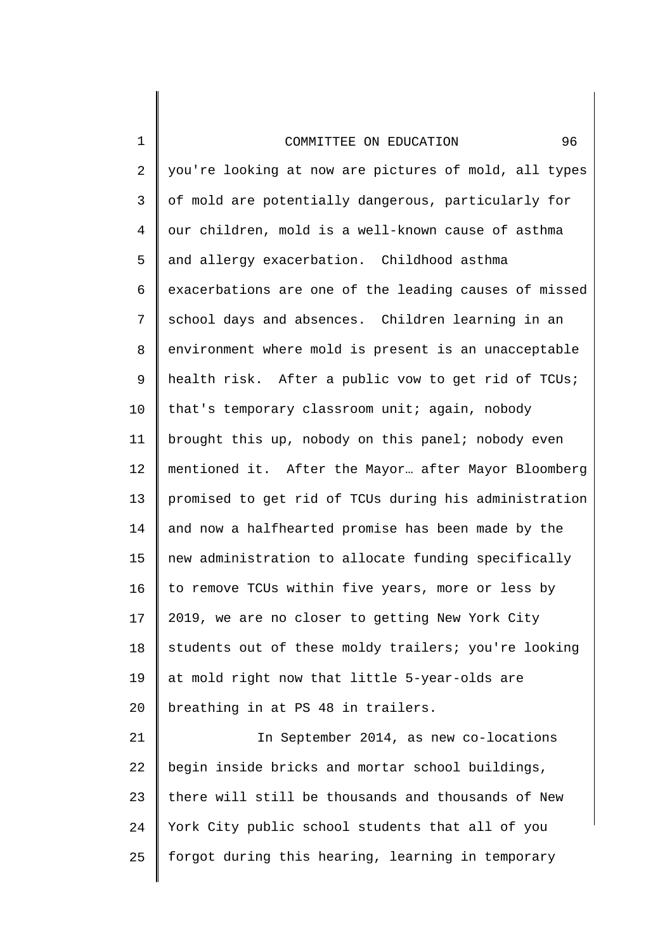1

24

2 3 4 5 6 7 8 9 10 11 12 13 14 15 16 17 18 19 20 21 22 23 you're looking at now are pictures of mold, all types of mold are potentially dangerous, particularly for our children, mold is a well-known cause of asthma and allergy exacerbation. Childhood asthma exacerbations are one of the leading causes of missed school days and absences. Children learning in an environment where mold is present is an unacceptable health risk. After a public vow to get rid of TCUs; that's temporary classroom unit; again, nobody brought this up, nobody on this panel; nobody even mentioned it. After the Mayor… after Mayor Bloomberg promised to get rid of TCUs during his administration and now a halfhearted promise has been made by the new administration to allocate funding specifically to remove TCUs within five years, more or less by 2019, we are no closer to getting New York City students out of these moldy trailers; you're looking at mold right now that little 5-year-olds are breathing in at PS 48 in trailers. In September 2014, as new co-locations begin inside bricks and mortar school buildings, there will still be thousands and thousands of New

25 forgot during this hearing, learning in temporary

York City public school students that all of you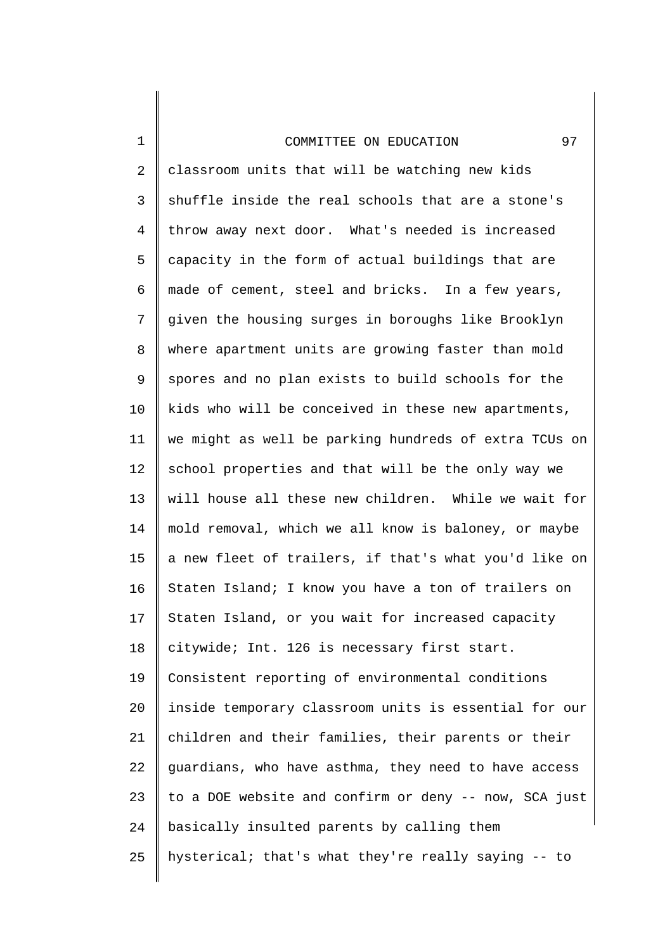1

2 3 4 5 6 7 8 9 10 11 12 13 14 15 16 17 18 19 20 21 22 23 24 25 classroom units that will be watching new kids shuffle inside the real schools that are a stone's throw away next door. What's needed is increased capacity in the form of actual buildings that are made of cement, steel and bricks. In a few years, given the housing surges in boroughs like Brooklyn where apartment units are growing faster than mold spores and no plan exists to build schools for the kids who will be conceived in these new apartments, we might as well be parking hundreds of extra TCUs on school properties and that will be the only way we will house all these new children. While we wait for mold removal, which we all know is baloney, or maybe a new fleet of trailers, if that's what you'd like on Staten Island; I know you have a ton of trailers on Staten Island, or you wait for increased capacity citywide; Int. 126 is necessary first start. Consistent reporting of environmental conditions inside temporary classroom units is essential for our children and their families, their parents or their guardians, who have asthma, they need to have access to a DOE website and confirm or deny -- now, SCA just basically insulted parents by calling them hysterical; that's what they're really saying -- to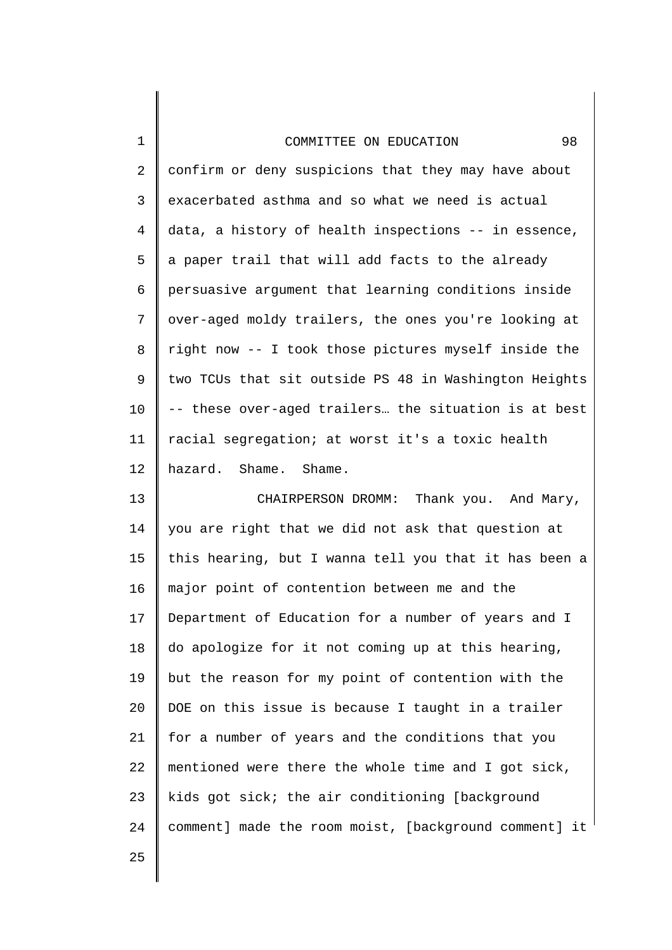|  | COMMITTEE ON EDUCATION |
|--|------------------------|

2 3 4 5 6 7 8 9 10 11 12 confirm or deny suspicions that they may have about exacerbated asthma and so what we need is actual data, a history of health inspections -- in essence, a paper trail that will add facts to the already persuasive argument that learning conditions inside over-aged moldy trailers, the ones you're looking at right now -- I took those pictures myself inside the two TCUs that sit outside PS 48 in Washington Heights -- these over-aged trailers… the situation is at best racial segregation; at worst it's a toxic health hazard. Shame. Shame.

13 14 15 16 17 18 19 20 21 22 23 24 CHAIRPERSON DROMM: Thank you. And Mary, you are right that we did not ask that question at this hearing, but I wanna tell you that it has been a major point of contention between me and the Department of Education for a number of years and I do apologize for it not coming up at this hearing, but the reason for my point of contention with the DOE on this issue is because I taught in a trailer for a number of years and the conditions that you mentioned were there the whole time and I got sick, kids got sick; the air conditioning [background comment] made the room moist, [background comment] it

25

1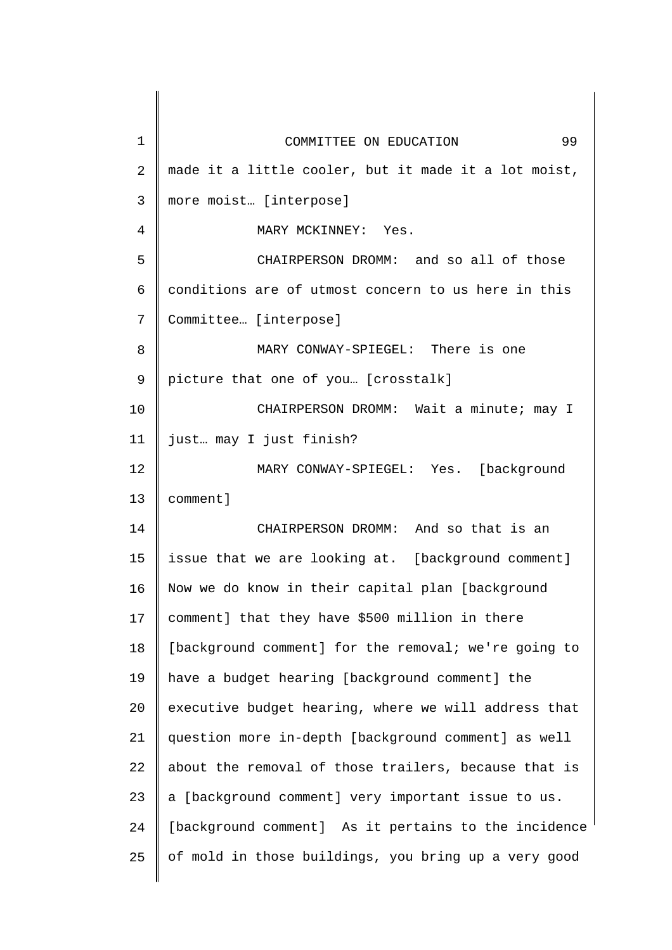| 1              | 99<br>COMMITTEE ON EDUCATION                         |
|----------------|------------------------------------------------------|
| $\overline{2}$ | made it a little cooler, but it made it a lot moist, |
| 3              | more moist [interpose]                               |
| 4              | MARY MCKINNEY: Yes.                                  |
| 5              | CHAIRPERSON DROMM: and so all of those               |
| 6              | conditions are of utmost concern to us here in this  |
| 7              | Committee [interpose]                                |
| 8              | MARY CONWAY-SPIEGEL: There is one                    |
| 9              | picture that one of you [crosstalk]                  |
| 10             | CHAIRPERSON DROMM: Wait a minute; may I              |
| 11             | just may I just finish?                              |
| 12             | [background<br>MARY CONWAY-SPIEGEL: Yes.             |
| 13             | comment]                                             |
| 14             | CHAIRPERSON DROMM: And so that is an                 |
| 15             | issue that we are looking at. [background comment]   |
| 16             | Now we do know in their capital plan [background     |
| 17             | comment] that they have \$500 million in there       |
| 18             | [background comment] for the removal; we're going to |
| 19             | have a budget hearing [background comment] the       |
| 20             | executive budget hearing, where we will address that |
| 21             | question more in-depth [background comment] as well  |
| 22             | about the removal of those trailers, because that is |
| 23             | a [background comment] very important issue to us.   |
| 24             | [background comment] As it pertains to the incidence |
| 25             | of mold in those buildings, you bring up a very good |
|                |                                                      |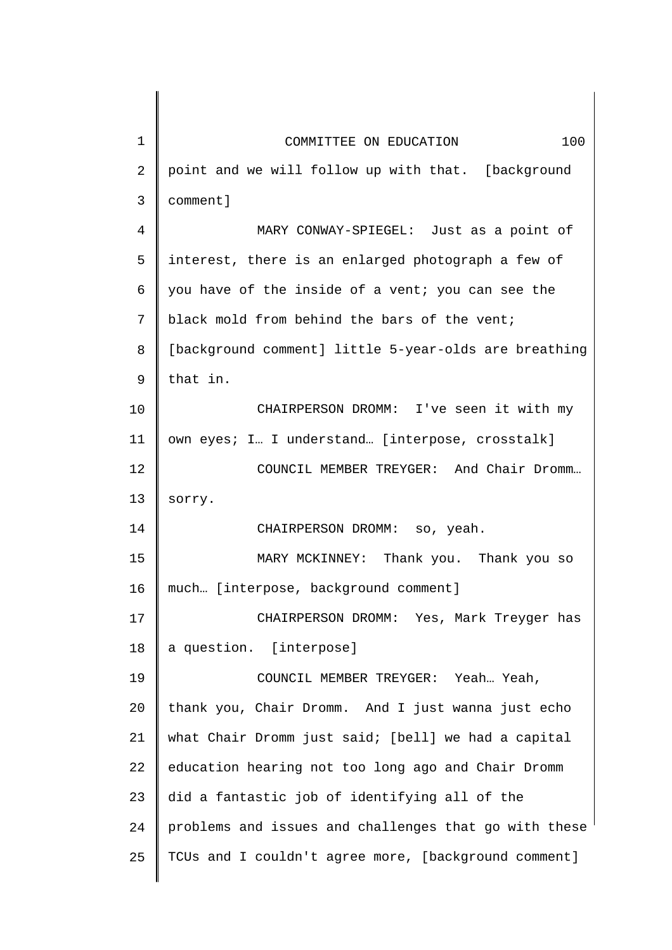| $\mathbf 1$    | 100<br>COMMITTEE ON EDUCATION                         |
|----------------|-------------------------------------------------------|
| $\overline{2}$ | point and we will follow up with that. [background    |
| $\mathfrak{Z}$ | comment]                                              |
| 4              | MARY CONWAY-SPIEGEL: Just as a point of               |
| 5              | interest, there is an enlarged photograph a few of    |
| 6              | you have of the inside of a vent; you can see the     |
| $7\phantom{.}$ | black mold from behind the bars of the vent;          |
| 8              | [background comment] little 5-year-olds are breathing |
| 9              | that in.                                              |
| 10             | CHAIRPERSON DROMM: I've seen it with my               |
| 11             | own eyes; I. I understand. [interpose, crosstalk]     |
| 12             | COUNCIL MEMBER TREYGER: And Chair Dromm               |
| 13             | sorry.                                                |
| 14             | CHAIRPERSON DROMM: so, yeah.                          |
| 15             | MARY MCKINNEY: Thank you. Thank you so                |
| 16             | much [interpose, background comment]                  |
| 17             | CHAIRPERSON DROMM: Yes, Mark Treyger has              |
| 18             | a question. [interpose]                               |
| 19             | COUNCIL MEMBER TREYGER: Yeah Yeah,                    |
| 20             | thank you, Chair Dromm. And I just wanna just echo    |
| 21             | what Chair Dromm just said; [bell] we had a capital   |
| 22             | education hearing not too long ago and Chair Dromm    |
| 23             | did a fantastic job of identifying all of the         |
| 24             | problems and issues and challenges that go with these |
| 25             | TCUs and I couldn't agree more, [background comment]  |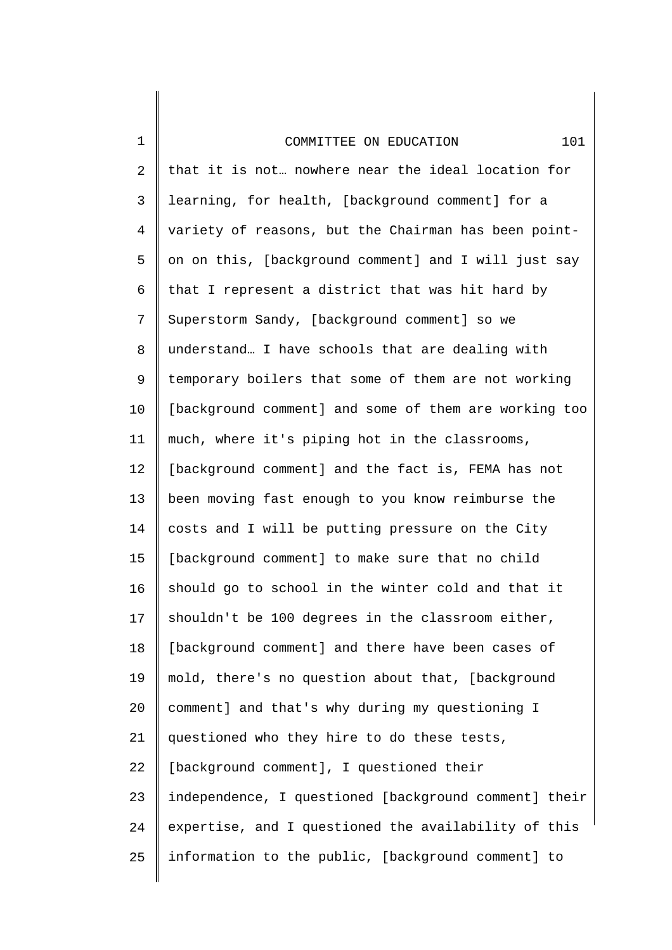1

2 3 4 5 6 7 8 9 10 11 12 13 14 15 16 17 18 19 20 21 22 23 24 25 that it is not… nowhere near the ideal location for learning, for health, [background comment] for a variety of reasons, but the Chairman has been pointon on this, [background comment] and I will just say that I represent a district that was hit hard by Superstorm Sandy, [background comment] so we understand… I have schools that are dealing with temporary boilers that some of them are not working [background comment] and some of them are working too much, where it's piping hot in the classrooms, [background comment] and the fact is, FEMA has not been moving fast enough to you know reimburse the costs and I will be putting pressure on the City [background comment] to make sure that no child should go to school in the winter cold and that it shouldn't be 100 degrees in the classroom either, [background comment] and there have been cases of mold, there's no question about that, [background comment] and that's why during my questioning I questioned who they hire to do these tests, [background comment], I questioned their independence, I questioned [background comment] their expertise, and I questioned the availability of this information to the public, [background comment] to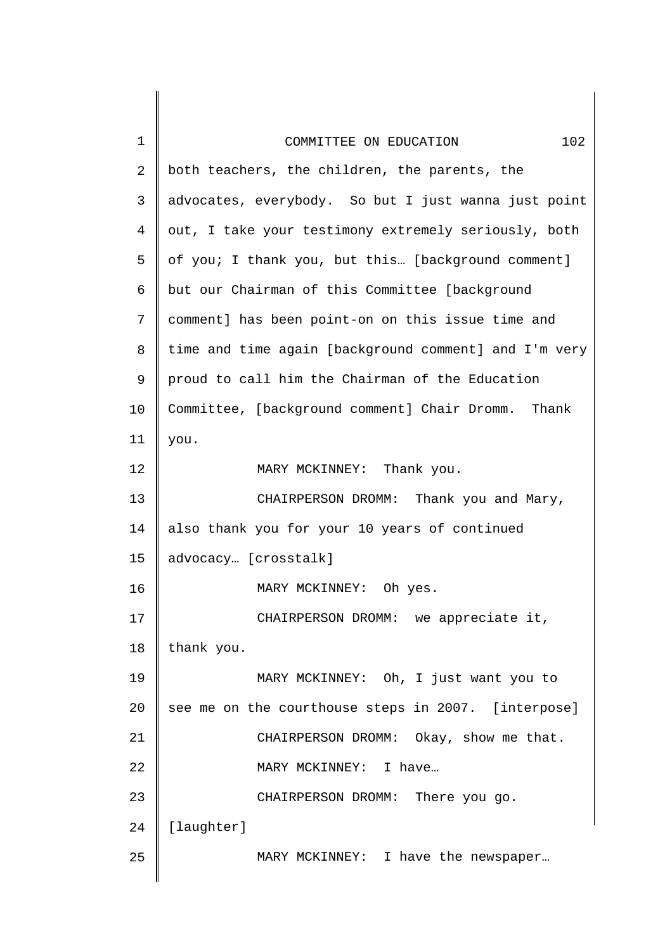| 1  | 102<br>COMMITTEE ON EDUCATION                         |
|----|-------------------------------------------------------|
| 2  | both teachers, the children, the parents, the         |
| 3  | advocates, everybody. So but I just wanna just point  |
| 4  | out, I take your testimony extremely seriously, both  |
| 5  | of you; I thank you, but this [background comment]    |
| 6  | but our Chairman of this Committee [background        |
| 7  | comment] has been point-on on this issue time and     |
| 8  | time and time again [background comment] and I'm very |
| 9  | proud to call him the Chairman of the Education       |
| 10 | Committee, [background comment] Chair Dromm. Thank    |
| 11 | you.                                                  |
| 12 | MARY MCKINNEY: Thank you.                             |
| 13 | CHAIRPERSON DROMM: Thank you and Mary,                |
| 14 | also thank you for your 10 years of continued         |
| 15 | advocacy [crosstalk]                                  |
| 16 | MARY MCKINNEY:<br>Oh yes.                             |
| 17 | CHAIRPERSON DROMM: we appreciate it,                  |
| 18 | thank you.                                            |
| 19 | MARY MCKINNEY: Oh, I just want you to                 |
| 20 | see me on the courthouse steps in 2007. [interpose]   |
| 21 | CHAIRPERSON DROMM: Okay, show me that.                |
| 22 | MARY MCKINNEY: I have                                 |
| 23 | CHAIRPERSON DROMM: There you go.                      |
| 24 | [laughter]                                            |
| 25 | MARY MCKINNEY: I have the newspaper                   |
|    |                                                       |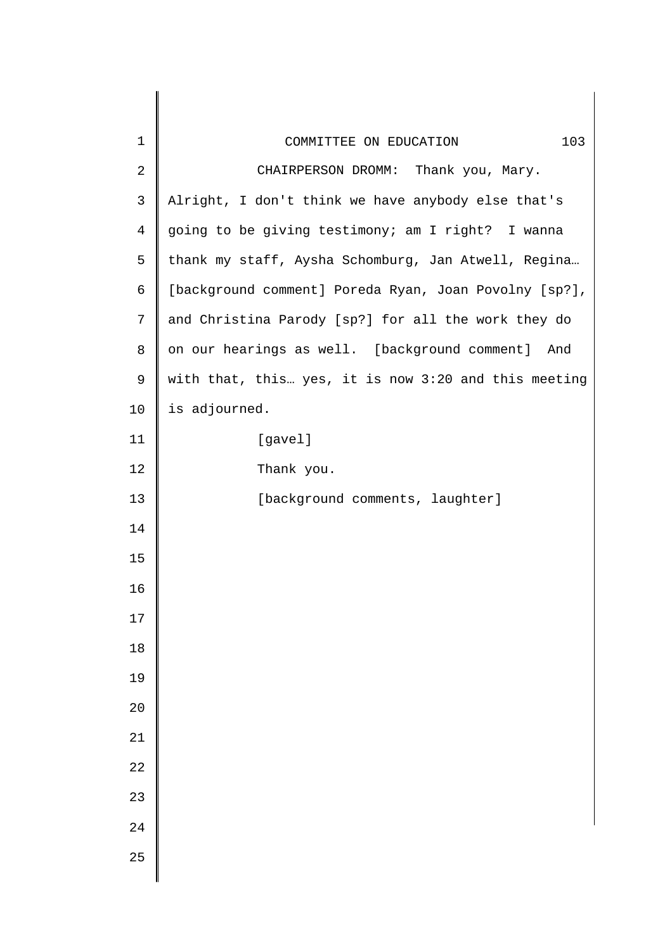| $\mathbf 1$    | 103<br>COMMITTEE ON EDUCATION                         |
|----------------|-------------------------------------------------------|
| $\sqrt{2}$     | CHAIRPERSON DROMM: Thank you, Mary.                   |
| $\mathsf 3$    | Alright, I don't think we have anybody else that's    |
| $\overline{4}$ | going to be giving testimony; am I right? I wanna     |
| 5              | thank my staff, Aysha Schomburg, Jan Atwell, Regina   |
| 6              | [background comment] Poreda Ryan, Joan Povolny [sp?], |
| 7              | and Christina Parody [sp?] for all the work they do   |
| 8              | on our hearings as well. [background comment] And     |
| 9              | with that, this yes, it is now 3:20 and this meeting  |
| 10             | is adjourned.                                         |
| 11             | [gavel]                                               |
| 12             | Thank you.                                            |
| 13             | [background comments, laughter]                       |
| 14             |                                                       |
| 15             |                                                       |
| 16             |                                                       |
| $17$           |                                                       |
| 18             |                                                       |
| 19             |                                                       |
| $20$           |                                                       |
| 21             |                                                       |
| 22             |                                                       |
| 23             |                                                       |
| 24             |                                                       |
| 25             |                                                       |
|                |                                                       |